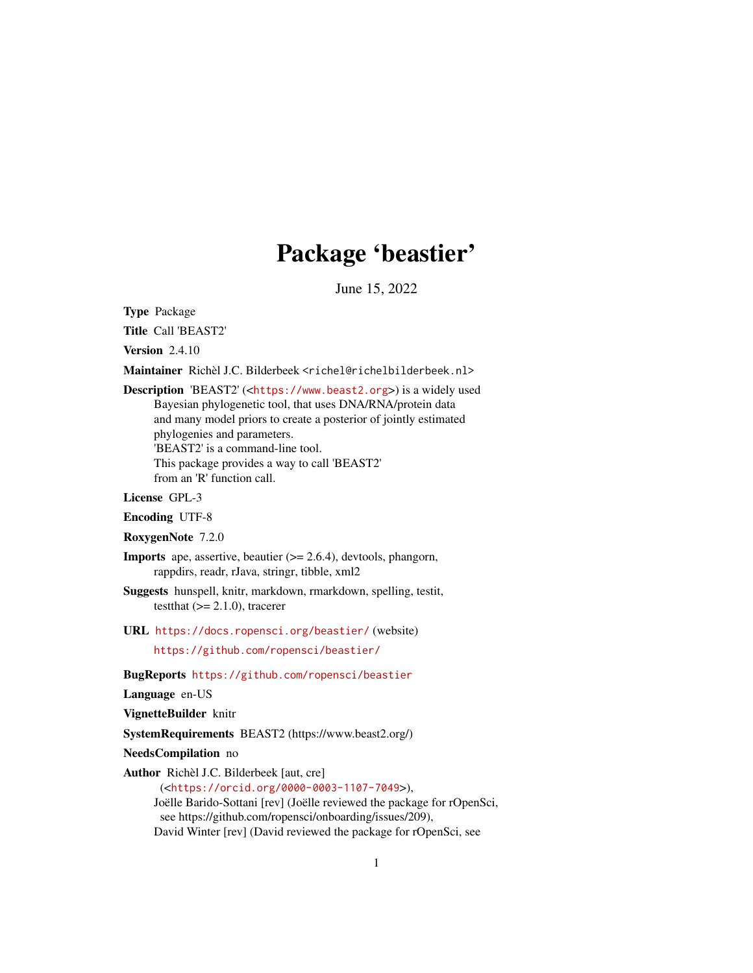# Package 'beastier'

June 15, 2022

<span id="page-0-0"></span>Type Package

Title Call 'BEAST2'

Version 2.4.10

Maintainer Richèl J.C. Bilderbeek <richel@richelbilderbeek.nl>

Description 'BEAST2' (<<https://www.beast2.org>>) is a widely used Bayesian phylogenetic tool, that uses DNA/RNA/protein data and many model priors to create a posterior of jointly estimated phylogenies and parameters. 'BEAST2' is a command-line tool. This package provides a way to call 'BEAST2' from an 'R' function call.

License GPL-3

Encoding UTF-8

RoxygenNote 7.2.0

- Imports ape, assertive, beautier (>= 2.6.4), devtools, phangorn, rappdirs, readr, rJava, stringr, tibble, xml2
- Suggests hunspell, knitr, markdown, rmarkdown, spelling, testit, testthat  $(>= 2.1.0)$ , tracerer
- URL <https://docs.ropensci.org/beastier/> (website)

<https://github.com/ropensci/beastier/>

BugReports <https://github.com/ropensci/beastier>

Language en-US

VignetteBuilder knitr

SystemRequirements BEAST2 (https://www.beast2.org/)

NeedsCompilation no

Author Richèl J.C. Bilderbeek [aut, cre]

(<<https://orcid.org/0000-0003-1107-7049>>), Joëlle Barido-Sottani [rev] (Joëlle reviewed the package for rOpenSci, see https://github.com/ropensci/onboarding/issues/209), David Winter [rev] (David reviewed the package for rOpenSci, see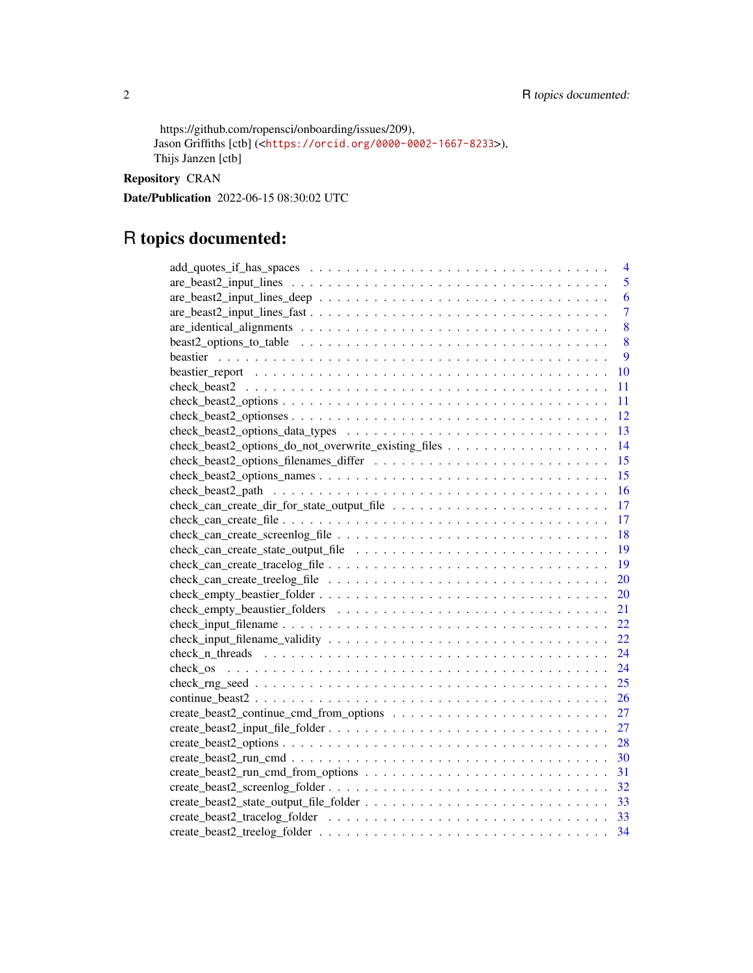```
https://github.com/ropensci/onboarding/issues/209),
Jason Griffiths [ctb] (<https://orcid.org/0000-0002-1667-8233>),
Thijs Janzen [ctb]
```
Repository CRAN

Date/Publication 2022-06-15 08:30:02 UTC

# R topics documented:

| 4                                                                                                                              |
|--------------------------------------------------------------------------------------------------------------------------------|
| 5<br>$are\_beast2\_input\_lines \dots \dots \dots \dots \dots \dots \dots \dots \dots \dots \dots \dots \dots \dots \dots$     |
| $are\_beast2\_input\_lines\_deep \dots \dots \dots \dots \dots \dots \dots \dots \dots \dots \dots \dots \dots$<br>6           |
| $\overline{7}$                                                                                                                 |
| 8                                                                                                                              |
| 8                                                                                                                              |
| 9                                                                                                                              |
| 10                                                                                                                             |
| 11                                                                                                                             |
| $check\_beast2\_options \dots \dots \dots \dots \dots \dots \dots \dots \dots \dots \dots \dots \dots \dots \dots \dots$<br>11 |
| <sup>12</sup>                                                                                                                  |
| -13                                                                                                                            |
| 14                                                                                                                             |
| 15                                                                                                                             |
| 15                                                                                                                             |
|                                                                                                                                |
|                                                                                                                                |
|                                                                                                                                |
|                                                                                                                                |
|                                                                                                                                |
|                                                                                                                                |
| 20                                                                                                                             |
| 20                                                                                                                             |
| 21                                                                                                                             |
| 22                                                                                                                             |
| 22                                                                                                                             |
| 24                                                                                                                             |
| 24                                                                                                                             |
| 25                                                                                                                             |
| 26                                                                                                                             |
|                                                                                                                                |
|                                                                                                                                |
|                                                                                                                                |
|                                                                                                                                |
|                                                                                                                                |
|                                                                                                                                |
|                                                                                                                                |
|                                                                                                                                |
|                                                                                                                                |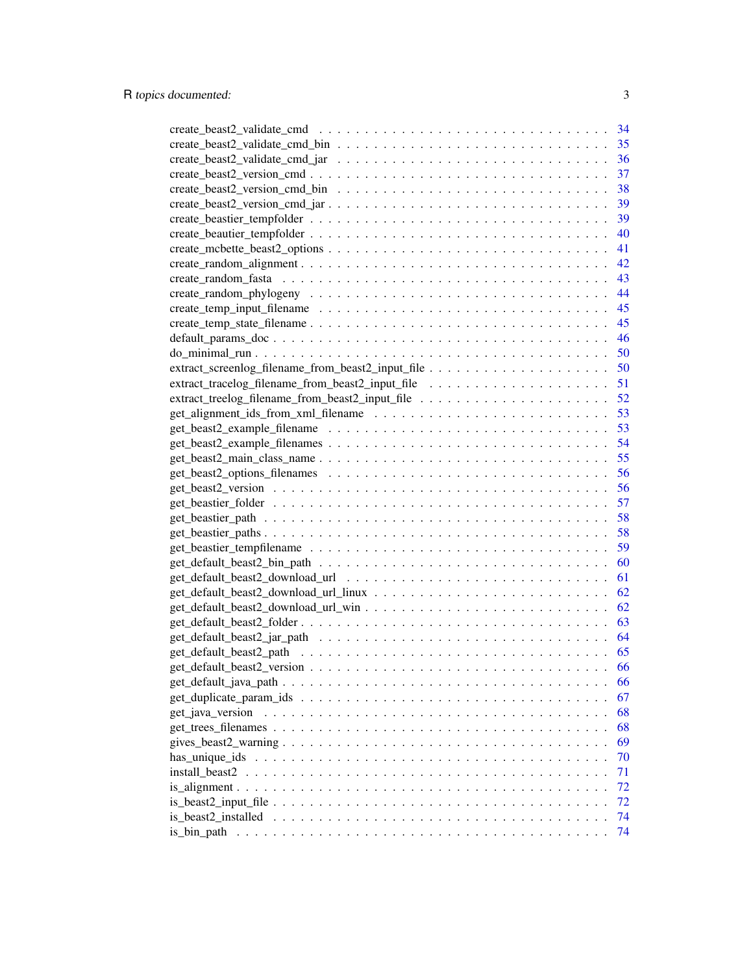|                                                   | 34 |
|---------------------------------------------------|----|
|                                                   | 35 |
|                                                   | 36 |
|                                                   | 37 |
|                                                   | 38 |
|                                                   | 39 |
|                                                   | 39 |
|                                                   | 40 |
|                                                   | 41 |
|                                                   | 42 |
|                                                   | 43 |
|                                                   | 44 |
|                                                   | 45 |
|                                                   | 45 |
|                                                   |    |
|                                                   | 46 |
|                                                   | 50 |
| extract_screenlog_filename_from_beast2_input_file | 50 |
|                                                   |    |
|                                                   |    |
|                                                   |    |
|                                                   |    |
|                                                   | 54 |
|                                                   | 55 |
|                                                   | 56 |
|                                                   | 56 |
|                                                   | 57 |
|                                                   | 58 |
|                                                   | 58 |
|                                                   | 59 |
|                                                   | 60 |
|                                                   | 61 |
|                                                   | 62 |
|                                                   | 62 |
|                                                   | 63 |
|                                                   | 64 |
|                                                   | 65 |
|                                                   |    |
|                                                   | 66 |
|                                                   | 66 |
|                                                   | 67 |
| get_java_version                                  | 68 |
|                                                   | 68 |
|                                                   | 69 |
|                                                   | 70 |
| install beast2                                    | 71 |
|                                                   | 72 |
|                                                   | 72 |
|                                                   | 74 |
| is_bin_path                                       | 74 |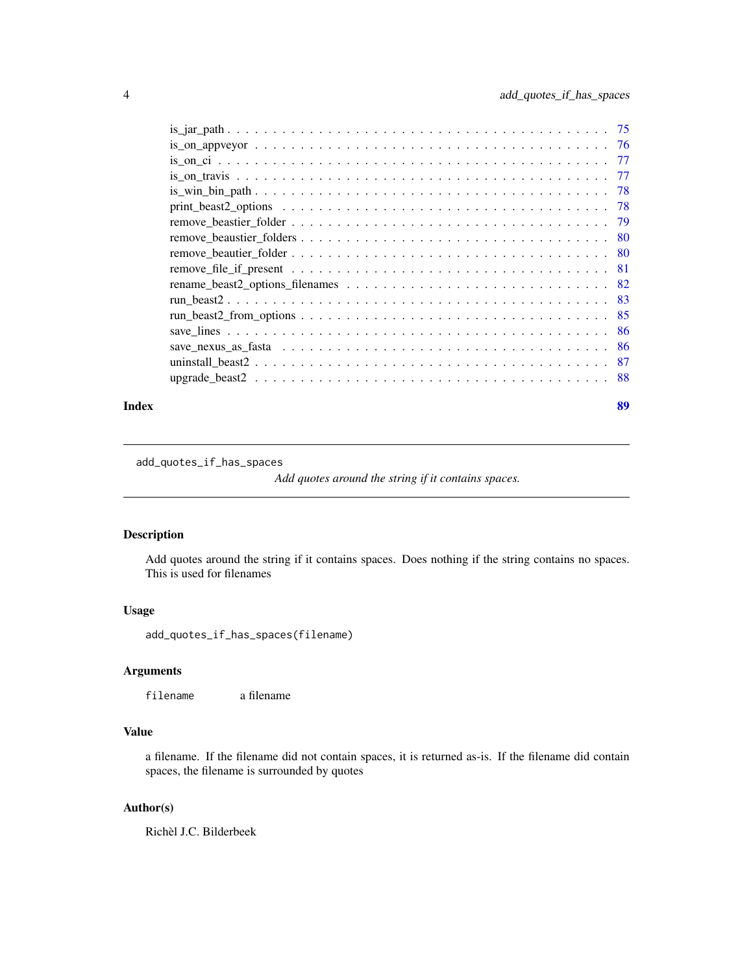<span id="page-3-0"></span>

#### **Index** [89](#page-88-0) **B**

add\_quotes\_if\_has\_spaces

*Add quotes around the string if it contains spaces.*

# Description

Add quotes around the string if it contains spaces. Does nothing if the string contains no spaces. This is used for filenames

### Usage

add\_quotes\_if\_has\_spaces(filename)

# Arguments

filename a filename

# Value

a filename. If the filename did not contain spaces, it is returned as-is. If the filename did contain spaces, the filename is surrounded by quotes

# Author(s)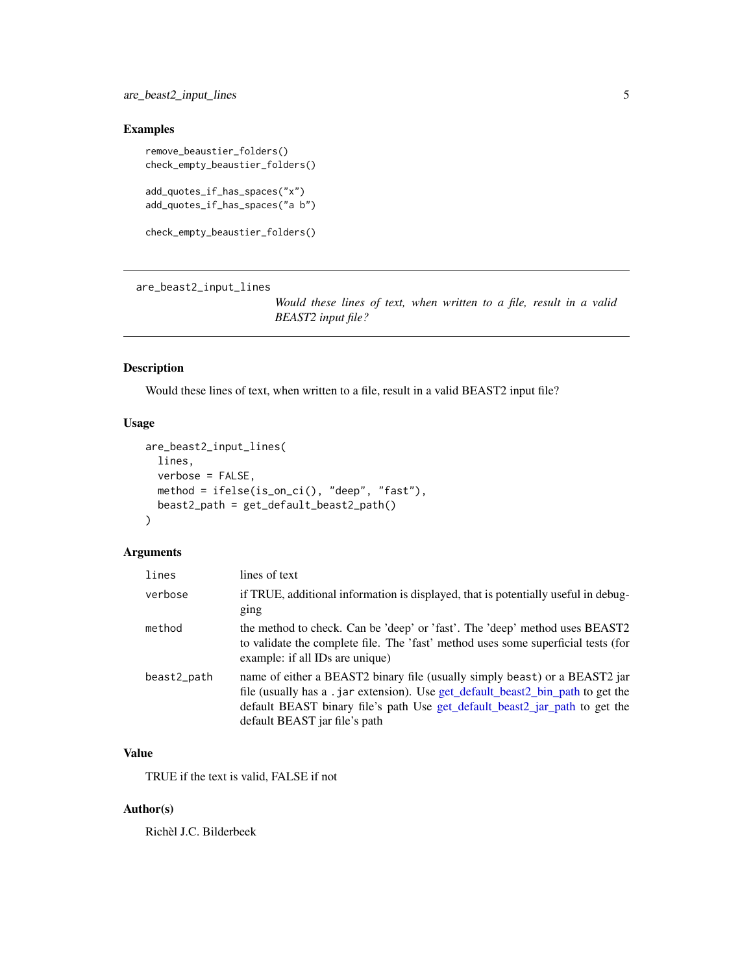# <span id="page-4-0"></span>Examples

```
remove_beaustier_folders()
check_empty_beaustier_folders()
add_quotes_if_has_spaces("x")
add_quotes_if_has_spaces("a b")
check_empty_beaustier_folders()
```
are\_beast2\_input\_lines

*Would these lines of text, when written to a file, result in a valid BEAST2 input file?*

# Description

Would these lines of text, when written to a file, result in a valid BEAST2 input file?

### Usage

```
are_beast2_input_lines(
  lines,
 verbose = FALSE,
 method = ifelse(is_on_ci(), "deep", "fast"),
 beast2_path = get_default_beast2_path()
\mathcal{L}
```
### Arguments

| lines       | lines of text                                                                                                                                                                                                                                                                 |
|-------------|-------------------------------------------------------------------------------------------------------------------------------------------------------------------------------------------------------------------------------------------------------------------------------|
| verbose     | if TRUE, additional information is displayed, that is potentially useful in debug-<br>ging                                                                                                                                                                                    |
| method      | the method to check. Can be 'deep' or 'fast'. The 'deep' method uses BEAST2<br>to validate the complete file. The 'fast' method uses some superficial tests (for<br>example: if all IDs are unique)                                                                           |
| beast2_path | name of either a BEAST2 binary file (usually simply beast) or a BEAST2 jar<br>file (usually has a .jar extension). Use get_default_beast2_bin_path to get the<br>default BEAST binary file's path Use get_default_beast2_jar_path to get the<br>default BEAST jar file's path |

# Value

TRUE if the text is valid, FALSE if not

# Author(s)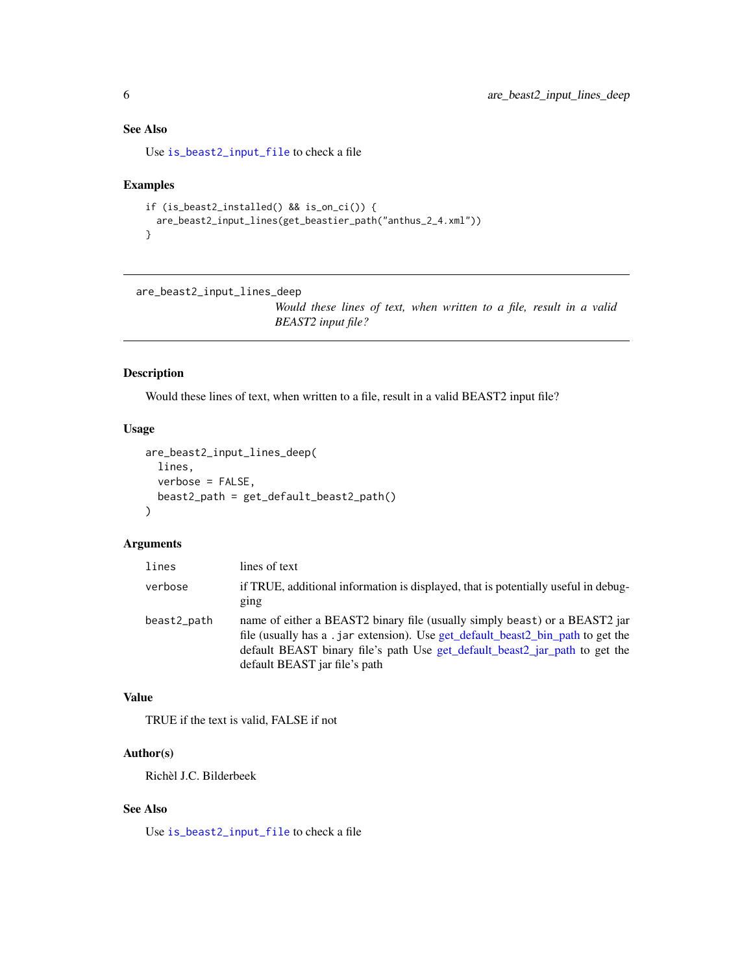# <span id="page-5-0"></span>See Also

Use [is\\_beast2\\_input\\_file](#page-71-1) to check a file

#### Examples

```
if (is_beast2_installed() && is_on_ci()) {
 are_beast2_input_lines(get_beastier_path("anthus_2_4.xml"))
}
```

```
are_beast2_input_lines_deep
```
*Would these lines of text, when written to a file, result in a valid BEAST2 input file?*

# Description

Would these lines of text, when written to a file, result in a valid BEAST2 input file?

# Usage

```
are_beast2_input_lines_deep(
  lines,
  verbose = FALSE,
  beast2_path = get_default_beast2_path()
)
```
### Arguments

| lines       | lines of text                                                                                                                                                                                                                                                                 |
|-------------|-------------------------------------------------------------------------------------------------------------------------------------------------------------------------------------------------------------------------------------------------------------------------------|
| verbose     | if TRUE, additional information is displayed, that is potentially useful in debug-<br>ging                                                                                                                                                                                    |
| beast2_path | name of either a BEAST2 binary file (usually simply beast) or a BEAST2 jar<br>file (usually has a .jar extension). Use get_default_beast2_bin_path to get the<br>default BEAST binary file's path Use get_default_beast2_jar_path to get the<br>default BEAST jar file's path |

## Value

TRUE if the text is valid, FALSE if not

# Author(s)

Richèl J.C. Bilderbeek

# See Also

Use [is\\_beast2\\_input\\_file](#page-71-1) to check a file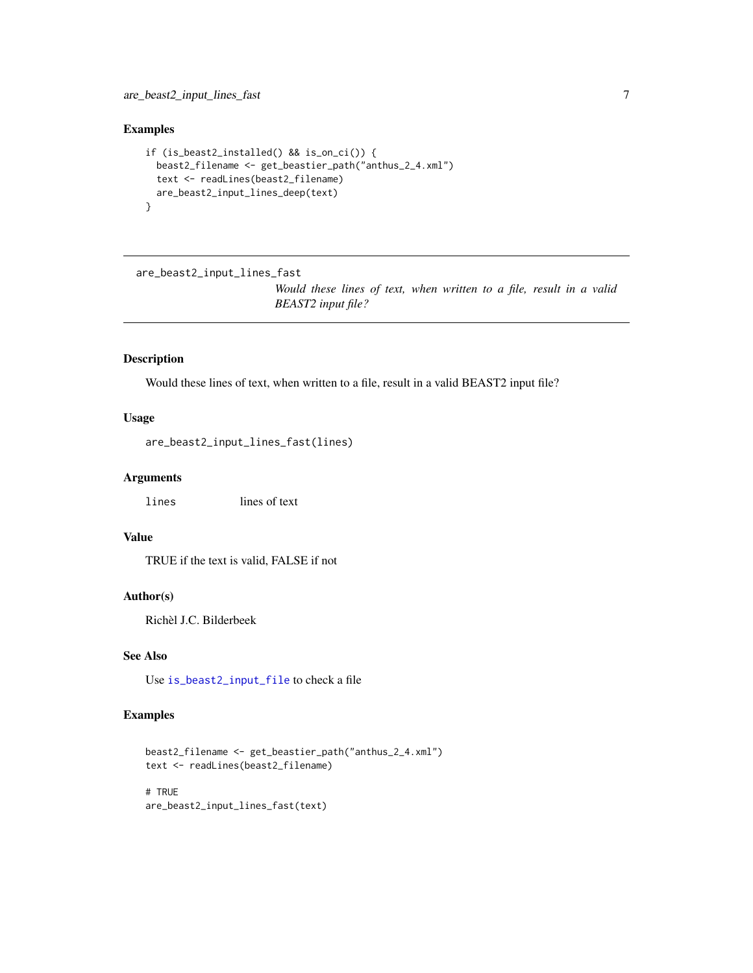<span id="page-6-0"></span>are\_beast2\_input\_lines\_fast 7

# Examples

```
if (is_beast2_installed() && is_on_ci()) {
  beast2_filename <- get_beastier_path("anthus_2_4.xml")
  text <- readLines(beast2_filename)
  are_beast2_input_lines_deep(text)
}
```
are\_beast2\_input\_lines\_fast

*Would these lines of text, when written to a file, result in a valid BEAST2 input file?*

# Description

Would these lines of text, when written to a file, result in a valid BEAST2 input file?

### Usage

are\_beast2\_input\_lines\_fast(lines)

# Arguments

lines lines of text

# Value

TRUE if the text is valid, FALSE if not

#### Author(s)

Richèl J.C. Bilderbeek

# See Also

Use [is\\_beast2\\_input\\_file](#page-71-1) to check a file

# Examples

```
beast2_filename <- get_beastier_path("anthus_2_4.xml")
text <- readLines(beast2_filename)
# TRUE
are_beast2_input_lines_fast(text)
```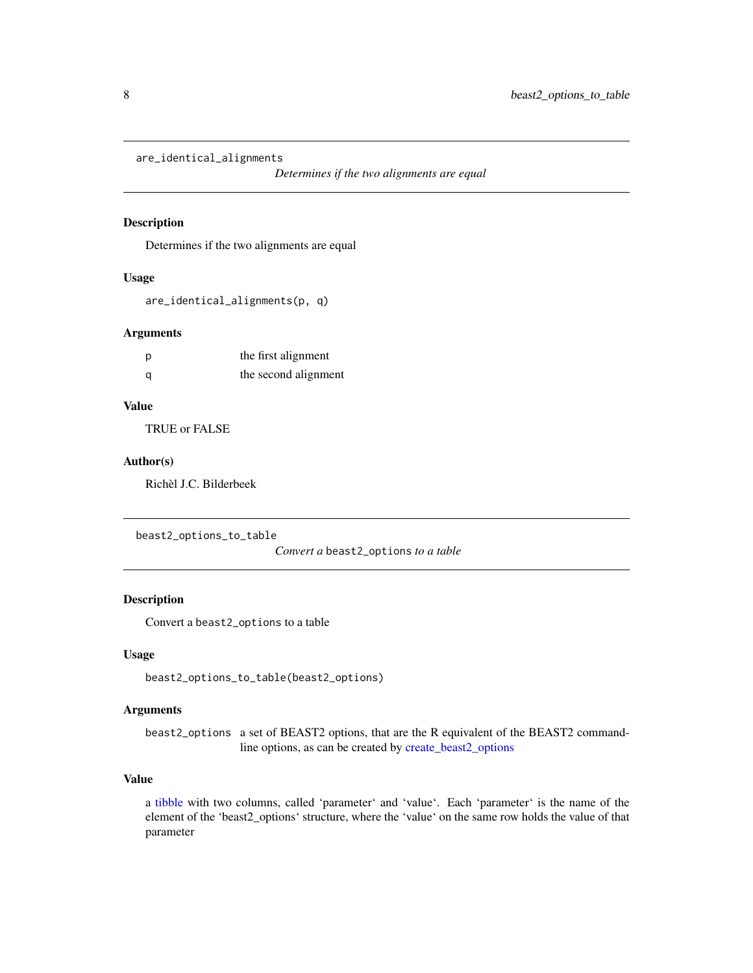<span id="page-7-0"></span>are\_identical\_alignments

*Determines if the two alignments are equal*

# Description

Determines if the two alignments are equal

#### Usage

are\_identical\_alignments(p, q)

### Arguments

| p | the first alignment  |
|---|----------------------|
| a | the second alignment |

### Value

TRUE or FALSE

## Author(s)

Richèl J.C. Bilderbeek

beast2\_options\_to\_table

*Convert a* beast2\_options *to a table*

### Description

Convert a beast2\_options to a table

# Usage

beast2\_options\_to\_table(beast2\_options)

# Arguments

beast2\_options a set of BEAST2 options, that are the R equivalent of the BEAST2 commandline options, as can be created by [create\\_beast2\\_options](#page-27-1)

# Value

a [tibble](#page-0-0) with two columns, called 'parameter' and 'value'. Each 'parameter' is the name of the element of the 'beast2\_options' structure, where the 'value' on the same row holds the value of that parameter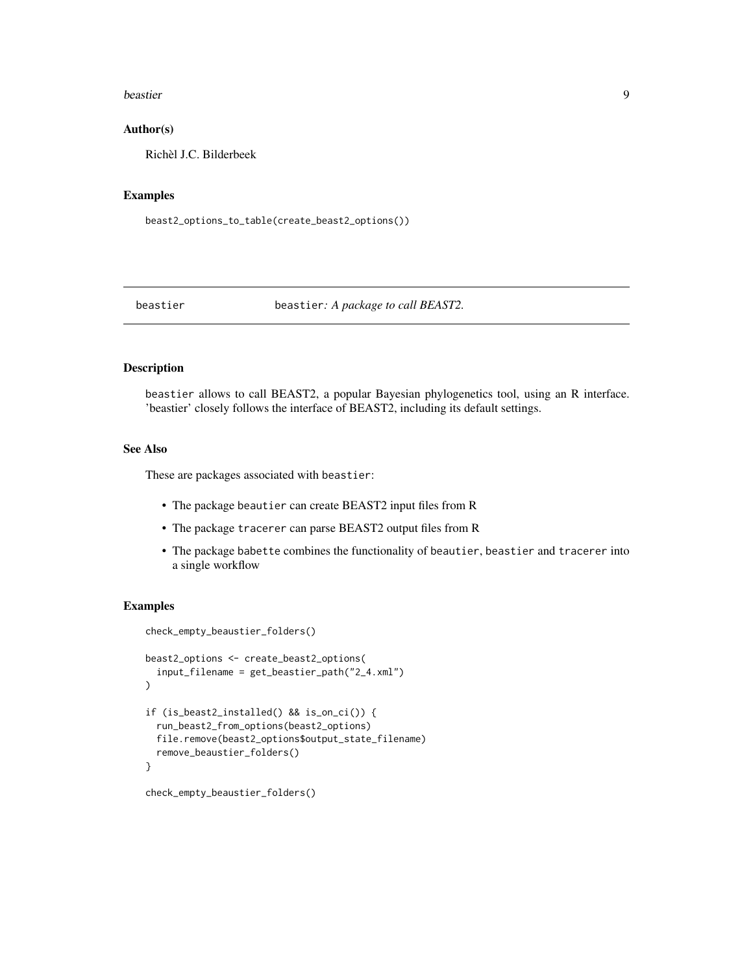#### <span id="page-8-0"></span>beastier 9

### Author(s)

Richèl J.C. Bilderbeek

## Examples

beast2\_options\_to\_table(create\_beast2\_options())

<span id="page-8-1"></span>beastier beastier*: A package to call BEAST2.*

### Description

beastier allows to call BEAST2, a popular Bayesian phylogenetics tool, using an R interface. 'beastier' closely follows the interface of BEAST2, including its default settings.

### See Also

These are packages associated with beastier:

- The package beautier can create BEAST2 input files from R
- The package tracerer can parse BEAST2 output files from R
- The package babette combines the functionality of beautier, beastier and tracerer into a single workflow

#### Examples

```
check_empty_beaustier_folders()
beast2_options <- create_beast2_options(
 input_filename = get_beastier_path("2_4.xml")
)
if (is_beast2_installed() && is_on_ci()) {
 run_beast2_from_options(beast2_options)
 file.remove(beast2_options$output_state_filename)
 remove_beaustier_folders()
}
check_empty_beaustier_folders()
```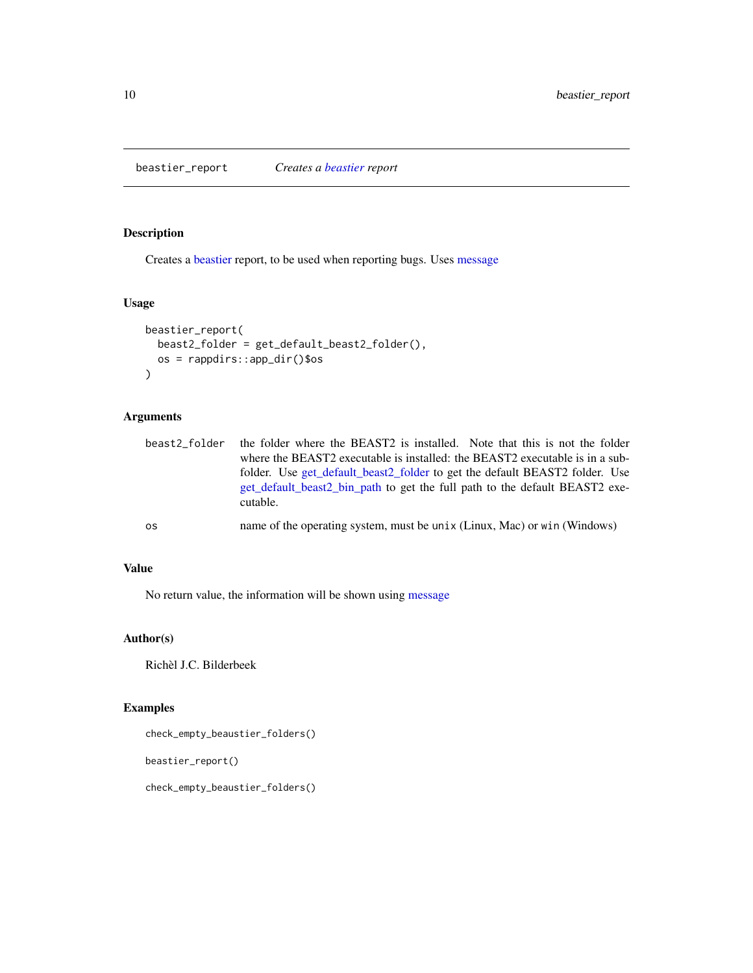<span id="page-9-0"></span>beastier\_report *Creates a [beastier](#page-8-1) report*

# Description

Creates a [beastier](#page-8-1) report, to be used when reporting bugs. Uses [message](#page-0-0)

# Usage

```
beastier_report(
  beast2_folder = get_default_beast2_folder(),
  os = rappdirs::app_dir()$os
\mathcal{L}
```
# Arguments

| beast2 folder | the folder where the BEAST2 is installed. Note that this is not the folder              |
|---------------|-----------------------------------------------------------------------------------------|
|               | where the BEAST2 executable is installed: the BEAST2 executable is in a sub-            |
|               | folder. Use get default beast2 folder to get the default BEAST2 folder. Use             |
|               | get default beast2 bin path to get the full path to the default BEAST2 exe-<br>cutable. |
| 0S            | name of the operating system, must be unix (Linux, Mac) or win (Windows)                |

# Value

No return value, the information will be shown using [message](#page-0-0)

# Author(s)

Richèl J.C. Bilderbeek

# Examples

check\_empty\_beaustier\_folders()

beastier\_report()

check\_empty\_beaustier\_folders()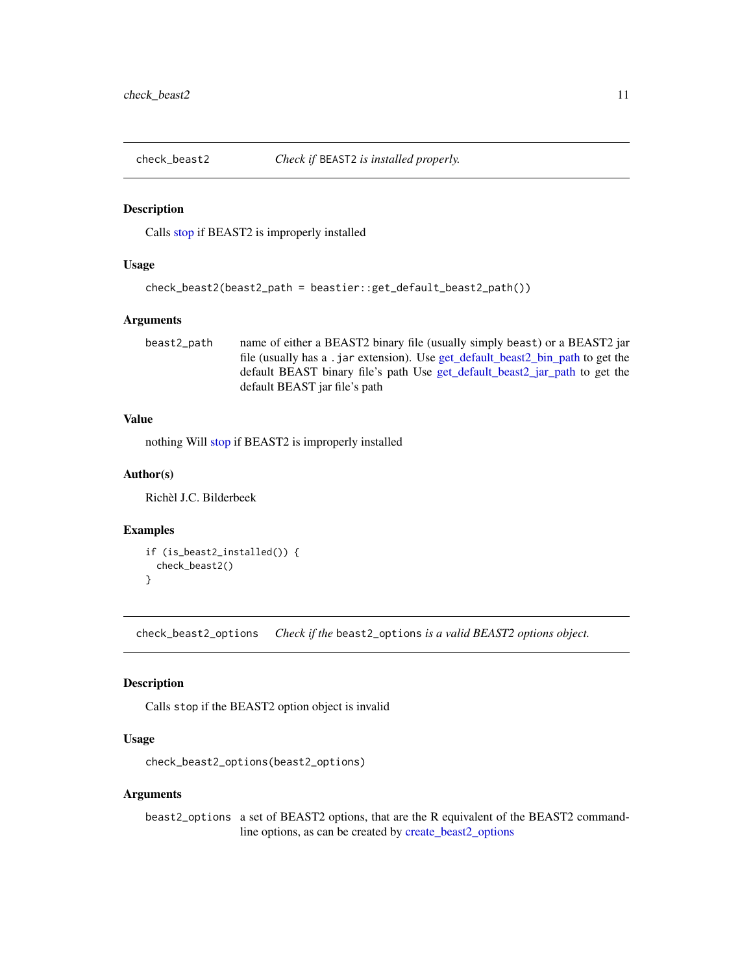<span id="page-10-0"></span>

# **Description**

Calls [stop](#page-0-0) if BEAST2 is improperly installed

# Usage

```
check_beast2(beast2_path = beastier::get_default_beast2_path())
```
### Arguments

beast2\_path name of either a BEAST2 binary file (usually simply beast) or a BEAST2 jar file (usually has a .jar extension). Use [get\\_default\\_beast2\\_bin\\_path](#page-59-1) to get the default BEAST binary file's path Use [get\\_default\\_beast2\\_jar\\_path](#page-63-1) to get the default BEAST jar file's path

# Value

nothing Will [stop](#page-0-0) if BEAST2 is improperly installed

### Author(s)

Richèl J.C. Bilderbeek

### Examples

```
if (is_beast2_installed()) {
 check_beast2()
}
```
<span id="page-10-1"></span>check\_beast2\_options *Check if the* beast2\_options *is a valid BEAST2 options object.*

# Description

Calls stop if the BEAST2 option object is invalid

#### Usage

```
check_beast2_options(beast2_options)
```
#### Arguments

beast2\_options a set of BEAST2 options, that are the R equivalent of the BEAST2 commandline options, as can be created by [create\\_beast2\\_options](#page-27-1)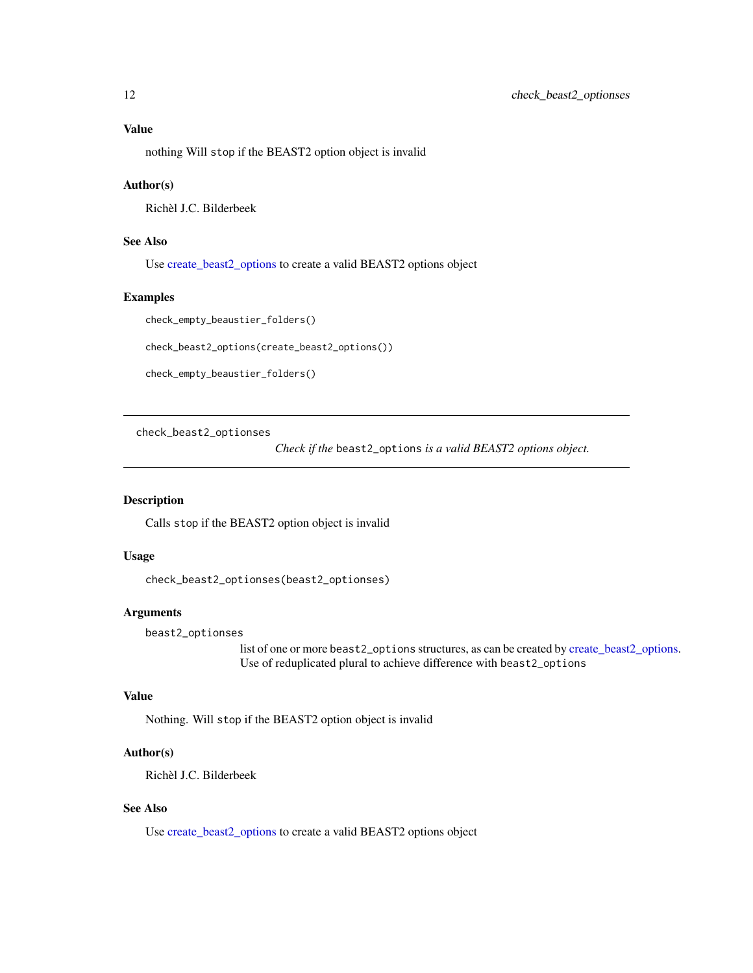<span id="page-11-0"></span>nothing Will stop if the BEAST2 option object is invalid

#### Author(s)

Richèl J.C. Bilderbeek

# See Also

Use [create\\_beast2\\_options](#page-27-1) to create a valid BEAST2 options object

# Examples

check\_empty\_beaustier\_folders()

check\_beast2\_options(create\_beast2\_options())

check\_empty\_beaustier\_folders()

check\_beast2\_optionses

*Check if the* beast2\_options *is a valid BEAST2 options object.*

# Description

Calls stop if the BEAST2 option object is invalid

### Usage

check\_beast2\_optionses(beast2\_optionses)

### Arguments

beast2\_optionses

list of one or more beast2\_options structures, as can be created by [create\\_beast2\\_options.](#page-27-1) Use of reduplicated plural to achieve difference with beast2\_options

### Value

Nothing. Will stop if the BEAST2 option object is invalid

### Author(s)

Richèl J.C. Bilderbeek

# See Also

Use [create\\_beast2\\_options](#page-27-1) to create a valid BEAST2 options object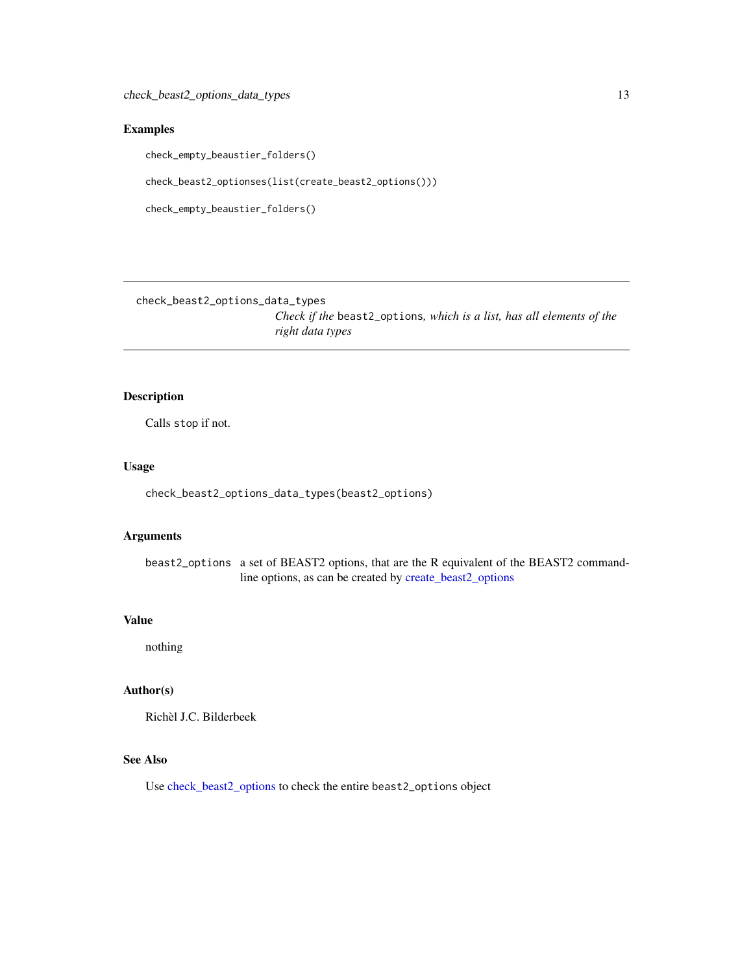# <span id="page-12-0"></span>Examples

check\_empty\_beaustier\_folders()

check\_beast2\_optionses(list(create\_beast2\_options()))

check\_empty\_beaustier\_folders()

check\_beast2\_options\_data\_types

*Check if the* beast2\_options*, which is a list, has all elements of the right data types*

# Description

Calls stop if not.

# Usage

check\_beast2\_options\_data\_types(beast2\_options)

### Arguments

beast2\_options a set of BEAST2 options, that are the R equivalent of the BEAST2 commandline options, as can be created by [create\\_beast2\\_options](#page-27-1)

### Value

nothing

# Author(s)

Richèl J.C. Bilderbeek

# See Also

Use [check\\_beast2\\_options](#page-10-1) to check the entire beast2\_options object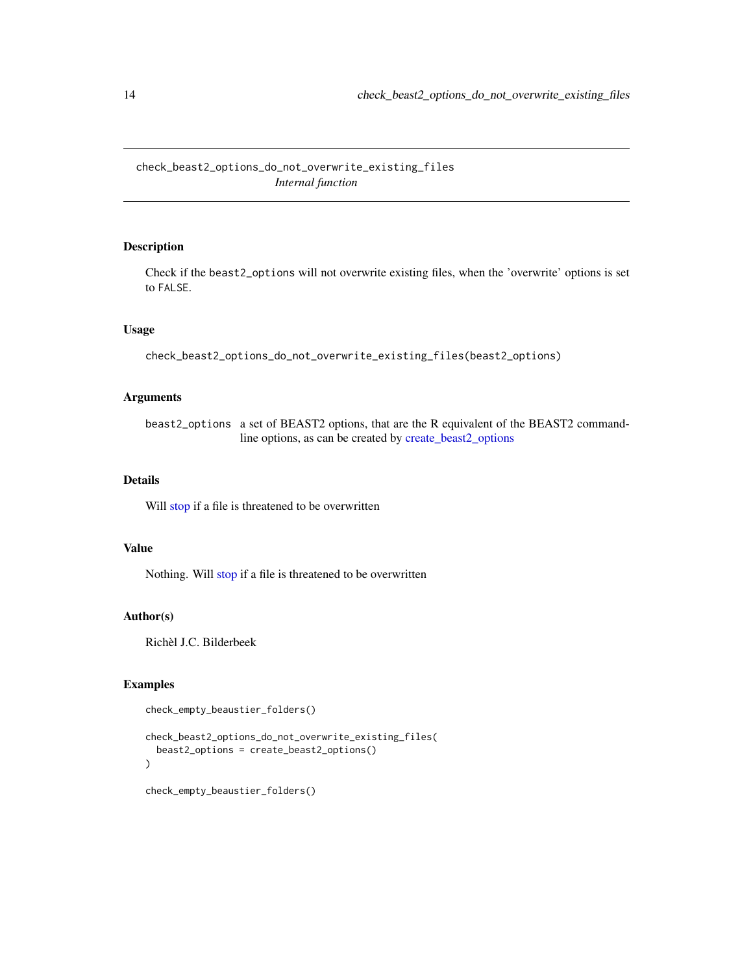<span id="page-13-0"></span>check\_beast2\_options\_do\_not\_overwrite\_existing\_files *Internal function*

# Description

Check if the beast2\_options will not overwrite existing files, when the 'overwrite' options is set to FALSE.

### Usage

```
check_beast2_options_do_not_overwrite_existing_files(beast2_options)
```
# Arguments

beast2\_options a set of BEAST2 options, that are the R equivalent of the BEAST2 commandline options, as can be created by [create\\_beast2\\_options](#page-27-1)

### Details

Will [stop](#page-0-0) if a file is threatened to be overwritten

# Value

Nothing. Will [stop](#page-0-0) if a file is threatened to be overwritten

### Author(s)

Richèl J.C. Bilderbeek

### Examples

```
check_empty_beaustier_folders()
```

```
check_beast2_options_do_not_overwrite_existing_files(
 beast2_options = create_beast2_options()
)
```

```
check_empty_beaustier_folders()
```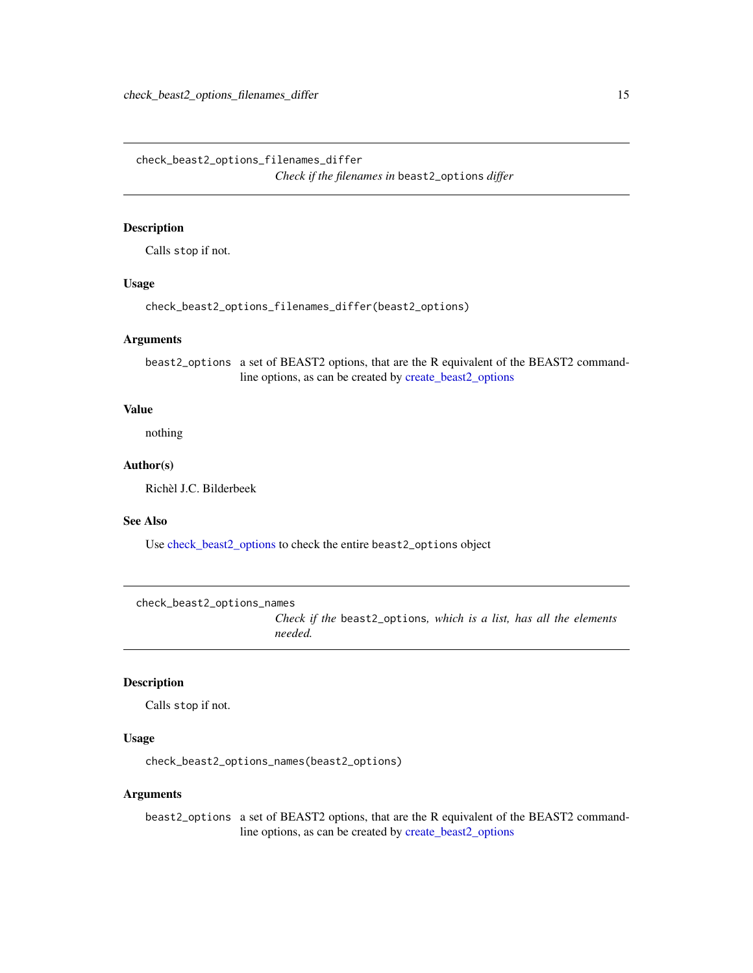<span id="page-14-0"></span>check\_beast2\_options\_filenames\_differ *Check if the filenames in* beast2\_options *differ*

### Description

Calls stop if not.

# Usage

check\_beast2\_options\_filenames\_differ(beast2\_options)

#### Arguments

beast2\_options a set of BEAST2 options, that are the R equivalent of the BEAST2 commandline options, as can be created by [create\\_beast2\\_options](#page-27-1)

# Value

nothing

### Author(s)

Richèl J.C. Bilderbeek

### See Also

Use [check\\_beast2\\_options](#page-10-1) to check the entire beast2\_options object

check\_beast2\_options\_names

*Check if the* beast2\_options*, which is a list, has all the elements needed.*

# Description

Calls stop if not.

#### Usage

check\_beast2\_options\_names(beast2\_options)

### Arguments

beast2\_options a set of BEAST2 options, that are the R equivalent of the BEAST2 commandline options, as can be created by [create\\_beast2\\_options](#page-27-1)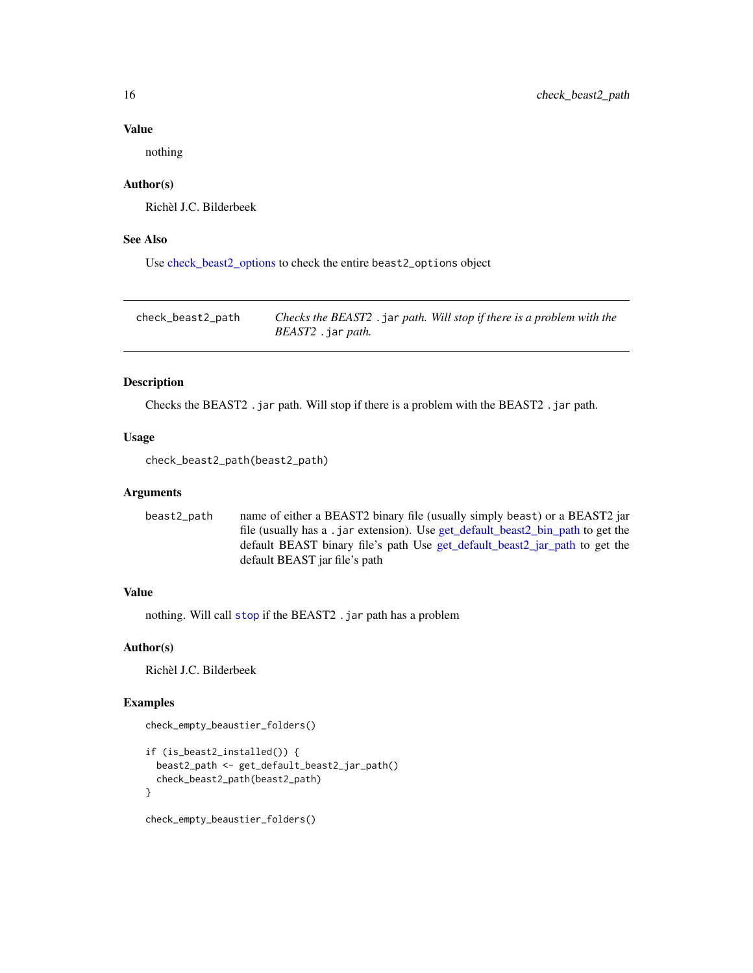#### Value

nothing

### Author(s)

Richèl J.C. Bilderbeek

### See Also

Use [check\\_beast2\\_options](#page-10-1) to check the entire beast2\_options object

check\_beast2\_path *Checks the BEAST2* .jar *path. Will stop if there is a problem with the BEAST2* .jar *path.*

### Description

Checks the BEAST2 .jar path. Will stop if there is a problem with the BEAST2 .jar path.

### Usage

```
check_beast2_path(beast2_path)
```
### Arguments

```
beast2_path name of either a BEAST2 binary file (usually simply beast) or a BEAST2 jar
                  file (usually has a .jar extension). Use get_default_beast2_bin_path to get the
                  default BEAST binary file's path Use get_default_beast2_jar_path to get the
                  default BEAST jar file's path
```
### Value

nothing. Will call [stop](#page-0-0) if the BEAST2 . jar path has a problem

### Author(s)

Richèl J.C. Bilderbeek

### Examples

```
check_empty_beaustier_folders()
```

```
if (is_beast2_installed()) {
 beast2_path <- get_default_beast2_jar_path()
 check_beast2_path(beast2_path)
}
```
check\_empty\_beaustier\_folders()

<span id="page-15-0"></span>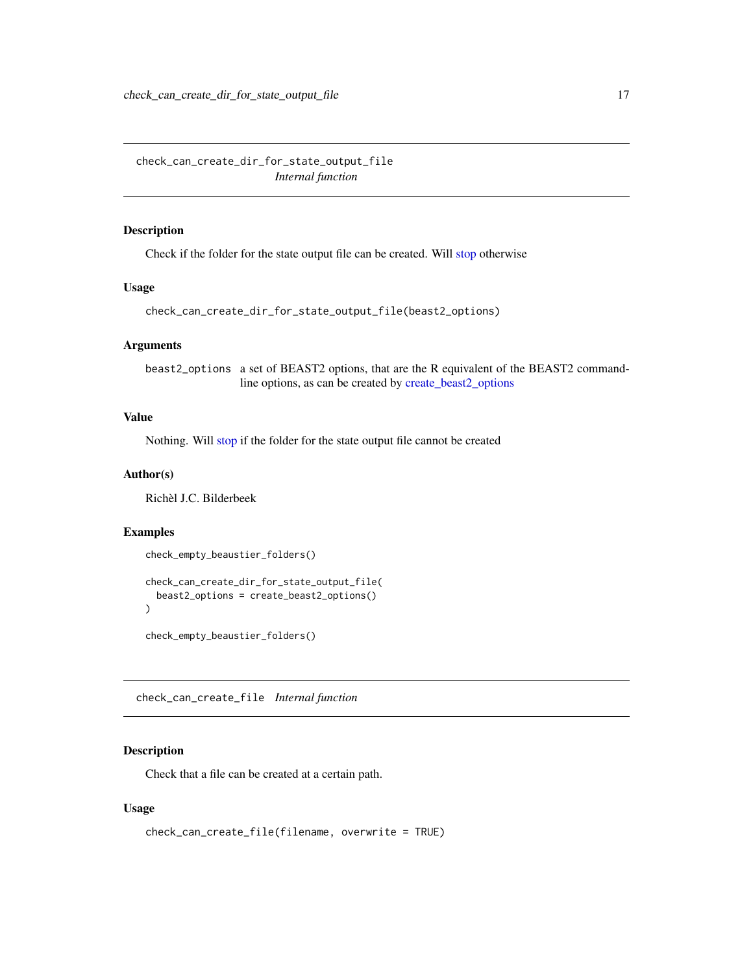<span id="page-16-0"></span>check\_can\_create\_dir\_for\_state\_output\_file *Internal function*

# Description

Check if the folder for the state output file can be created. Will [stop](#page-0-0) otherwise

### Usage

```
check_can_create_dir_for_state_output_file(beast2_options)
```
### Arguments

beast2\_options a set of BEAST2 options, that are the R equivalent of the BEAST2 commandline options, as can be created by [create\\_beast2\\_options](#page-27-1)

# Value

Nothing. Will [stop](#page-0-0) if the folder for the state output file cannot be created

### Author(s)

Richèl J.C. Bilderbeek

#### Examples

check\_empty\_beaustier\_folders()

```
check_can_create_dir_for_state_output_file(
  beast2_options = create_beast2_options()
\mathcal{L}
```
check\_empty\_beaustier\_folders()

check\_can\_create\_file *Internal function*

# Description

Check that a file can be created at a certain path.

```
check_can_create_file(filename, overwrite = TRUE)
```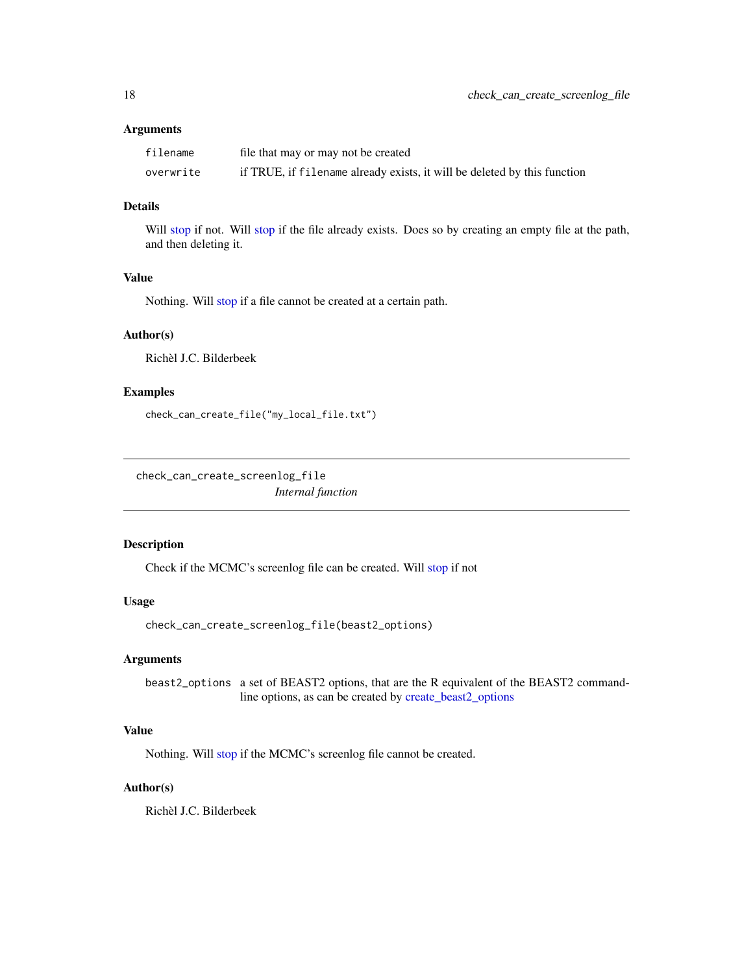<span id="page-17-0"></span>

| filename  | file that may or may not be created                                      |
|-----------|--------------------------------------------------------------------------|
| overwrite | if TRUE, if filename already exists, it will be deleted by this function |

# Details

Will [stop](#page-0-0) if not. Will stop if the file already exists. Does so by creating an empty file at the path, and then deleting it.

### Value

Nothing. Will [stop](#page-0-0) if a file cannot be created at a certain path.

### Author(s)

Richèl J.C. Bilderbeek

### Examples

check\_can\_create\_file("my\_local\_file.txt")

check\_can\_create\_screenlog\_file *Internal function*

### Description

Check if the MCMC's screenlog file can be created. Will [stop](#page-0-0) if not

# Usage

```
check_can_create_screenlog_file(beast2_options)
```
# Arguments

beast2\_options a set of BEAST2 options, that are the R equivalent of the BEAST2 commandline options, as can be created by [create\\_beast2\\_options](#page-27-1)

# Value

Nothing. Will [stop](#page-0-0) if the MCMC's screenlog file cannot be created.

### Author(s)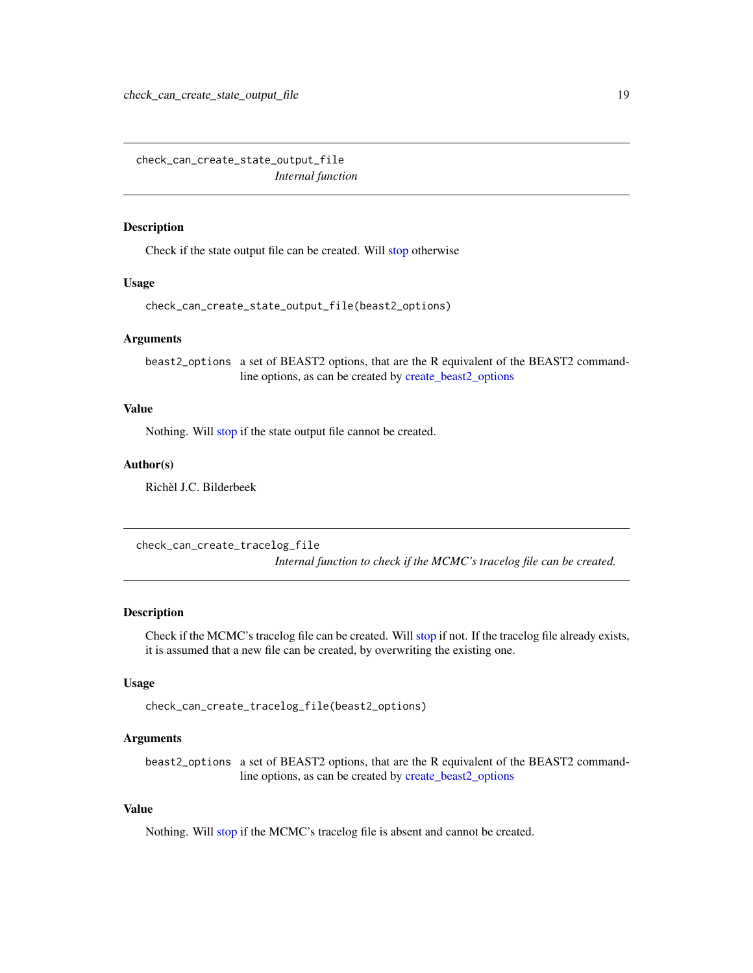<span id="page-18-0"></span>check\_can\_create\_state\_output\_file *Internal function*

### Description

Check if the state output file can be created. Will [stop](#page-0-0) otherwise

### Usage

check\_can\_create\_state\_output\_file(beast2\_options)

### Arguments

beast2\_options a set of BEAST2 options, that are the R equivalent of the BEAST2 commandline options, as can be created by [create\\_beast2\\_options](#page-27-1)

### Value

Nothing. Will [stop](#page-0-0) if the state output file cannot be created.

### Author(s)

Richèl J.C. Bilderbeek

check\_can\_create\_tracelog\_file *Internal function to check if the MCMC's tracelog file can be created.*

#### **Description**

Check if the MCMC's tracelog file can be created. Will [stop](#page-0-0) if not. If the tracelog file already exists, it is assumed that a new file can be created, by overwriting the existing one.

# Usage

```
check_can_create_tracelog_file(beast2_options)
```
#### Arguments

beast2\_options a set of BEAST2 options, that are the R equivalent of the BEAST2 commandline options, as can be created by [create\\_beast2\\_options](#page-27-1)

# Value

Nothing. Will [stop](#page-0-0) if the MCMC's tracelog file is absent and cannot be created.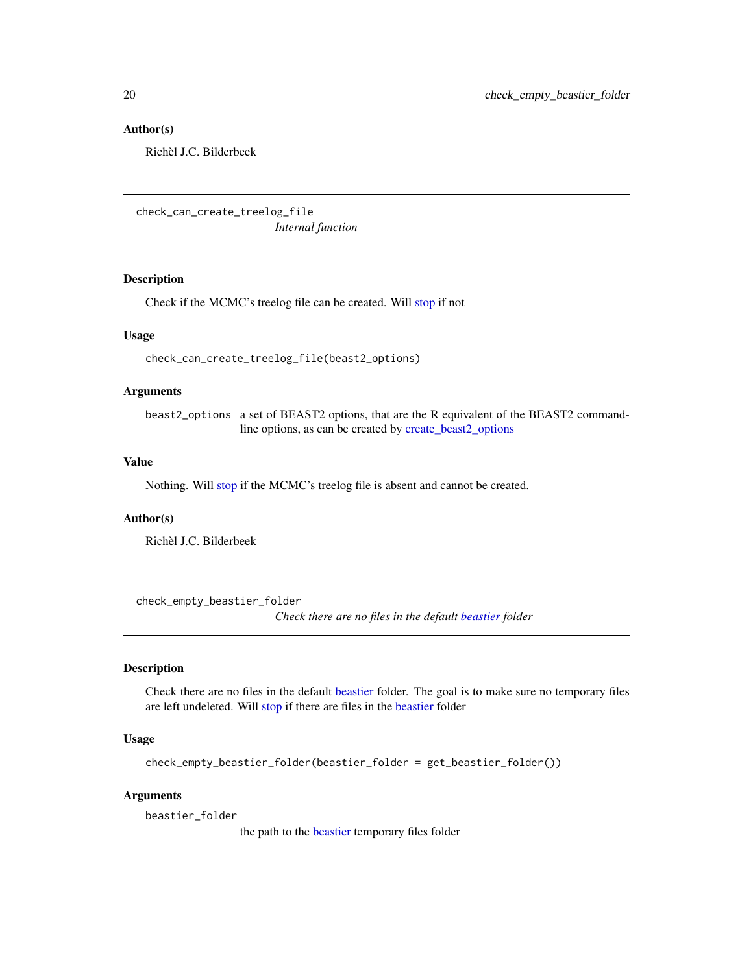### Author(s)

Richèl J.C. Bilderbeek

check\_can\_create\_treelog\_file *Internal function*

#### Description

Check if the MCMC's treelog file can be created. Will [stop](#page-0-0) if not

### Usage

check\_can\_create\_treelog\_file(beast2\_options)

### Arguments

beast2\_options a set of BEAST2 options, that are the R equivalent of the BEAST2 commandline options, as can be created by [create\\_beast2\\_options](#page-27-1)

### Value

Nothing. Will [stop](#page-0-0) if the MCMC's treelog file is absent and cannot be created.

#### Author(s)

Richèl J.C. Bilderbeek

check\_empty\_beastier\_folder

*Check there are no files in the default [beastier](#page-8-1) folder*

# Description

Check there are no files in the default [beastier](#page-8-1) folder. The goal is to make sure no temporary files are left undeleted. Will [stop](#page-0-0) if there are files in the [beastier](#page-8-1) folder

#### Usage

```
check_empty_beastier_folder(beastier_folder = get_beastier_folder())
```
#### Arguments

beastier\_folder

the path to the [beastier](#page-8-1) temporary files folder

<span id="page-19-0"></span>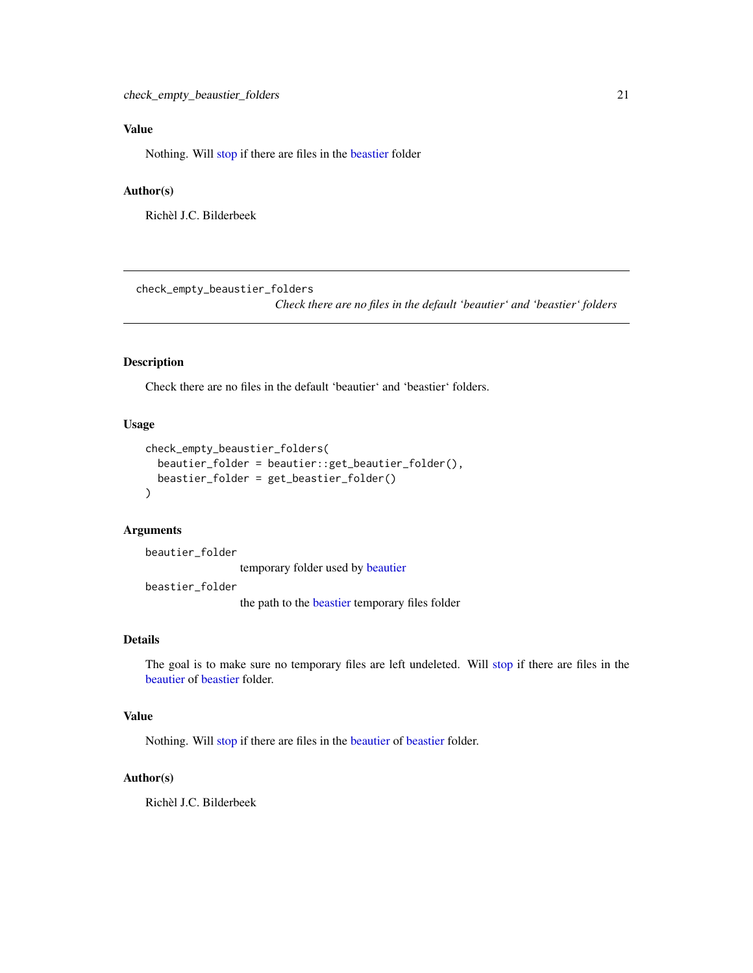# <span id="page-20-0"></span>Value

Nothing. Will [stop](#page-0-0) if there are files in the [beastier](#page-8-1) folder

#### Author(s)

Richèl J.C. Bilderbeek

check\_empty\_beaustier\_folders

*Check there are no files in the default 'beautier' and 'beastier' folders*

#### Description

Check there are no files in the default 'beautier' and 'beastier' folders.

# Usage

```
check_empty_beaustier_folders(
 beautier_folder = beautier::get_beautier_folder(),
 beastier_folder = get_beastier_folder()
)
```
# Arguments

beautier\_folder

temporary folder used by [beautier](#page-0-0)

beastier\_folder

the path to the [beastier](#page-8-1) temporary files folder

### Details

The goal is to make sure no temporary files are left undeleted. Will [stop](#page-0-0) if there are files in the [beautier](#page-0-0) of [beastier](#page-8-1) folder.

### Value

Nothing. Will [stop](#page-0-0) if there are files in the [beautier](#page-0-0) of [beastier](#page-8-1) folder.

#### Author(s)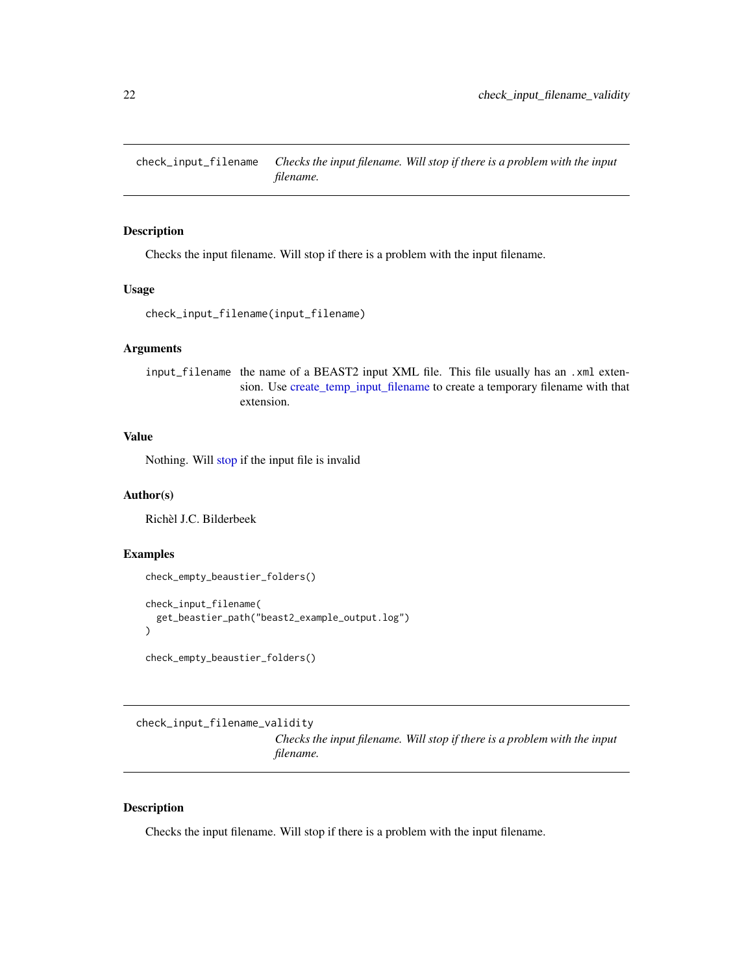<span id="page-21-0"></span>check\_input\_filename *Checks the input filename. Will stop if there is a problem with the input filename.*

# Description

Checks the input filename. Will stop if there is a problem with the input filename.

# Usage

```
check_input_filename(input_filename)
```
## Arguments

input\_filename the name of a BEAST2 input XML file. This file usually has an .xml extension. Use [create\\_temp\\_input\\_filename](#page-44-1) to create a temporary filename with that extension.

# Value

Nothing. Will [stop](#page-0-0) if the input file is invalid

### Author(s)

Richèl J.C. Bilderbeek

# Examples

```
check_empty_beaustier_folders()
```

```
check_input_filename(
 get_beastier_path("beast2_example_output.log")
)
```

```
check_empty_beaustier_folders()
```
check\_input\_filename\_validity

*Checks the input filename. Will stop if there is a problem with the input filename.*

### Description

Checks the input filename. Will stop if there is a problem with the input filename.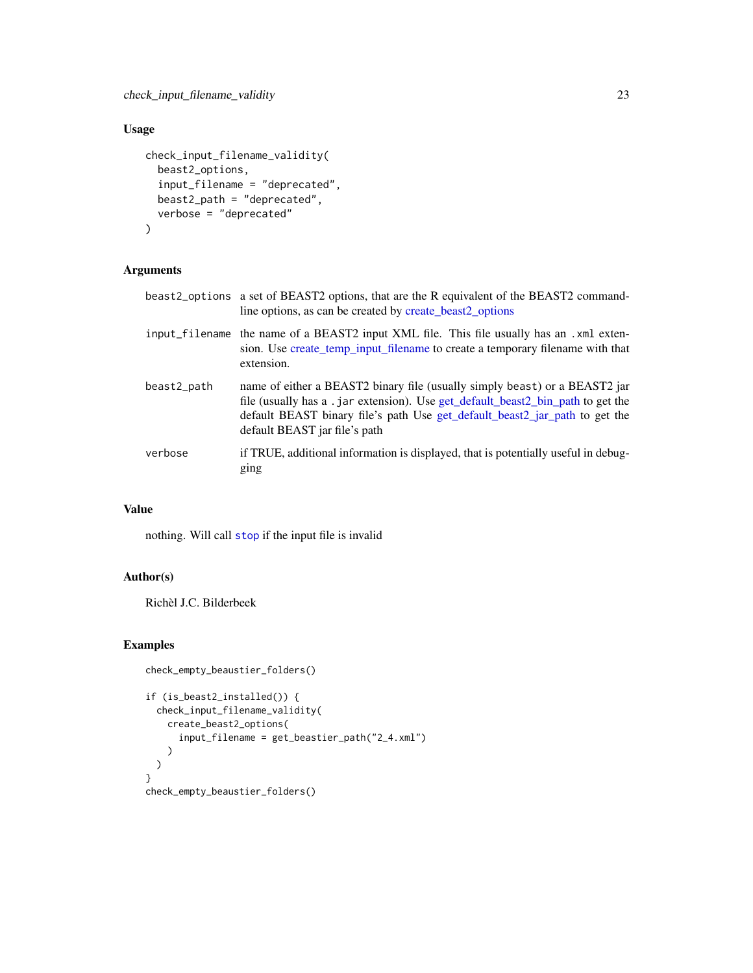### Usage

```
check_input_filename_validity(
  beast2_options,
  input_filename = "deprecated",
  beast2_path = "deprecated",
  verbose = "deprecated"
)
```
# Arguments

- beast2\_options a set of BEAST2 options, that are the R equivalent of the BEAST2 commandline options, as can be created by [create\\_beast2\\_options](#page-27-1)
- input\_filename the name of a BEAST2 input XML file. This file usually has an .xml extension. Use [create\\_temp\\_input\\_filename](#page-44-1) to create a temporary filename with that extension. beast2\_path name of either a BEAST2 binary file (usually simply beast) or a BEAST2 jar
- file (usually has a .jar extension). Use [get\\_default\\_beast2\\_bin\\_path](#page-59-1) to get the default BEAST binary file's path Use [get\\_default\\_beast2\\_jar\\_path](#page-63-1) to get the default BEAST jar file's path
- verbose if TRUE, additional information is displayed, that is potentially useful in debugging

#### Value

nothing. Will call [stop](#page-0-0) if the input file is invalid

### Author(s)

Richèl J.C. Bilderbeek

#### Examples

```
check_empty_beaustier_folders()
if (is_beast2_installed()) {
 check_input_filename_validity(
   create_beast2_options(
     input_filename = get_beastier_path("2_4.xml")
    )
 )
}
check_empty_beaustier_folders()
```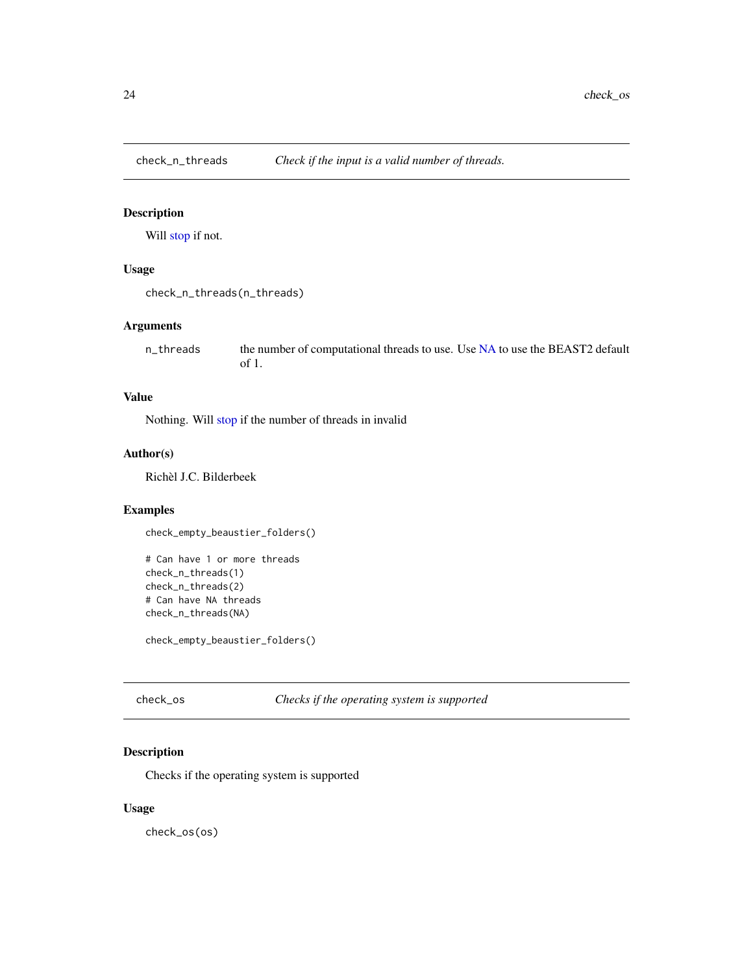<span id="page-23-0"></span>

# Description

Will [stop](#page-0-0) if not.

# Usage

```
check_n_threads(n_threads)
```
### Arguments

n\_threads the number of computational threads to use. Use [NA](#page-0-0) to use the BEAST2 default of 1.

# Value

Nothing. Will [stop](#page-0-0) if the number of threads in invalid

# Author(s)

Richèl J.C. Bilderbeek

# Examples

check\_empty\_beaustier\_folders()

```
# Can have 1 or more threads
check_n_threads(1)
check_n_threads(2)
# Can have NA threads
check_n_threads(NA)
```
check\_empty\_beaustier\_folders()

check\_os *Checks if the operating system is supported*

# Description

Checks if the operating system is supported

# Usage

check\_os(os)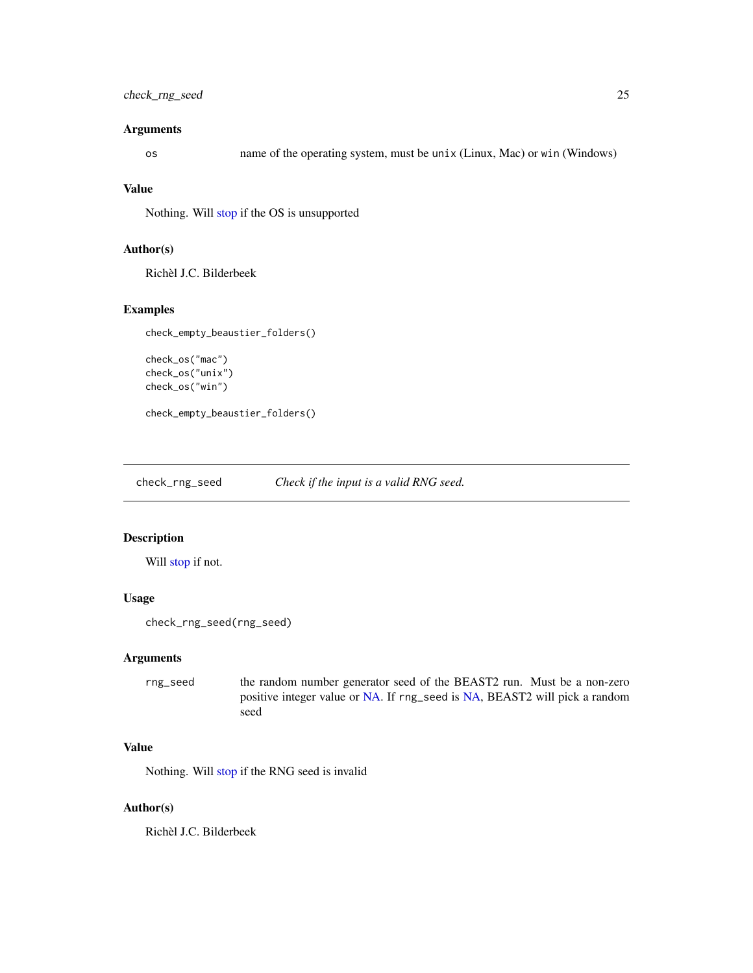# <span id="page-24-0"></span>check\_rng\_seed 25

### Arguments

os name of the operating system, must be unix (Linux, Mac) or win (Windows)

# Value

Nothing. Will [stop](#page-0-0) if the OS is unsupported

# Author(s)

Richèl J.C. Bilderbeek

# Examples

check\_empty\_beaustier\_folders()

```
check_os("mac")
check_os("unix")
check_os("win")
```
check\_empty\_beaustier\_folders()

check\_rng\_seed *Check if the input is a valid RNG seed.*

### Description

Will [stop](#page-0-0) if not.

### Usage

```
check_rng_seed(rng_seed)
```
#### Arguments

rng\_seed the random number generator seed of the BEAST2 run. Must be a non-zero positive integer value or [NA.](#page-0-0) If rng\_seed is [NA,](#page-0-0) BEAST2 will pick a random seed

# Value

Nothing. Will [stop](#page-0-0) if the RNG seed is invalid

### Author(s)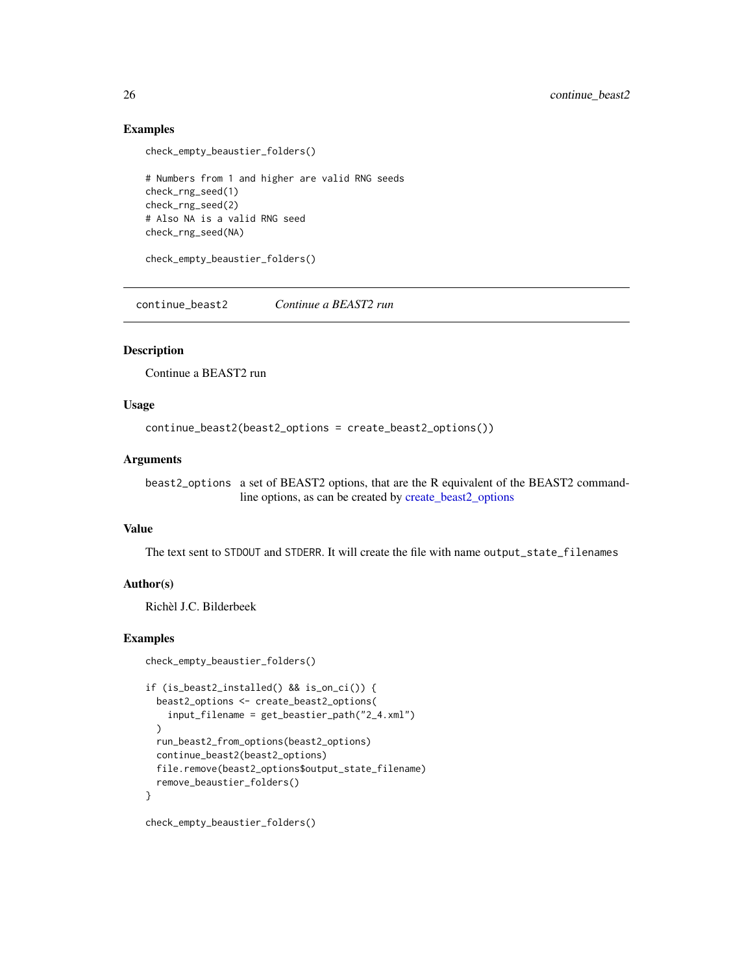### Examples

```
check_empty_beaustier_folders()
```

```
# Numbers from 1 and higher are valid RNG seeds
check_rng_seed(1)
check_rng_seed(2)
# Also NA is a valid RNG seed
check_rng_seed(NA)
```
check\_empty\_beaustier\_folders()

continue\_beast2 *Continue a BEAST2 run*

#### **Description**

Continue a BEAST2 run

### Usage

```
continue_beast2(beast2_options = create_beast2_options())
```
#### **Arguments**

beast2\_options a set of BEAST2 options, that are the R equivalent of the BEAST2 commandline options, as can be created by [create\\_beast2\\_options](#page-27-1)

### Value

The text sent to STDOUT and STDERR. It will create the file with name output\_state\_filenames

### Author(s)

Richèl J.C. Bilderbeek

#### Examples

```
check_empty_beaustier_folders()
```

```
if (is_beast2_installed() && is_on_ci()) {
 beast2_options <- create_beast2_options(
   input_filename = get_beastier_path("2_4.xml")
 \lambdarun_beast2_from_options(beast2_options)
 continue_beast2(beast2_options)
 file.remove(beast2_options$output_state_filename)
 remove_beaustier_folders()
}
check_empty_beaustier_folders()
```
<span id="page-25-0"></span>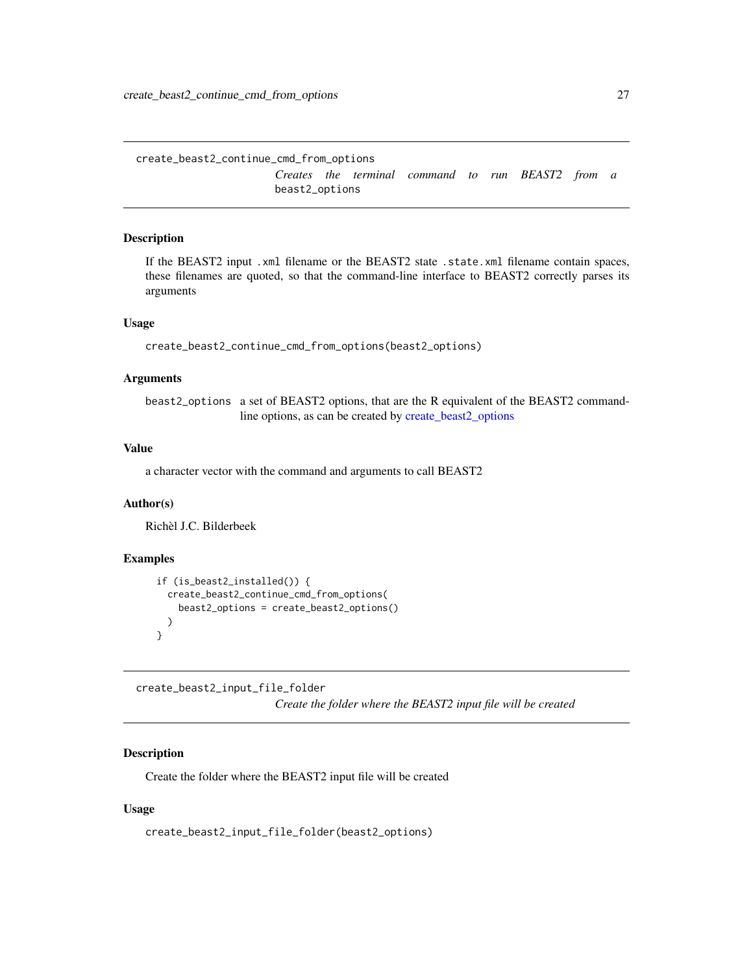<span id="page-26-0"></span>create\_beast2\_continue\_cmd\_from\_options *Creates the terminal command to run BEAST2 from a* beast2\_options

### Description

If the BEAST2 input .xml filename or the BEAST2 state .state.xml filename contain spaces, these filenames are quoted, so that the command-line interface to BEAST2 correctly parses its arguments

### Usage

create\_beast2\_continue\_cmd\_from\_options(beast2\_options)

### Arguments

beast2\_options a set of BEAST2 options, that are the R equivalent of the BEAST2 commandline options, as can be created by [create\\_beast2\\_options](#page-27-1)

# Value

a character vector with the command and arguments to call BEAST2

# Author(s)

Richèl J.C. Bilderbeek

#### Examples

```
if (is_beast2_installed()) {
  create_beast2_continue_cmd_from_options(
    beast2_options = create_beast2_options()
  )
}
```
create\_beast2\_input\_file\_folder *Create the folder where the BEAST2 input file will be created*

# Description

Create the folder where the BEAST2 input file will be created

### Usage

create\_beast2\_input\_file\_folder(beast2\_options)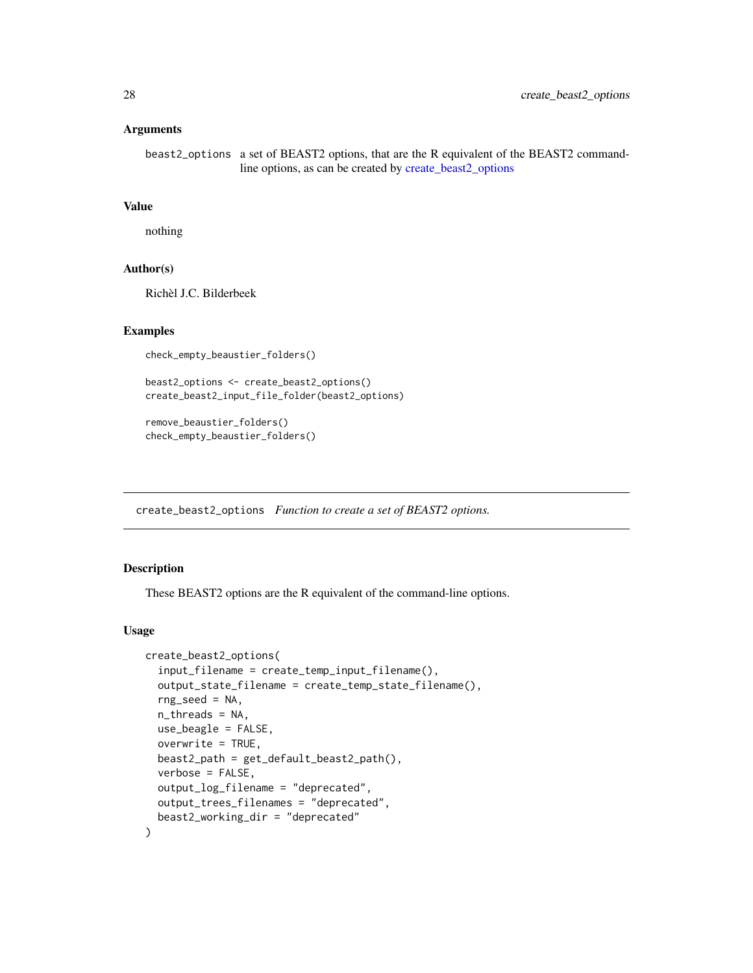<span id="page-27-0"></span>beast2\_options a set of BEAST2 options, that are the R equivalent of the BEAST2 commandline options, as can be created by [create\\_beast2\\_options](#page-27-1)

### Value

nothing

### Author(s)

Richèl J.C. Bilderbeek

# Examples

check\_empty\_beaustier\_folders()

beast2\_options <- create\_beast2\_options() create\_beast2\_input\_file\_folder(beast2\_options)

remove\_beaustier\_folders() check\_empty\_beaustier\_folders()

<span id="page-27-1"></span>create\_beast2\_options *Function to create a set of BEAST2 options.*

# Description

These BEAST2 options are the R equivalent of the command-line options.

```
create_beast2_options(
  input_filename = create_temp_input_filename(),
  output_state_filename = create_temp_state_filename(),
  rng\_seed = NA,
  n_threads = NA,
  use_beagle = FALSE,
  overwrite = TRUE,
  beast2_path = get_default_beast2_path(),
  verbose = FALSE,
  output_log_filename = "deprecated",
  output_trees_filenames = "deprecated",
  beast2_working_dir = "deprecated"
)
```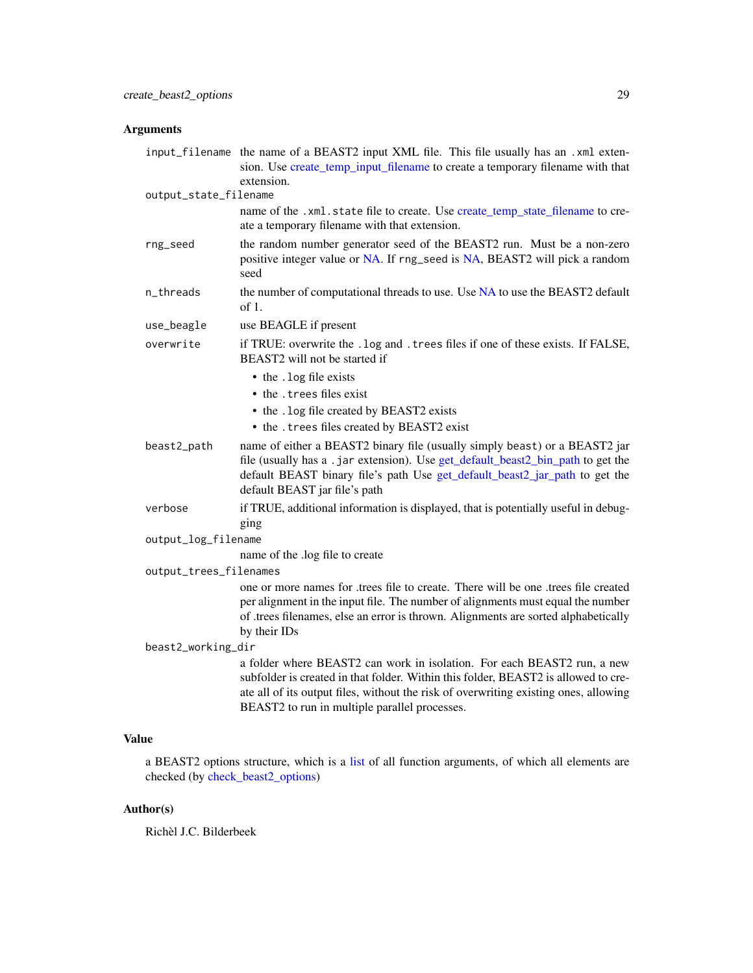|                        | input_filename the name of a BEAST2 input XML file. This file usually has an .xml exten-<br>sion. Use create_temp_input_filename to create a temporary filename with that<br>extension.                                                                                                                |
|------------------------|--------------------------------------------------------------------------------------------------------------------------------------------------------------------------------------------------------------------------------------------------------------------------------------------------------|
| output_state_filename  |                                                                                                                                                                                                                                                                                                        |
|                        | name of the .xml.state file to create. Use create_temp_state_filename to cre-<br>ate a temporary filename with that extension.                                                                                                                                                                         |
| rng_seed               | the random number generator seed of the BEAST2 run. Must be a non-zero<br>positive integer value or NA. If rng_seed is NA, BEAST2 will pick a random<br>seed                                                                                                                                           |
| n_threads              | the number of computational threads to use. Use NA to use the BEAST2 default<br>of 1.                                                                                                                                                                                                                  |
| use_beagle             | use BEAGLE if present                                                                                                                                                                                                                                                                                  |
| overwrite              | if TRUE: overwrite the . log and . trees files if one of these exists. If FALSE,<br>BEAST2 will not be started if                                                                                                                                                                                      |
|                        | • the . log file exists                                                                                                                                                                                                                                                                                |
|                        | • the . trees files exist                                                                                                                                                                                                                                                                              |
|                        | • the . log file created by BEAST2 exists                                                                                                                                                                                                                                                              |
|                        | • the .trees files created by BEAST2 exist                                                                                                                                                                                                                                                             |
| beast2_path            | name of either a BEAST2 binary file (usually simply beast) or a BEAST2 jar<br>file (usually has a .jar extension). Use get_default_beast2_bin_path to get the<br>default BEAST binary file's path Use get_default_beast2_jar_path to get the<br>default BEAST jar file's path                          |
| verbose                | if TRUE, additional information is displayed, that is potentially useful in debug-<br>ging                                                                                                                                                                                                             |
| output_log_filename    |                                                                                                                                                                                                                                                                                                        |
|                        | name of the .log file to create                                                                                                                                                                                                                                                                        |
| output_trees_filenames |                                                                                                                                                                                                                                                                                                        |
|                        | one or more names for .trees file to create. There will be one .trees file created<br>per alignment in the input file. The number of alignments must equal the number<br>of .trees filenames, else an error is thrown. Alignments are sorted alphabetically<br>by their IDs                            |
| beast2_working_dir     |                                                                                                                                                                                                                                                                                                        |
|                        | a folder where BEAST2 can work in isolation. For each BEAST2 run, a new<br>subfolder is created in that folder. Within this folder, BEAST2 is allowed to cre-<br>ate all of its output files, without the risk of overwriting existing ones, allowing<br>BEAST2 to run in multiple parallel processes. |

# Value

a BEAST2 options structure, which is a [list](#page-0-0) of all function arguments, of which all elements are checked (by [check\\_beast2\\_options\)](#page-10-1)

# Author(s)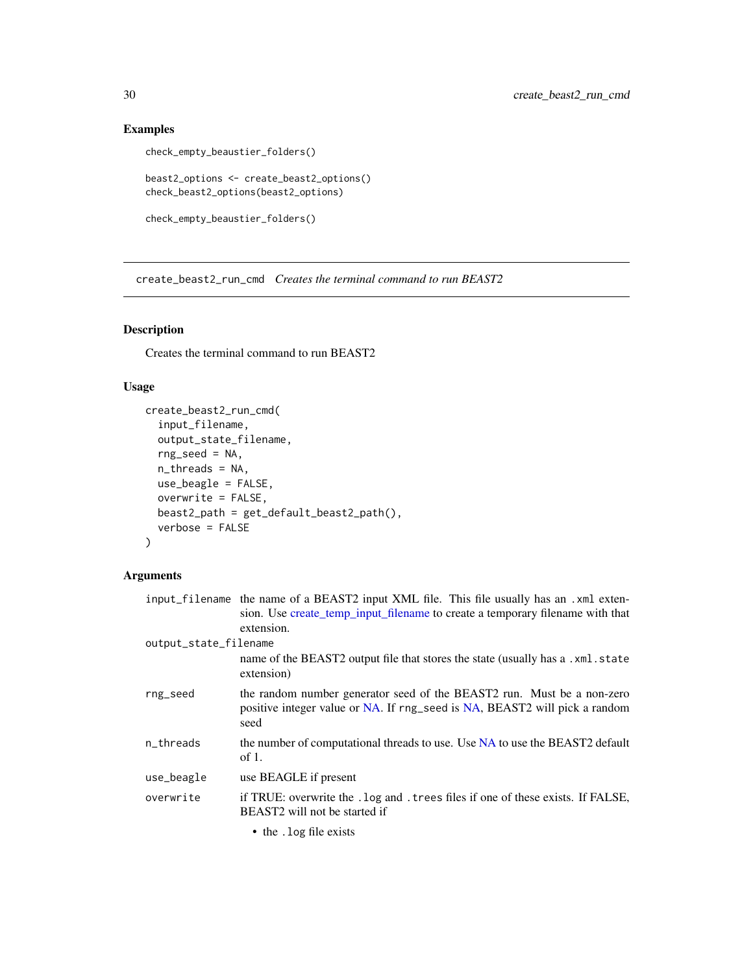# Examples

```
check_empty_beaustier_folders()
```

```
beast2_options <- create_beast2_options()
check_beast2_options(beast2_options)
```

```
check_empty_beaustier_folders()
```
create\_beast2\_run\_cmd *Creates the terminal command to run BEAST2*

# Description

Creates the terminal command to run BEAST2

# Usage

```
create_beast2_run_cmd(
  input_filename,
  output_state_filename,
  rng_seed = NA,
  n_threads = NA,
  use_beagle = FALSE,
  overwrite = FALSE,
  beast2_path = get_default_beast2_path(),
  verbose = FALSE
\mathcal{L}
```
# Arguments

|                       | input_filename the name of a BEAST2 input XML file. This file usually has an .xml exten-<br>sion. Use create temp input filename to create a temporary filename with that<br>extension. |
|-----------------------|-----------------------------------------------------------------------------------------------------------------------------------------------------------------------------------------|
| output_state_filename |                                                                                                                                                                                         |
|                       | name of the BEAST2 output file that stores the state (usually has a .xml.state<br>extension)                                                                                            |
| rng_seed              | the random number generator seed of the BEAST2 run. Must be a non-zero<br>positive integer value or NA. If rng_seed is NA, BEAST2 will pick a random<br>seed                            |
| n_threads             | the number of computational threads to use. Use NA to use the BEAST2 default<br>of 1.                                                                                                   |
| use_beagle            | use BEAGLE if present                                                                                                                                                                   |
| overwrite             | if TRUE: overwrite the . log and . trees files if one of these exists. If FALSE,<br>BEAST2 will not be started if                                                                       |
|                       | • the . log file exists                                                                                                                                                                 |

<span id="page-29-0"></span>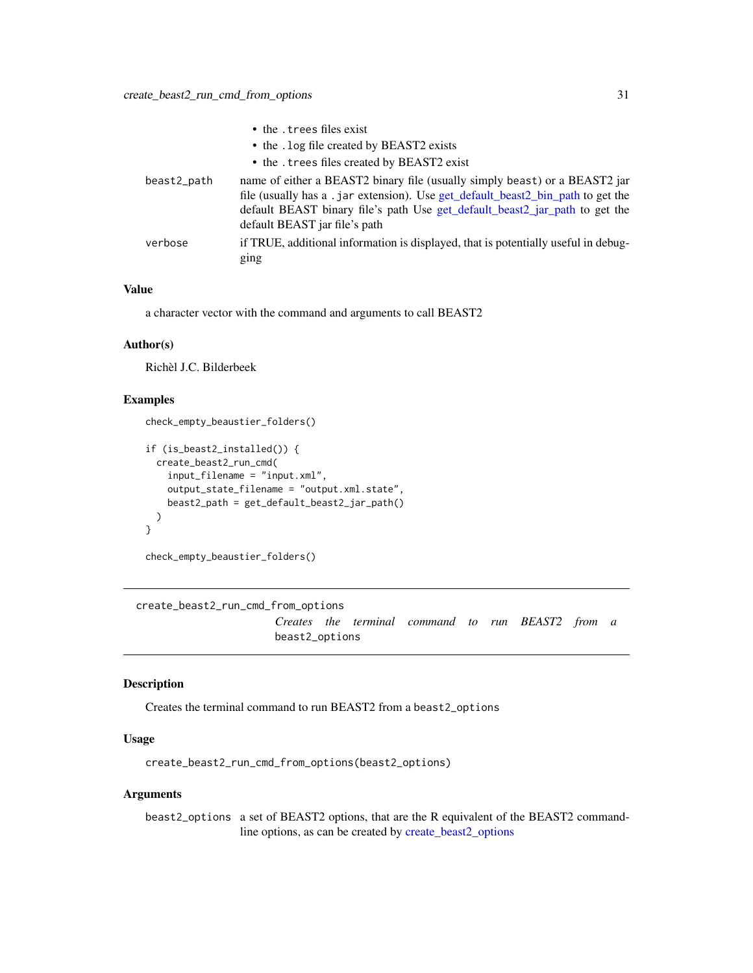<span id="page-30-0"></span>

|             | • the . trees files exist                                                                                                                                                                                                                                                     |
|-------------|-------------------------------------------------------------------------------------------------------------------------------------------------------------------------------------------------------------------------------------------------------------------------------|
|             | • the . log file created by BEAST2 exists                                                                                                                                                                                                                                     |
|             | • the . trees files created by BEAST2 exist                                                                                                                                                                                                                                   |
| beast2_path | name of either a BEAST2 binary file (usually simply beast) or a BEAST2 jar<br>file (usually has a .jar extension). Use get_default_beast2_bin_path to get the<br>default BEAST binary file's path Use get_default_beast2_jar_path to get the<br>default BEAST jar file's path |
| verbose     | if TRUE, additional information is displayed, that is potentially useful in debug-                                                                                                                                                                                            |
|             | ging                                                                                                                                                                                                                                                                          |

### Value

a character vector with the command and arguments to call BEAST2

### Author(s)

Richèl J.C. Bilderbeek

# Examples

check\_empty\_beaustier\_folders()

```
if (is_beast2_installed()) {
  create_beast2_run_cmd(
    input_filename = "input.xml",
    output_state_filename = "output.xml.state",
    beast2_path = get_default_beast2_jar_path()
  \lambda}
```

```
check_empty_beaustier_folders()
```

```
create_beast2_run_cmd_from_options
                     Creates the terminal command to run BEAST2 from a
                     beast2_options
```
# Description

Creates the terminal command to run BEAST2 from a beast2\_options

#### Usage

create\_beast2\_run\_cmd\_from\_options(beast2\_options)

### Arguments

beast2\_options a set of BEAST2 options, that are the R equivalent of the BEAST2 commandline options, as can be created by [create\\_beast2\\_options](#page-27-1)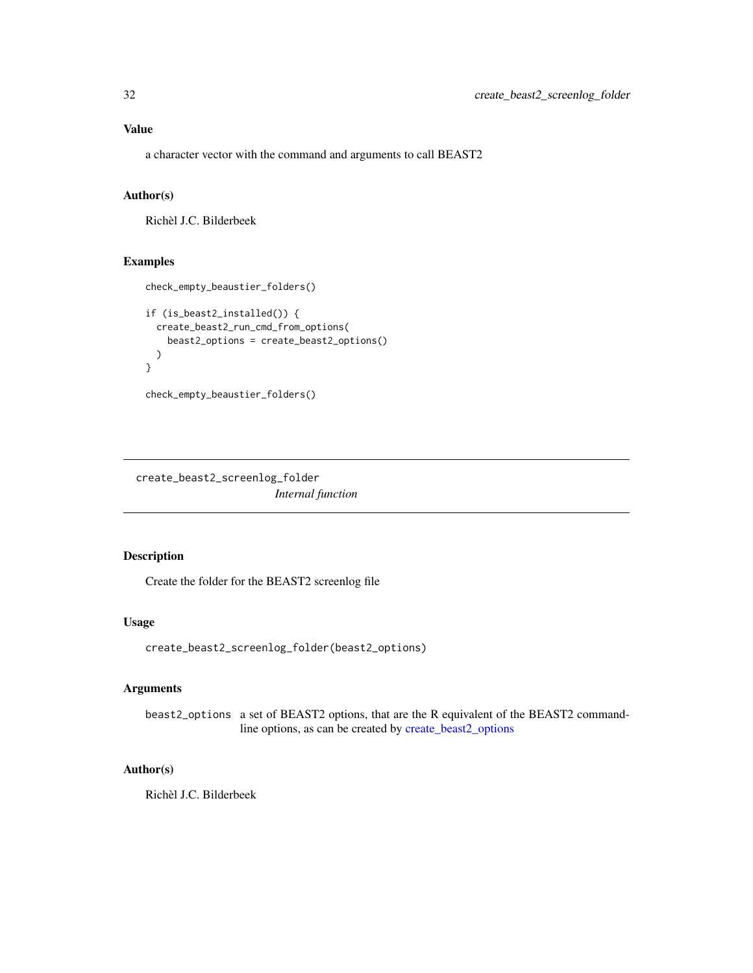<span id="page-31-0"></span>a character vector with the command and arguments to call BEAST2

# Author(s)

Richèl J.C. Bilderbeek

### Examples

```
check_empty_beaustier_folders()
if (is_beast2_installed()) {
  create_beast2_run_cmd_from_options(
   beast2_options = create_beast2_options()
  )
}
```

```
check_empty_beaustier_folders()
```
create\_beast2\_screenlog\_folder *Internal function*

# Description

Create the folder for the BEAST2 screenlog file

# Usage

```
create_beast2_screenlog_folder(beast2_options)
```
# Arguments

beast2\_options a set of BEAST2 options, that are the R equivalent of the BEAST2 commandline options, as can be created by [create\\_beast2\\_options](#page-27-1)

### Author(s)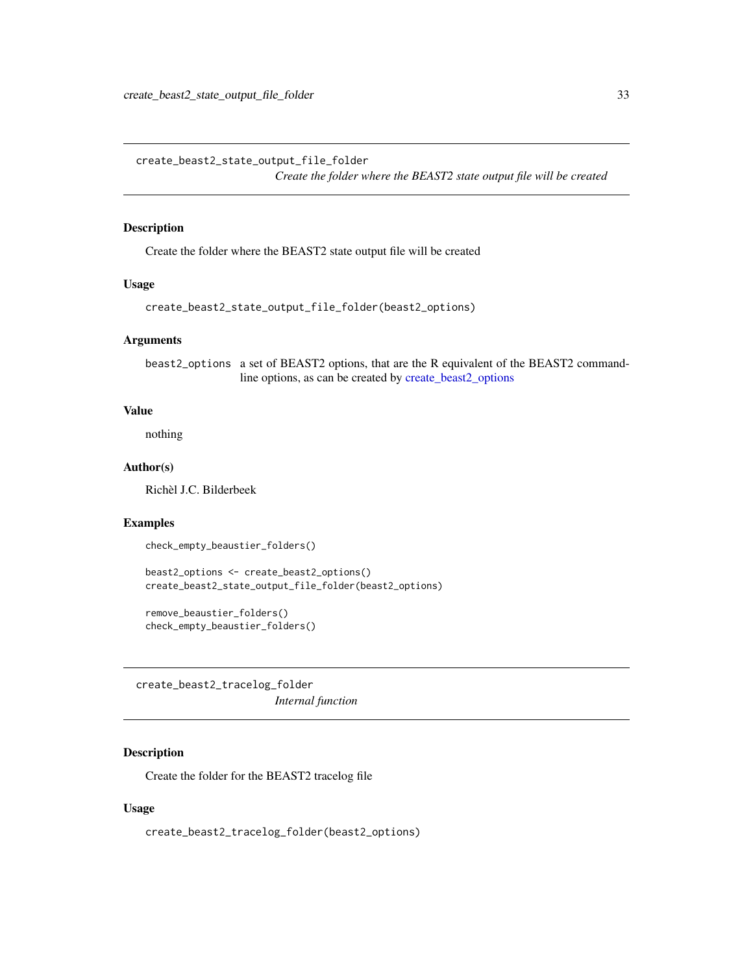<span id="page-32-0"></span>create\_beast2\_state\_output\_file\_folder

*Create the folder where the BEAST2 state output file will be created*

#### Description

Create the folder where the BEAST2 state output file will be created

### Usage

```
create_beast2_state_output_file_folder(beast2_options)
```
#### Arguments

beast2\_options a set of BEAST2 options, that are the R equivalent of the BEAST2 commandline options, as can be created by [create\\_beast2\\_options](#page-27-1)

#### Value

nothing

### Author(s)

Richèl J.C. Bilderbeek

### Examples

check\_empty\_beaustier\_folders()

```
beast2_options <- create_beast2_options()
create_beast2_state_output_file_folder(beast2_options)
```

```
remove_beaustier_folders()
check_empty_beaustier_folders()
```
create\_beast2\_tracelog\_folder *Internal function*

### Description

Create the folder for the BEAST2 tracelog file

### Usage

create\_beast2\_tracelog\_folder(beast2\_options)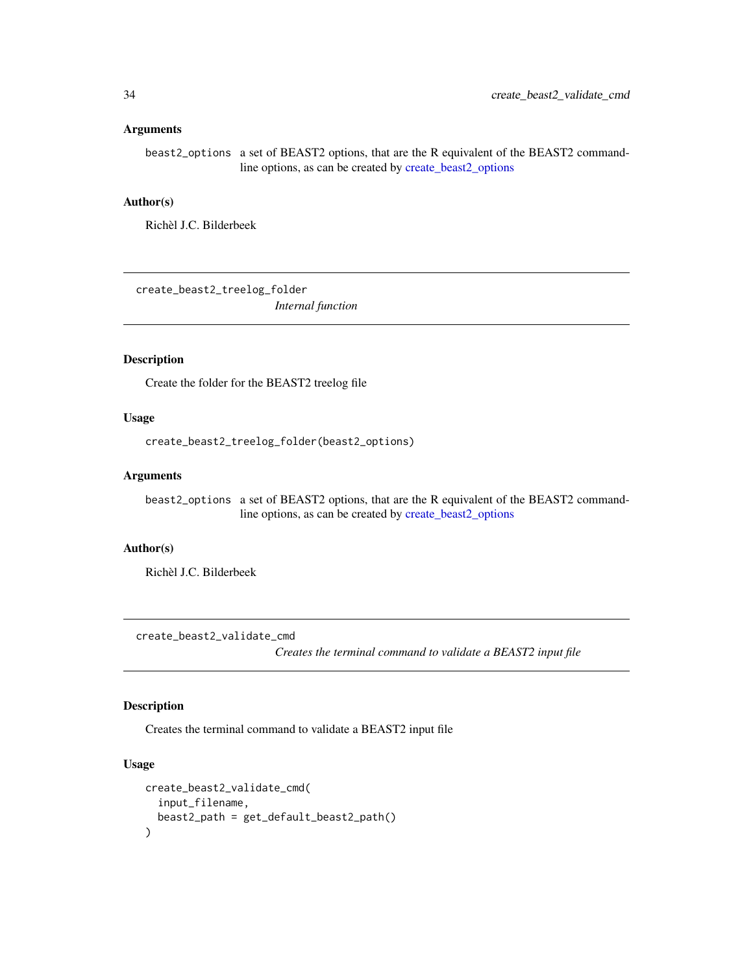<span id="page-33-0"></span>beast2\_options a set of BEAST2 options, that are the R equivalent of the BEAST2 commandline options, as can be created by [create\\_beast2\\_options](#page-27-1)

# Author(s)

Richèl J.C. Bilderbeek

create\_beast2\_treelog\_folder *Internal function*

#### Description

Create the folder for the BEAST2 treelog file

#### Usage

create\_beast2\_treelog\_folder(beast2\_options)

#### Arguments

beast2\_options a set of BEAST2 options, that are the R equivalent of the BEAST2 commandline options, as can be created by [create\\_beast2\\_options](#page-27-1)

# Author(s)

Richèl J.C. Bilderbeek

create\_beast2\_validate\_cmd

*Creates the terminal command to validate a BEAST2 input file*

# Description

Creates the terminal command to validate a BEAST2 input file

```
create_beast2_validate_cmd(
  input_filename,
 beast2_path = get_default_beast2_path()
)
```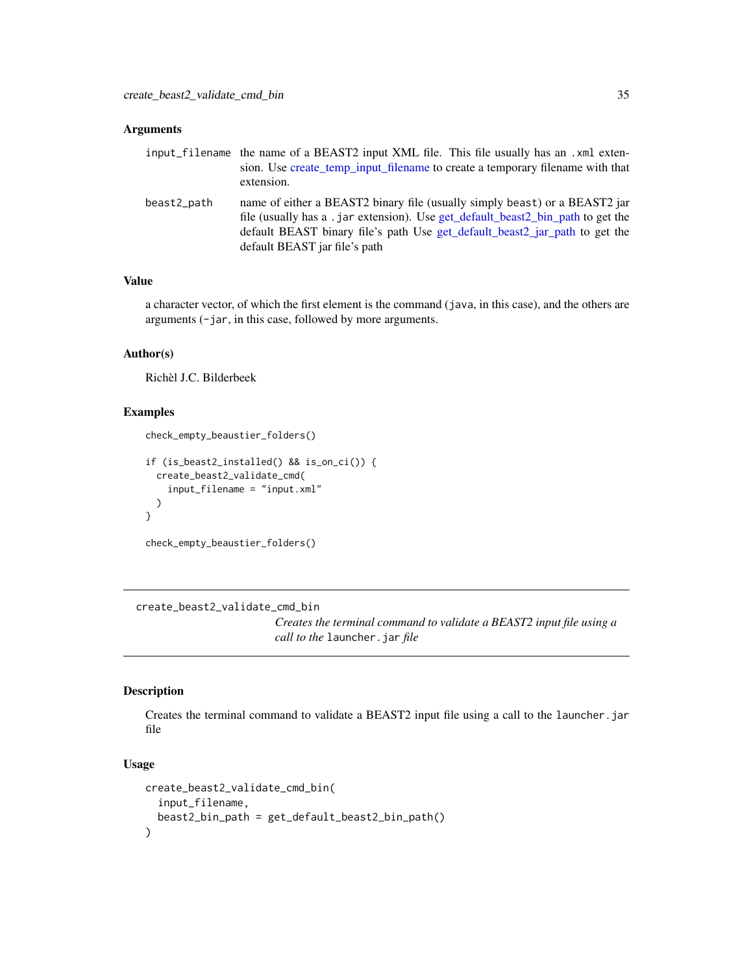<span id="page-34-0"></span>

|             | input_filename the name of a BEAST2 input XML file. This file usually has an .xml exten-<br>sion. Use create_temp_input_filename to create a temporary filename with that<br>extension.                                                                                        |
|-------------|--------------------------------------------------------------------------------------------------------------------------------------------------------------------------------------------------------------------------------------------------------------------------------|
| beast2_path | name of either a BEAST2 binary file (usually simply beast) or a BEAST2 jar<br>file (usually has a . jar extension). Use get default beast2 bin path to get the<br>default BEAST binary file's path Use get_default_beast2_jar_path to get the<br>default BEAST jar file's path |

# Value

a character vector, of which the first element is the command (java, in this case), and the others are arguments (-jar, in this case, followed by more arguments.

# Author(s)

Richèl J.C. Bilderbeek

# Examples

```
if (is_beast2_installed() && is_on_ci()) {
  create_beast2_validate_cmd(
    input_filename = "input.xml"
  )
}
```

```
check_empty_beaustier_folders()
```
check\_empty\_beaustier\_folders()

create\_beast2\_validate\_cmd\_bin

*Creates the terminal command to validate a BEAST2 input file using a call to the* launcher.jar *file*

#### Description

Creates the terminal command to validate a BEAST2 input file using a call to the launcher.jar file

```
create_beast2_validate_cmd_bin(
  input_filename,
 beast2_bin_path = get_default_beast2_bin_path()
)
```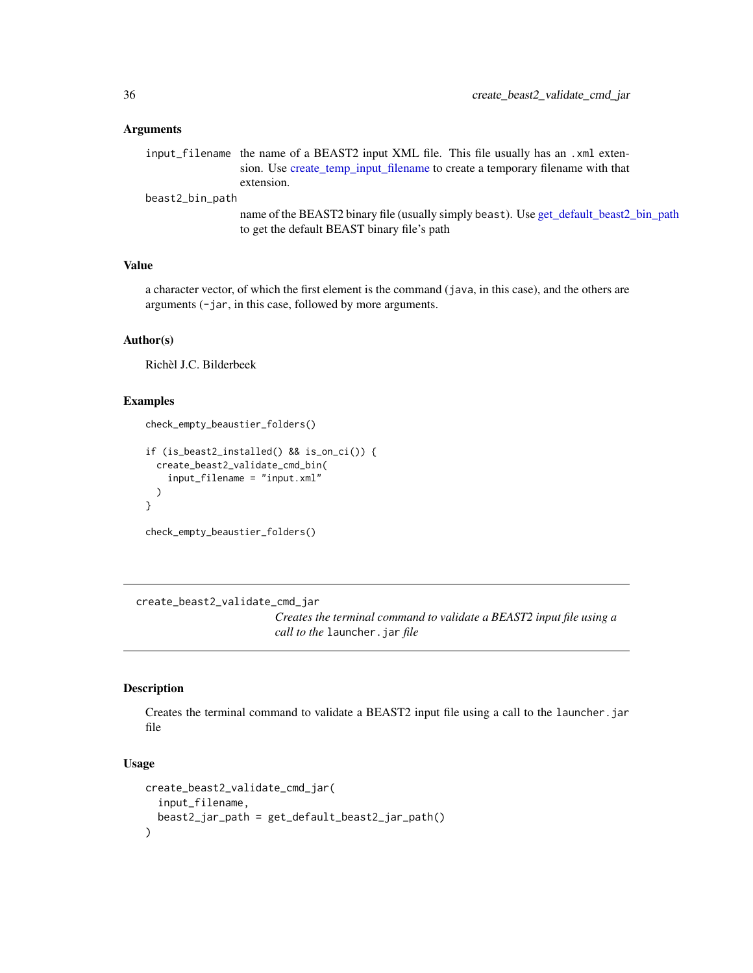<span id="page-35-0"></span>input\_filename the name of a BEAST2 input XML file. This file usually has an .xml extension. Use [create\\_temp\\_input\\_filename](#page-44-1) to create a temporary filename with that extension.

beast2\_bin\_path

name of the BEAST2 binary file (usually simply beast). Use [get\\_default\\_beast2\\_bin\\_path](#page-59-1) to get the default BEAST binary file's path

# Value

a character vector, of which the first element is the command (java, in this case), and the others are arguments (-jar, in this case, followed by more arguments.

#### Author(s)

Richèl J.C. Bilderbeek

#### Examples

```
check_empty_beaustier_folders()
```

```
if (is_beast2_installed() && is_on_ci()) {
 create_beast2_validate_cmd_bin(
    input_filename = "input.xml"
 )
}
check_empty_beaustier_folders()
```
create\_beast2\_validate\_cmd\_jar

*Creates the terminal command to validate a BEAST2 input file using a call to the* launcher.jar *file*

### Description

Creates the terminal command to validate a BEAST2 input file using a call to the launcher.jar file

```
create_beast2_validate_cmd_jar(
  input_filename,
  beast2_jar_path = get_default_beast2_jar_path()
)
```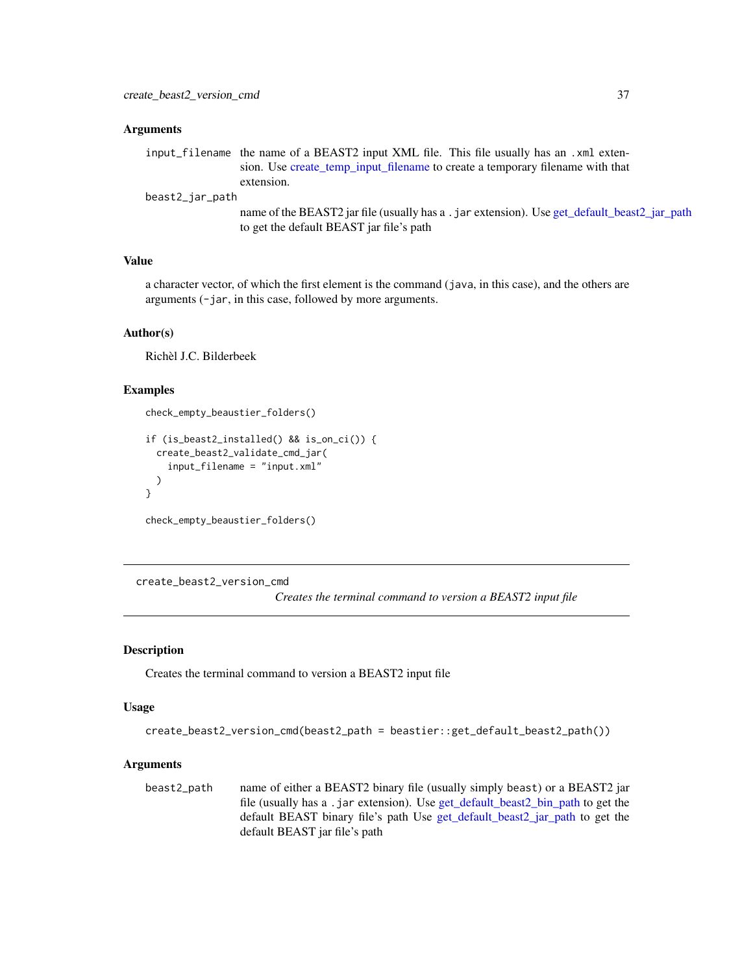#### **Arguments**

input\_filename the name of a BEAST2 input XML file. This file usually has an .xml extension. Use [create\\_temp\\_input\\_filename](#page-44-0) to create a temporary filename with that extension.

beast2\_jar\_path

name of the BEAST2 jar file (usually has a . jar extension). Use [get\\_default\\_beast2\\_jar\\_path](#page-63-0) to get the default BEAST jar file's path

#### Value

a character vector, of which the first element is the command (java, in this case), and the others are arguments (-jar, in this case, followed by more arguments.

#### Author(s)

Richèl J.C. Bilderbeek

#### Examples

```
check_empty_beaustier_folders()
```

```
if (is_beast2_installed() && is_on_ci()) {
 create_beast2_validate_cmd_jar(
    input_filename = "input.xml"
 )
}
check_empty_beaustier_folders()
```
create\_beast2\_version\_cmd

*Creates the terminal command to version a BEAST2 input file*

#### Description

Creates the terminal command to version a BEAST2 input file

#### Usage

```
create_beast2_version_cmd(beast2_path = beastier::get_default_beast2_path())
```
### Arguments

beast2\_path name of either a BEAST2 binary file (usually simply beast) or a BEAST2 jar file (usually has a .jar extension). Use [get\\_default\\_beast2\\_bin\\_path](#page-59-0) to get the default BEAST binary file's path Use [get\\_default\\_beast2\\_jar\\_path](#page-63-0) to get the default BEAST jar file's path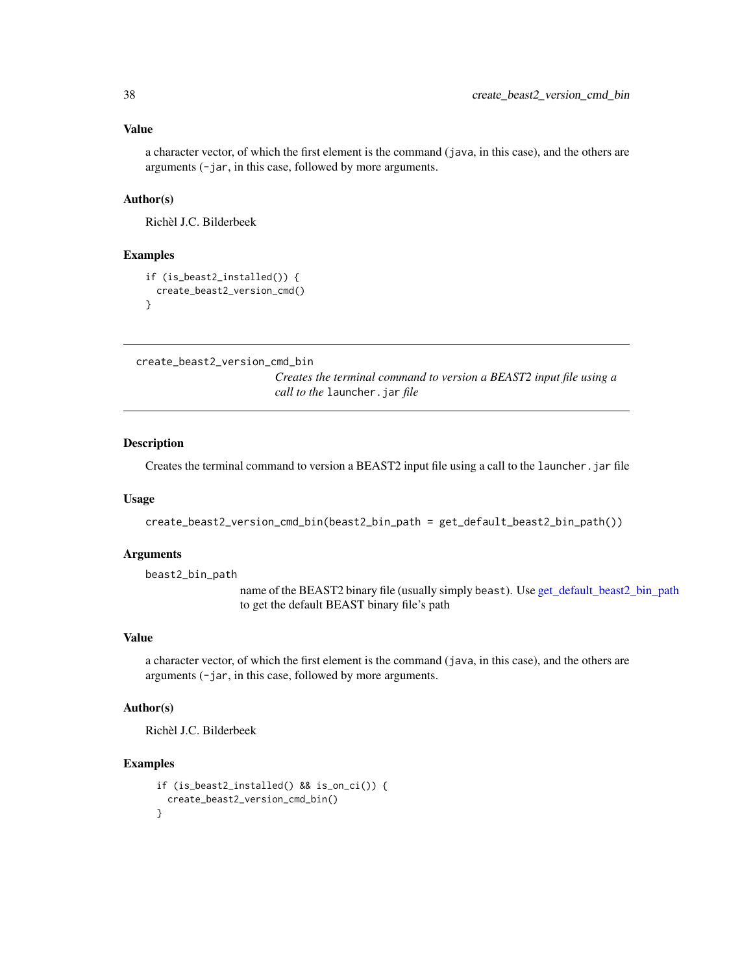### Value

a character vector, of which the first element is the command (java, in this case), and the others are arguments (-jar, in this case, followed by more arguments.

### Author(s)

Richèl J.C. Bilderbeek

#### Examples

```
if (is_beast2_installed()) {
 create_beast2_version_cmd()
}
```
create\_beast2\_version\_cmd\_bin

*Creates the terminal command to version a BEAST2 input file using a call to the* launcher.jar *file*

#### Description

Creates the terminal command to version a BEAST2 input file using a call to the launcher.jar file

#### Usage

```
create_beast2_version_cmd_bin(beast2_bin_path = get_default_beast2_bin_path())
```
#### Arguments

beast2\_bin\_path

name of the BEAST2 binary file (usually simply beast). Use [get\\_default\\_beast2\\_bin\\_path](#page-59-0) to get the default BEAST binary file's path

### Value

a character vector, of which the first element is the command (java, in this case), and the others are arguments (-jar, in this case, followed by more arguments.

# Author(s)

Richèl J.C. Bilderbeek

### Examples

```
if (is_beast2_installed() && is_on_ci()) {
  create_beast2_version_cmd_bin()
}
```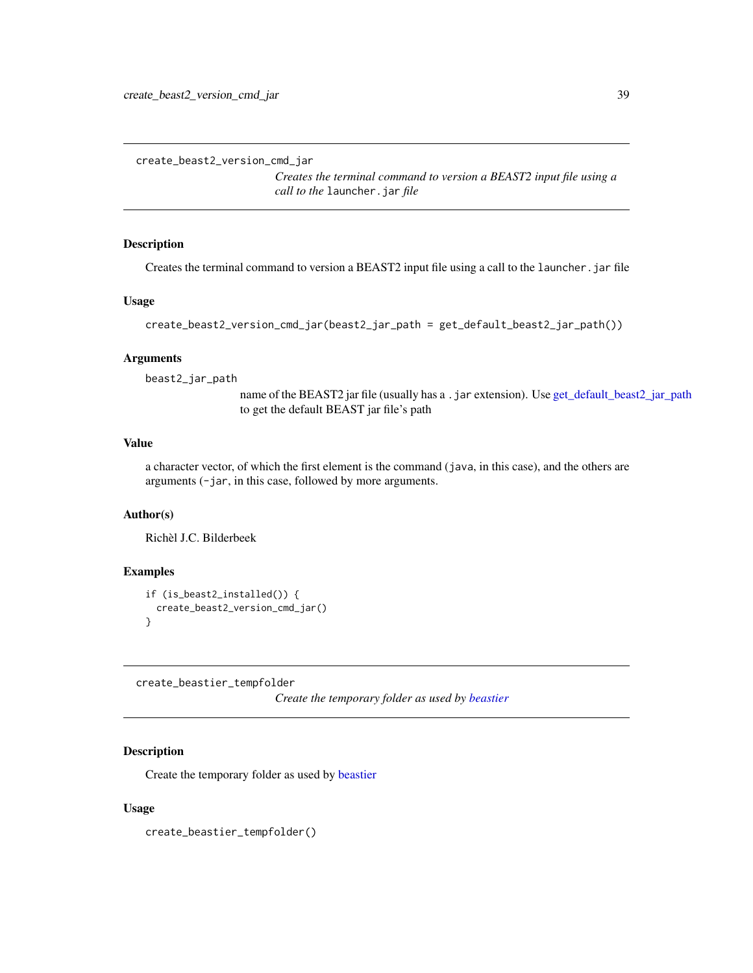create\_beast2\_version\_cmd\_jar

*Creates the terminal command to version a BEAST2 input file using a call to the* launcher.jar *file*

# Description

Creates the terminal command to version a BEAST2 input file using a call to the launcher.jar file

### Usage

```
create_beast2_version_cmd_jar(beast2_jar_path = get_default_beast2_jar_path())
```
# Arguments

beast2\_jar\_path

name of the BEAST2 jar file (usually has a . jar extension). Use [get\\_default\\_beast2\\_jar\\_path](#page-63-0) to get the default BEAST jar file's path

# Value

a character vector, of which the first element is the command (java, in this case), and the others are arguments (-jar, in this case, followed by more arguments.

### Author(s)

Richèl J.C. Bilderbeek

## Examples

```
if (is_beast2_installed()) {
 create_beast2_version_cmd_jar()
}
```
create\_beastier\_tempfolder

*Create the temporary folder as used by [beastier](#page-8-0)*

#### Description

Create the temporary folder as used by [beastier](#page-8-0)

### Usage

create\_beastier\_tempfolder()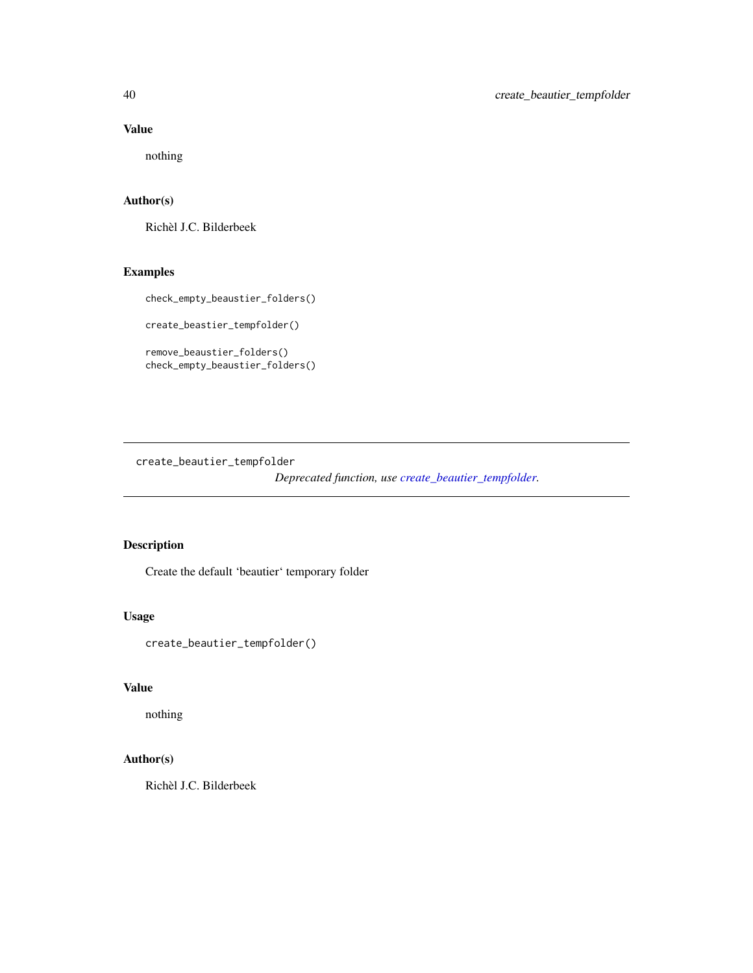# Value

nothing

# Author(s)

Richèl J.C. Bilderbeek

# Examples

check\_empty\_beaustier\_folders()

create\_beastier\_tempfolder()

remove\_beaustier\_folders() check\_empty\_beaustier\_folders()

<span id="page-39-0"></span>create\_beautier\_tempfolder

*Deprecated function, use [create\\_beautier\\_tempfolder.](#page-39-0)*

# Description

Create the default 'beautier' temporary folder

## Usage

create\_beautier\_tempfolder()

## Value

nothing

# Author(s)

Richèl J.C. Bilderbeek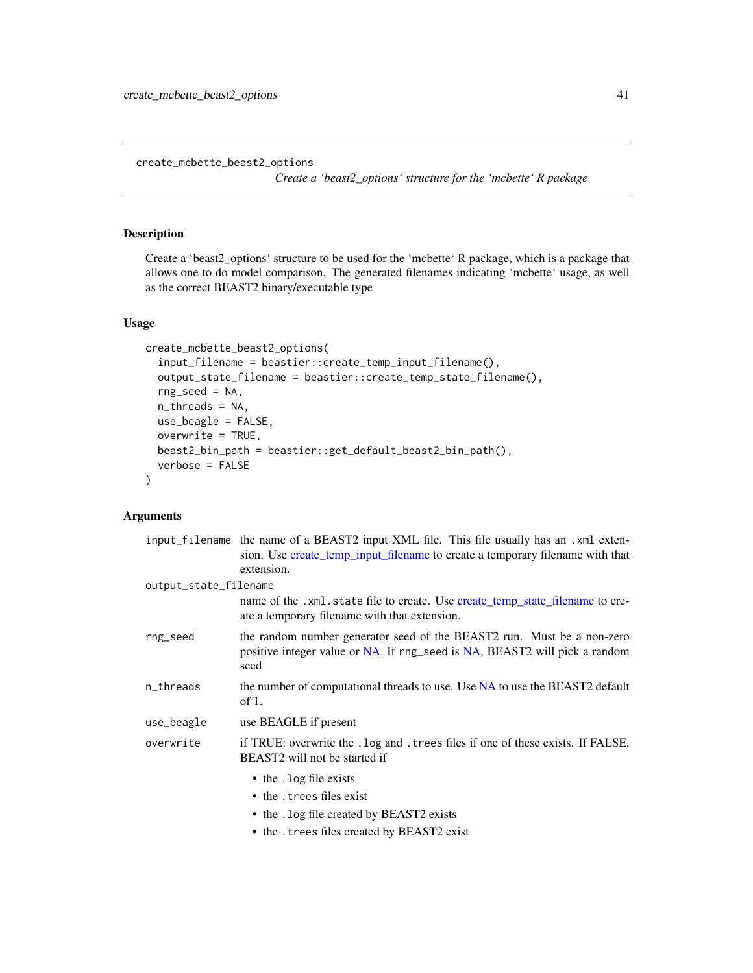create\_mcbette\_beast2\_options

*Create a 'beast2\_options' structure for the 'mcbette' R package*

### Description

Create a 'beast2\_options' structure to be used for the 'mcbette' R package, which is a package that allows one to do model comparison. The generated filenames indicating 'mcbette' usage, as well as the correct BEAST2 binary/executable type

## Usage

```
create_mcbette_beast2_options(
  input_filename = beastier::create_temp_input_filename(),
  output_state_filename = beastier::create_temp_state_filename(),
  rng_seed = NA,
 n_threads = NA,
 use_beagle = FALSE,
 overwrite = TRUE,
 beast2_bin_path = beastier::get_default_beast2_bin_path(),
  verbose = FALSE
)
```
#### Arguments

|                       | input filename the name of a BEAST2 input XML file. This file usually has an .xml exten-<br>sion. Use create temp input filename to create a temporary filename with that<br>extension. |
|-----------------------|-----------------------------------------------------------------------------------------------------------------------------------------------------------------------------------------|
| output_state_filename |                                                                                                                                                                                         |
|                       | name of the .xml.state file to create. Use create_temp_state_filename to cre-<br>ate a temporary filename with that extension.                                                          |
| rng_seed              | the random number generator seed of the BEAST2 run. Must be a non-zero<br>positive integer value or NA. If rng_seed is NA, BEAST2 will pick a random<br>seed                            |
| n_threads             | the number of computational threads to use. Use NA to use the BEAST2 default<br>of $1$ .                                                                                                |
| use_beagle            | use BEAGLE if present                                                                                                                                                                   |
| overwrite             | if TRUE: overwrite the . log and . trees files if one of these exists. If FALSE,<br>BEAST2 will not be started if                                                                       |
|                       | • the . log file exists                                                                                                                                                                 |
|                       | • the . trees files exist                                                                                                                                                               |
|                       | • the . log file created by BEAST2 exists                                                                                                                                               |
|                       |                                                                                                                                                                                         |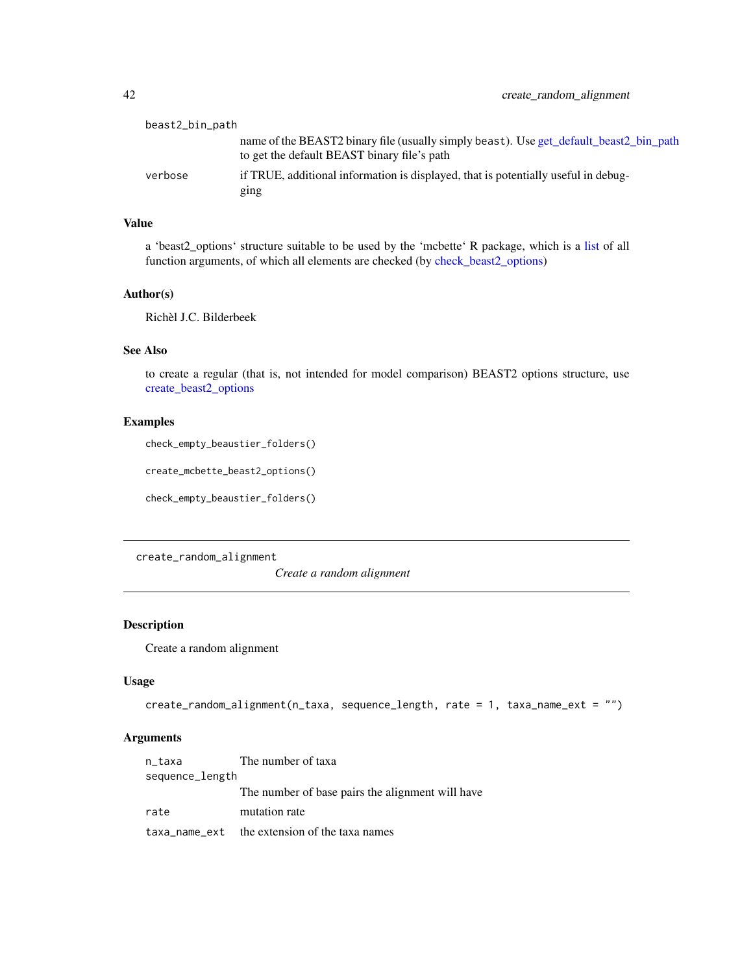| beast2_bin_path |                                                                                                                                       |
|-----------------|---------------------------------------------------------------------------------------------------------------------------------------|
|                 | name of the BEAST2 binary file (usually simply beast). Use get_default_beast2_bin_path<br>to get the default BEAST binary file's path |
| verbose         | if TRUE, additional information is displayed, that is potentially useful in debug-<br>ging                                            |

### Value

a 'beast2\_options' structure suitable to be used by the 'mcbette' R package, which is a [list](#page-0-0) of all function arguments, of which all elements are checked (by [check\\_beast2\\_options\)](#page-10-0)

#### Author(s)

Richèl J.C. Bilderbeek

# See Also

to create a regular (that is, not intended for model comparison) BEAST2 options structure, use [create\\_beast2\\_options](#page-27-0)

#### Examples

check\_empty\_beaustier\_folders()

create\_mcbette\_beast2\_options()

check\_empty\_beaustier\_folders()

create\_random\_alignment

*Create a random alignment*

### Description

Create a random alignment

## Usage

```
create_random_alignment(n_taxa, sequence_length, rate = 1, taxa_name_ext = "")
```
## Arguments

| n_taxa          | The number of taxa                               |
|-----------------|--------------------------------------------------|
| sequence_length |                                                  |
|                 | The number of base pairs the alignment will have |
| rate            | mutation rate                                    |
|                 | taxa_name_ext the extension of the taxa names    |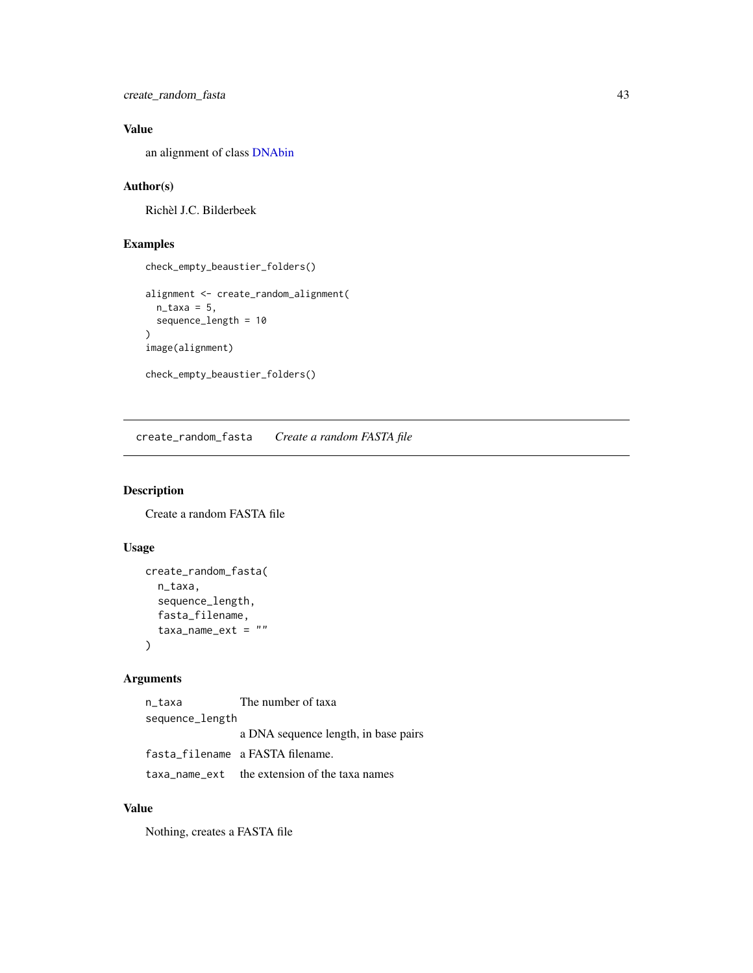create\_random\_fasta 43

# Value

an alignment of class [DNAbin](#page-0-0)

### Author(s)

Richèl J.C. Bilderbeek

# Examples

```
check_empty_beaustier_folders()
alignment <- create_random_alignment(
  n_{\text{t}}axa = 5,
  sequence_length = 10
)
image(alignment)
check_empty_beaustier_folders()
```
create\_random\_fasta *Create a random FASTA file*

### Description

Create a random FASTA file

# Usage

```
create_random_fasta(
  n_taxa,
  sequence_length,
  fasta_filename,
  taxa_name\_ext = ""\lambda
```
# Arguments

n\_taxa The number of taxa sequence\_length a DNA sequence length, in base pairs fasta\_filename a FASTA filename. taxa\_name\_ext the extension of the taxa names

# Value

Nothing, creates a FASTA file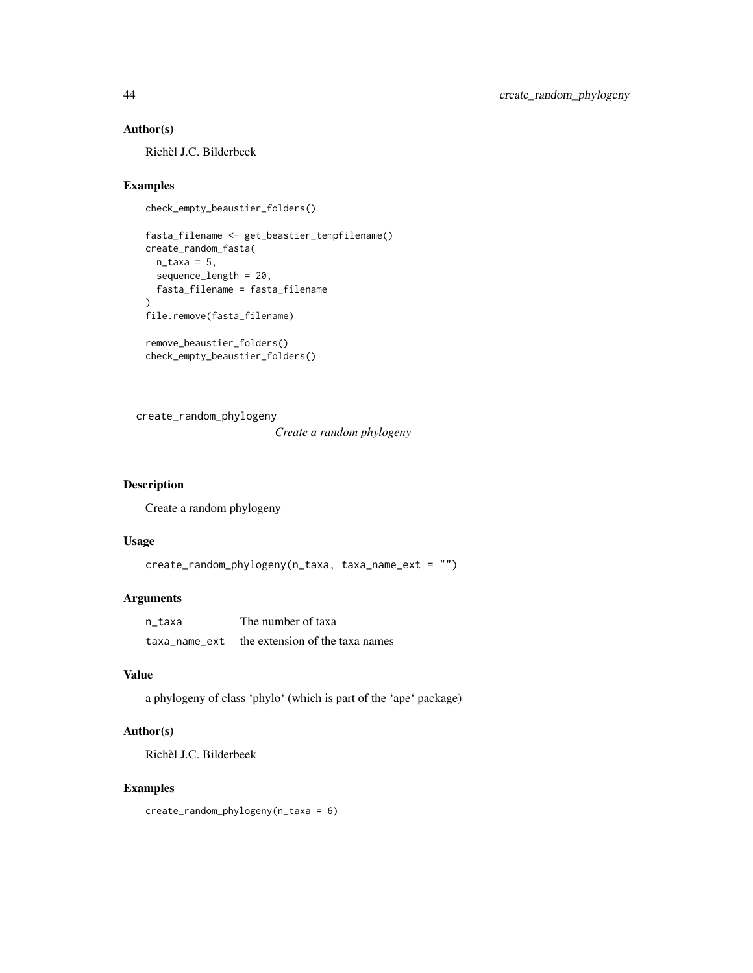# Author(s)

Richèl J.C. Bilderbeek

# Examples

```
check_empty_beaustier_folders()
```

```
fasta_filename <- get_beastier_tempfilename()
create_random_fasta(
 n_{\text{t}}axa = 5,
  sequence_length = 20,
  fasta_filename = fasta_filename
\lambdafile.remove(fasta_filename)
```
remove\_beaustier\_folders() check\_empty\_beaustier\_folders()

create\_random\_phylogeny

*Create a random phylogeny*

# Description

Create a random phylogeny

#### Usage

```
create_random_phylogeny(n_taxa, taxa_name_ext = "")
```
# Arguments

| n taxa        | The number of taxa              |
|---------------|---------------------------------|
| taxa name ext | the extension of the taxa names |

## Value

a phylogeny of class 'phylo' (which is part of the 'ape' package)

# Author(s)

Richèl J.C. Bilderbeek

### Examples

create\_random\_phylogeny(n\_taxa = 6)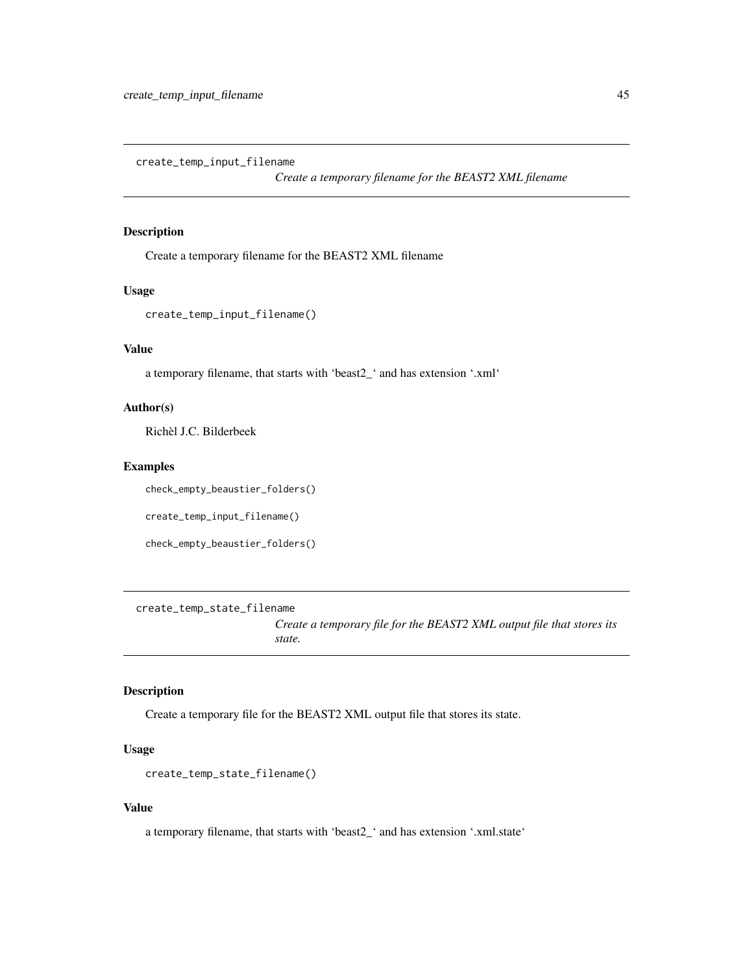<span id="page-44-0"></span>create\_temp\_input\_filename

*Create a temporary filename for the BEAST2 XML filename*

## Description

Create a temporary filename for the BEAST2 XML filename

#### Usage

```
create_temp_input_filename()
```
# Value

a temporary filename, that starts with 'beast2\_' and has extension '.xml'

#### Author(s)

Richèl J.C. Bilderbeek

## Examples

check\_empty\_beaustier\_folders()

create\_temp\_input\_filename()

check\_empty\_beaustier\_folders()

<span id="page-44-1"></span>create\_temp\_state\_filename

*Create a temporary file for the BEAST2 XML output file that stores its state.*

#### Description

Create a temporary file for the BEAST2 XML output file that stores its state.

# Usage

```
create_temp_state_filename()
```
#### Value

a temporary filename, that starts with 'beast2\_' and has extension '.xml.state'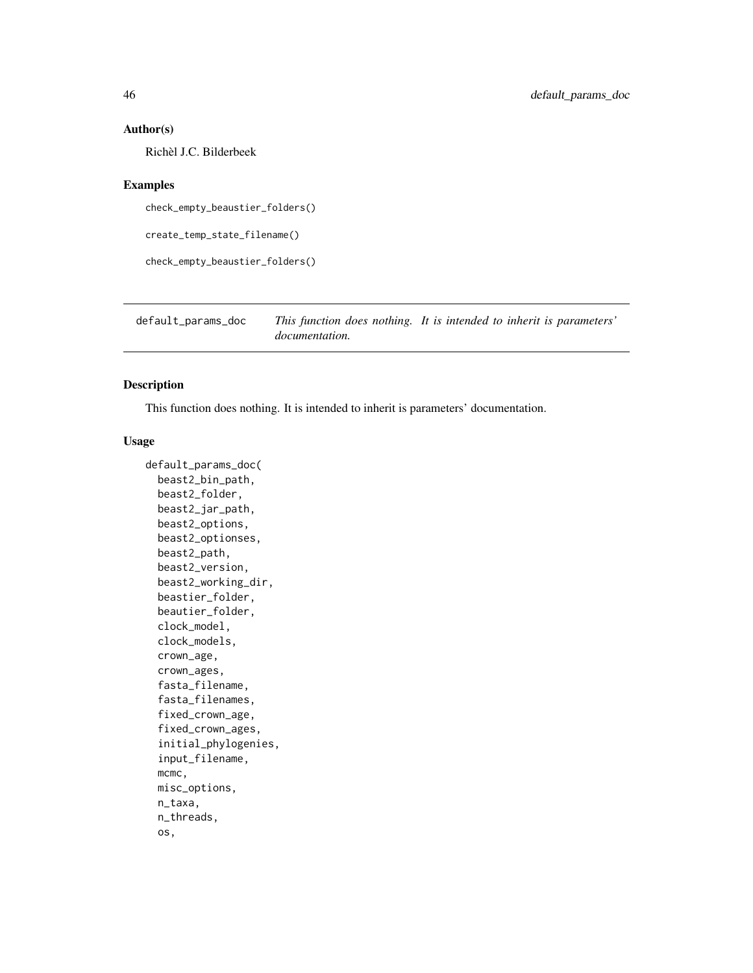#### Author(s)

Richèl J.C. Bilderbeek

#### Examples

check\_empty\_beaustier\_folders()

create\_temp\_state\_filename()

check\_empty\_beaustier\_folders()

default\_params\_doc *This function does nothing. It is intended to inherit is parameters' documentation.*

## Description

This function does nothing. It is intended to inherit is parameters' documentation.

#### Usage

```
default_params_doc(
  beast2_bin_path,
 beast2_folder,
 beast2_jar_path,
  beast2_options,
  beast2_optionses,
 beast2_path,
  beast2_version,
  beast2_working_dir,
  beastier_folder,
 beautier_folder,
  clock_model,
  clock_models,
  crown_age,
  crown_ages,
  fasta_filename,
  fasta_filenames,
  fixed_crown_age,
  fixed_crown_ages,
  initial_phylogenies,
  input_filename,
 mcmc,
 misc_options,
 n_taxa,
  n_threads,
  os,
```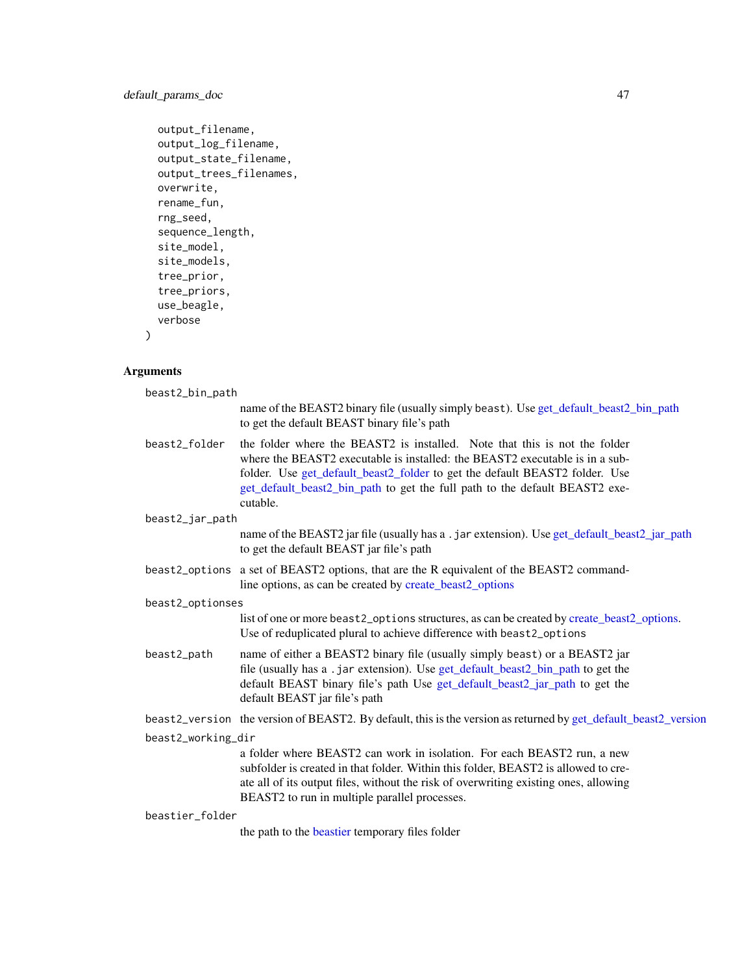# default\_params\_doc 47

```
output_filename,
output_log_filename,
output_state_filename,
output_trees_filenames,
overwrite,
rename_fun,
rng_seed,
sequence_length,
site_model,
site_models,
tree_prior,
tree_priors,
use_beagle,
verbose
```
# Arguments

)

| beast2_bin_path    |                                                                                                                                                                                                                                                                                                                                      |  |
|--------------------|--------------------------------------------------------------------------------------------------------------------------------------------------------------------------------------------------------------------------------------------------------------------------------------------------------------------------------------|--|
|                    | name of the BEAST2 binary file (usually simply beast). Use get_default_beast2_bin_path<br>to get the default BEAST binary file's path                                                                                                                                                                                                |  |
| beast2_folder      | the folder where the BEAST2 is installed. Note that this is not the folder<br>where the BEAST2 executable is installed: the BEAST2 executable is in a sub-<br>folder. Use get_default_beast2_folder to get the default BEAST2 folder. Use<br>get_default_beast2_bin_path to get the full path to the default BEAST2 exe-<br>cutable. |  |
| beast2_jar_path    |                                                                                                                                                                                                                                                                                                                                      |  |
|                    | name of the BEAST2 jar file (usually has a . jar extension). Use get_default_beast2_jar_path<br>to get the default BEAST jar file's path                                                                                                                                                                                             |  |
|                    | beast2_options a set of BEAST2 options, that are the R equivalent of the BEAST2 command-<br>line options, as can be created by create_beast2_options                                                                                                                                                                                 |  |
| beast2_optionses   |                                                                                                                                                                                                                                                                                                                                      |  |
|                    | list of one or more beast 2_options structures, as can be created by create_beast 2_options.<br>Use of reduplicated plural to achieve difference with beast2_options                                                                                                                                                                 |  |
| beast2_path        | name of either a BEAST2 binary file (usually simply beast) or a BEAST2 jar<br>file (usually has a .jar extension). Use get_default_beast2_bin_path to get the<br>default BEAST binary file's path Use get_default_beast2_jar_path to get the<br>default BEAST jar file's path                                                        |  |
|                    | beast2_version the version of BEAST2. By default, this is the version as returned by get_default_beast2_version                                                                                                                                                                                                                      |  |
| beast2_working_dir |                                                                                                                                                                                                                                                                                                                                      |  |
|                    | a folder where BEAST2 can work in isolation. For each BEAST2 run, a new<br>subfolder is created in that folder. Within this folder, BEAST2 is allowed to cre-<br>ate all of its output files, without the risk of overwriting existing ones, allowing<br>BEAST2 to run in multiple parallel processes.                               |  |
| beastier folder    |                                                                                                                                                                                                                                                                                                                                      |  |
|                    | $A = A + A + A + C$                                                                                                                                                                                                                                                                                                                  |  |

the path to the [beastier](#page-8-0) temporary files folder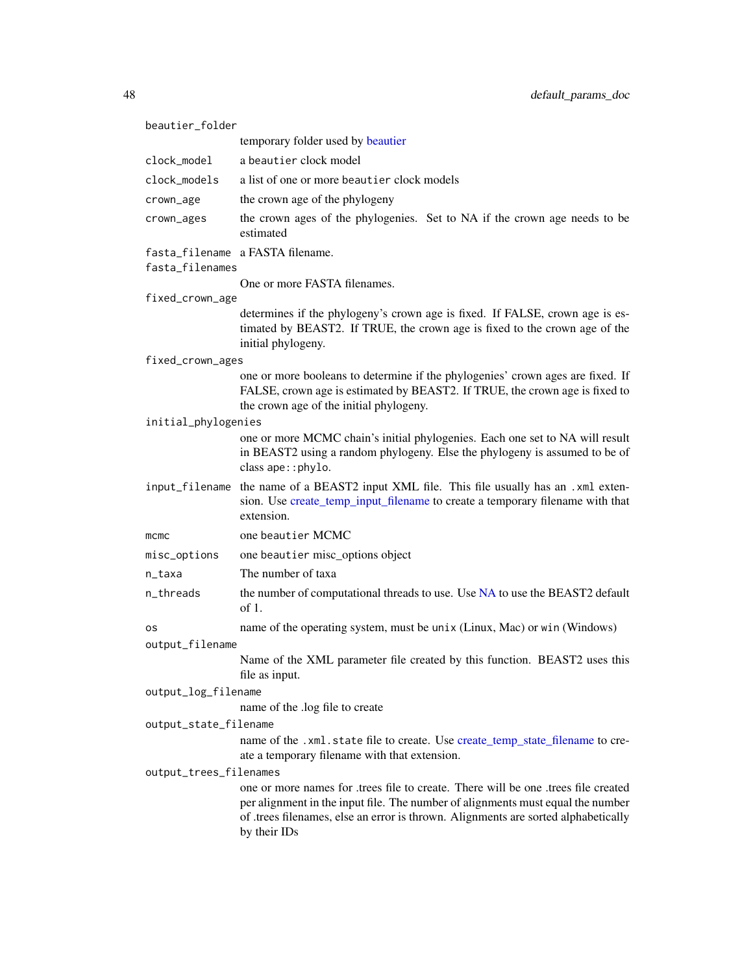| beautier_folder        |                                                                                                                                                                                                                                                                           |
|------------------------|---------------------------------------------------------------------------------------------------------------------------------------------------------------------------------------------------------------------------------------------------------------------------|
|                        | temporary folder used by beautier                                                                                                                                                                                                                                         |
| clock_model            | a beautier clock model                                                                                                                                                                                                                                                    |
| clock_models           | a list of one or more beautier clock models                                                                                                                                                                                                                               |
| crown_age              | the crown age of the phylogeny                                                                                                                                                                                                                                            |
| crown_ages             | the crown ages of the phylogenies. Set to NA if the crown age needs to be<br>estimated                                                                                                                                                                                    |
| fasta_filenames        | fasta_filename a FASTA filename.                                                                                                                                                                                                                                          |
|                        | One or more FASTA filenames.                                                                                                                                                                                                                                              |
| fixed_crown_age        |                                                                                                                                                                                                                                                                           |
|                        | determines if the phylogeny's crown age is fixed. If FALSE, crown age is es-<br>timated by BEAST2. If TRUE, the crown age is fixed to the crown age of the<br>initial phylogeny.                                                                                          |
| fixed_crown_ages       |                                                                                                                                                                                                                                                                           |
|                        | one or more booleans to determine if the phylogenies' crown ages are fixed. If<br>FALSE, crown age is estimated by BEAST2. If TRUE, the crown age is fixed to<br>the crown age of the initial phylogeny.                                                                  |
| initial_phylogenies    |                                                                                                                                                                                                                                                                           |
|                        | one or more MCMC chain's initial phylogenies. Each one set to NA will result<br>in BEAST2 using a random phylogeny. Else the phylogeny is assumed to be of<br>class ape:: phylo.                                                                                          |
|                        | input_filename the name of a BEAST2 input XML file. This file usually has an .xml exten-<br>sion. Use create_temp_input_filename to create a temporary filename with that<br>extension.                                                                                   |
| mcmc                   | one beautier MCMC                                                                                                                                                                                                                                                         |
| misc_options           | one beautier misc_options object                                                                                                                                                                                                                                          |
| n_taxa                 | The number of taxa                                                                                                                                                                                                                                                        |
| n_threads              | the number of computational threads to use. Use NA to use the BEAST2 default<br>of 1.                                                                                                                                                                                     |
| os                     | name of the operating system, must be unix (Linux, Mac) or win (Windows)                                                                                                                                                                                                  |
| output_filename        |                                                                                                                                                                                                                                                                           |
|                        | Name of the XML parameter file created by this function. BEAST2 uses this<br>file as input.                                                                                                                                                                               |
| output_log_filename    |                                                                                                                                                                                                                                                                           |
|                        | name of the .log file to create                                                                                                                                                                                                                                           |
| output_state_filename  |                                                                                                                                                                                                                                                                           |
|                        | name of the .xml.state file to create. Use create_temp_state_filename to cre-<br>ate a temporary filename with that extension.                                                                                                                                            |
| output_trees_filenames |                                                                                                                                                                                                                                                                           |
|                        | one or more names for trees file to create. There will be one trees file created<br>per alignment in the input file. The number of alignments must equal the number<br>of .trees filenames, else an error is thrown. Alignments are sorted alphabetically<br>by their IDs |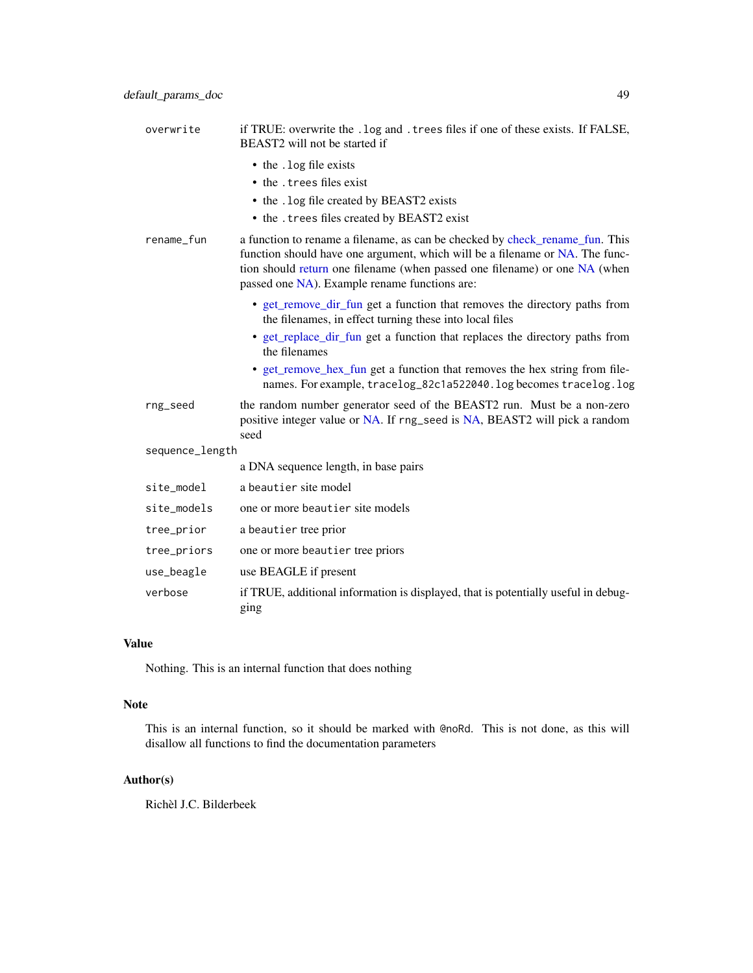| overwrite       | if TRUE: overwrite the . log and . trees files if one of these exists. If FALSE,<br>BEAST2 will not be started if                                                                                                                                                                           |
|-----------------|---------------------------------------------------------------------------------------------------------------------------------------------------------------------------------------------------------------------------------------------------------------------------------------------|
|                 | • the . log file exists                                                                                                                                                                                                                                                                     |
|                 | • the . trees files exist                                                                                                                                                                                                                                                                   |
|                 | • the . log file created by BEAST2 exists                                                                                                                                                                                                                                                   |
|                 | • the . trees files created by BEAST2 exist                                                                                                                                                                                                                                                 |
| rename_fun      | a function to rename a filename, as can be checked by check_rename_fun. This<br>function should have one argument, which will be a filename or NA. The func-<br>tion should return one filename (when passed one filename) or one NA (when<br>passed one NA). Example rename functions are: |
|                 | • get_remove_dir_fun get a function that removes the directory paths from<br>the filenames, in effect turning these into local files                                                                                                                                                        |
|                 | • get_replace_dir_fun get a function that replaces the directory paths from<br>the filenames                                                                                                                                                                                                |
|                 | • get_remove_hex_fun_get a function that removes the hex string from file-<br>names. For example, tracelog_82c1a522040.log becomes tracelog.log                                                                                                                                             |
| rng_seed        | the random number generator seed of the BEAST2 run. Must be a non-zero<br>positive integer value or NA. If rng_seed is NA, BEAST2 will pick a random<br>seed                                                                                                                                |
| sequence_length |                                                                                                                                                                                                                                                                                             |
|                 | a DNA sequence length, in base pairs                                                                                                                                                                                                                                                        |
| site_model      | a beautier site model                                                                                                                                                                                                                                                                       |
| site_models     | one or more beautier site models                                                                                                                                                                                                                                                            |
| tree_prior      | a beautier tree prior                                                                                                                                                                                                                                                                       |
| tree_priors     | one or more beautier tree priors                                                                                                                                                                                                                                                            |
| use_beagle      | use BEAGLE if present                                                                                                                                                                                                                                                                       |
| verbose         | if TRUE, additional information is displayed, that is potentially useful in debug-                                                                                                                                                                                                          |

# Value

Nothing. This is an internal function that does nothing

ging

#### Note

This is an internal function, so it should be marked with @noRd. This is not done, as this will disallow all functions to find the documentation parameters

# Author(s)

Richèl J.C. Bilderbeek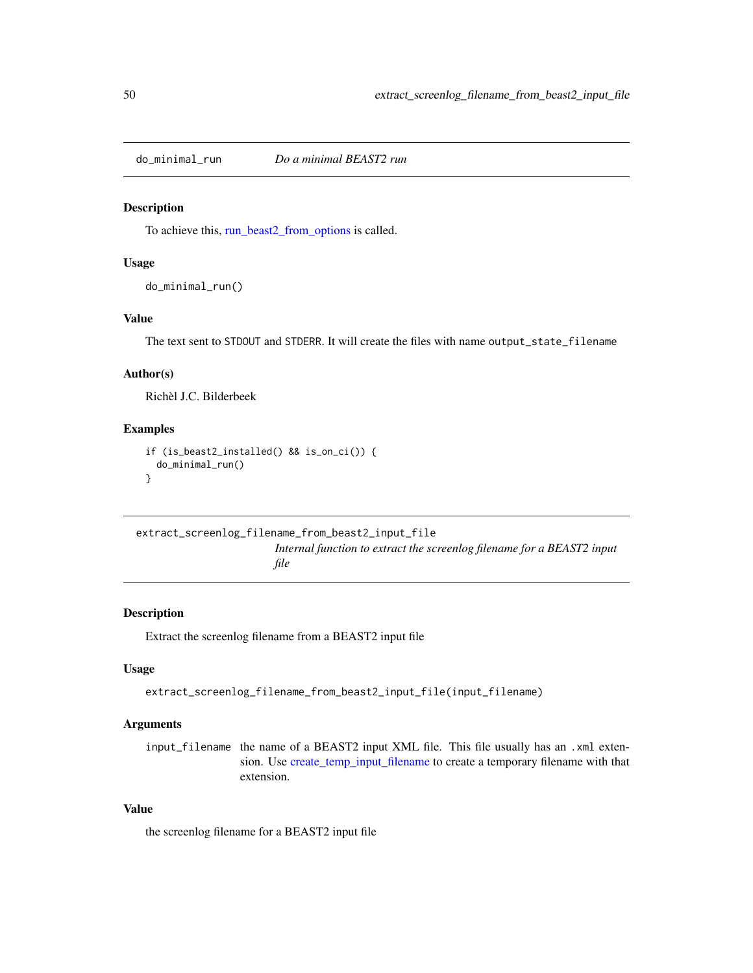do\_minimal\_run *Do a minimal BEAST2 run*

#### Description

To achieve this, [run\\_beast2\\_from\\_options](#page-84-0) is called.

## Usage

```
do_minimal_run()
```
# Value

The text sent to STDOUT and STDERR. It will create the files with name output\_state\_filename

## Author(s)

Richèl J.C. Bilderbeek

#### Examples

```
if (is_beast2_installed() && is_on_ci()) {
 do_minimal_run()
}
```

```
extract_screenlog_filename_from_beast2_input_file
                         Internal function to extract the screenlog filename for a BEAST2 input
```
*file*

#### Description

Extract the screenlog filename from a BEAST2 input file

#### Usage

```
extract_screenlog_filename_from_beast2_input_file(input_filename)
```
# Arguments

input\_filename the name of a BEAST2 input XML file. This file usually has an .xml extension. Use [create\\_temp\\_input\\_filename](#page-44-0) to create a temporary filename with that extension.

# Value

the screenlog filename for a BEAST2 input file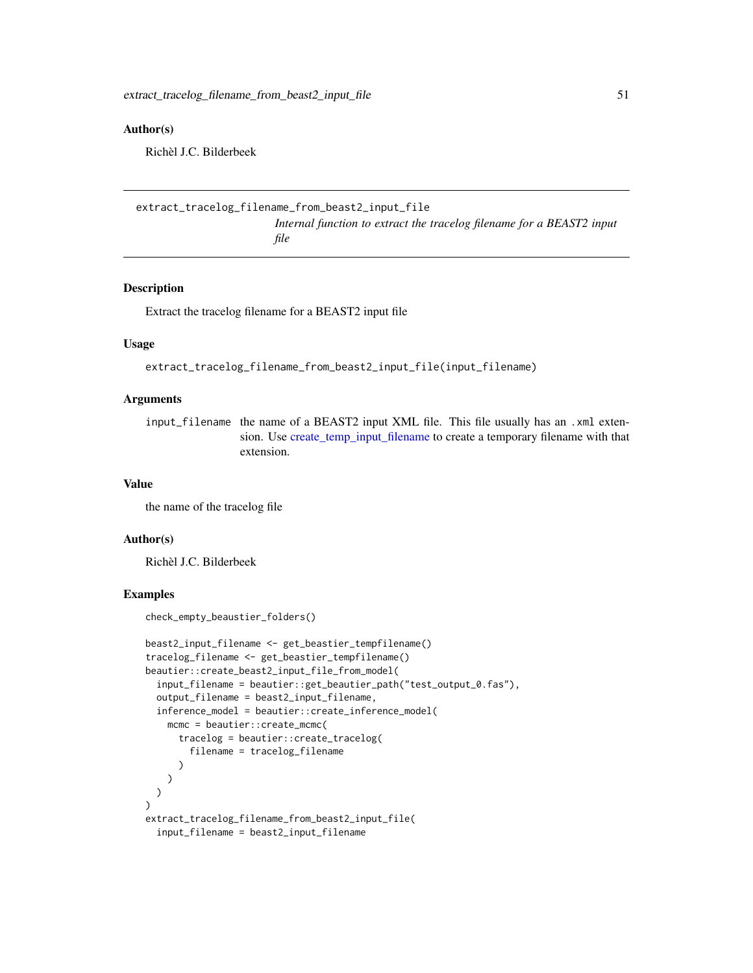#### Author(s)

Richèl J.C. Bilderbeek

```
extract_tracelog_filename_from_beast2_input_file
                         Internal function to extract the tracelog filename for a BEAST2 input
                         file
```
#### Description

Extract the tracelog filename for a BEAST2 input file

#### Usage

extract\_tracelog\_filename\_from\_beast2\_input\_file(input\_filename)

# Arguments

input\_filename the name of a BEAST2 input XML file. This file usually has an .xml extension. Use [create\\_temp\\_input\\_filename](#page-44-0) to create a temporary filename with that extension.

#### Value

the name of the tracelog file

## Author(s)

Richèl J.C. Bilderbeek

### Examples

check\_empty\_beaustier\_folders()

```
beast2_input_filename <- get_beastier_tempfilename()
tracelog_filename <- get_beastier_tempfilename()
beautier::create_beast2_input_file_from_model(
 input_filename = beautier::get_beautier_path("test_output_0.fas"),
 output_filename = beast2_input_filename,
 inference_model = beautier::create_inference_model(
   mcmc = beautier::create_mcmc(
      tracelog = beautier::create_tracelog(
        filename = tracelog_filename
      )
   )
 )
\mathcal{L}extract_tracelog_filename_from_beast2_input_file(
 input_filename = beast2_input_filename
```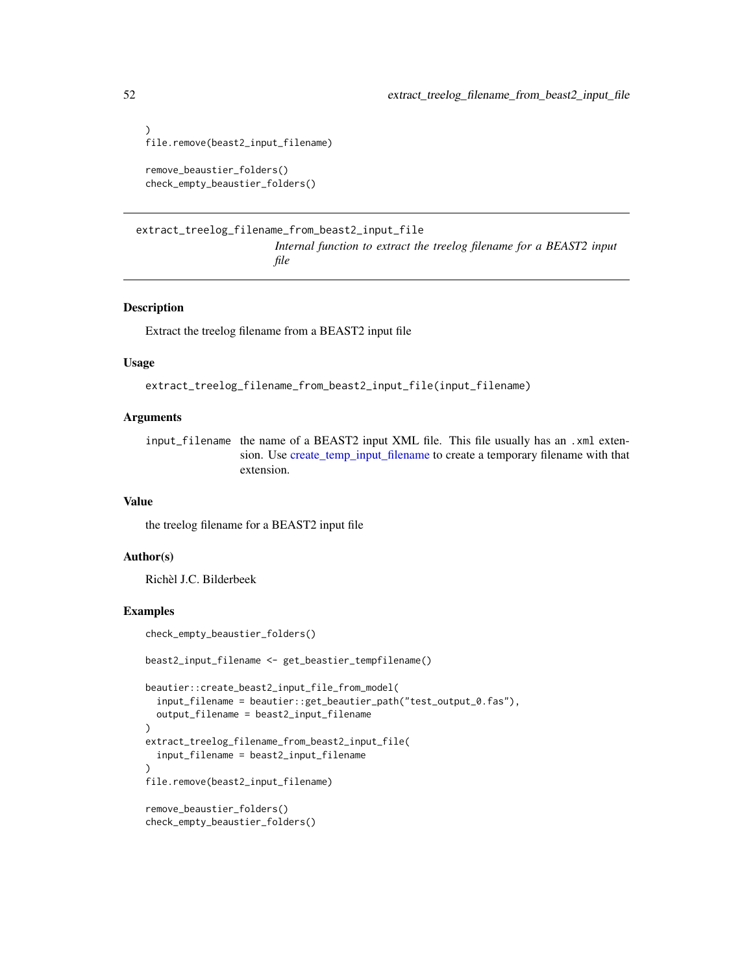```
)
file.remove(beast2_input_filename)
remove_beaustier_folders()
check_empty_beaustier_folders()
```

```
extract_treelog_filename_from_beast2_input_file
                         Internal function to extract the treelog filename for a BEAST2 input
                         file
```
#### Description

Extract the treelog filename from a BEAST2 input file

#### Usage

extract\_treelog\_filename\_from\_beast2\_input\_file(input\_filename)

#### Arguments

input\_filename the name of a BEAST2 input XML file. This file usually has an .xml extension. Use [create\\_temp\\_input\\_filename](#page-44-0) to create a temporary filename with that extension.

### Value

the treelog filename for a BEAST2 input file

# Author(s)

Richèl J.C. Bilderbeek

#### Examples

check\_empty\_beaustier\_folders()

```
beast2_input_filename <- get_beastier_tempfilename()
```

```
beautier::create_beast2_input_file_from_model(
 input_filename = beautier::get_beautier_path("test_output_0.fas"),
 output_filename = beast2_input_filename
)
extract_treelog_filename_from_beast2_input_file(
 input_filename = beast2_input_filename
)
file.remove(beast2_input_filename)
remove_beaustier_folders()
check_empty_beaustier_folders()
```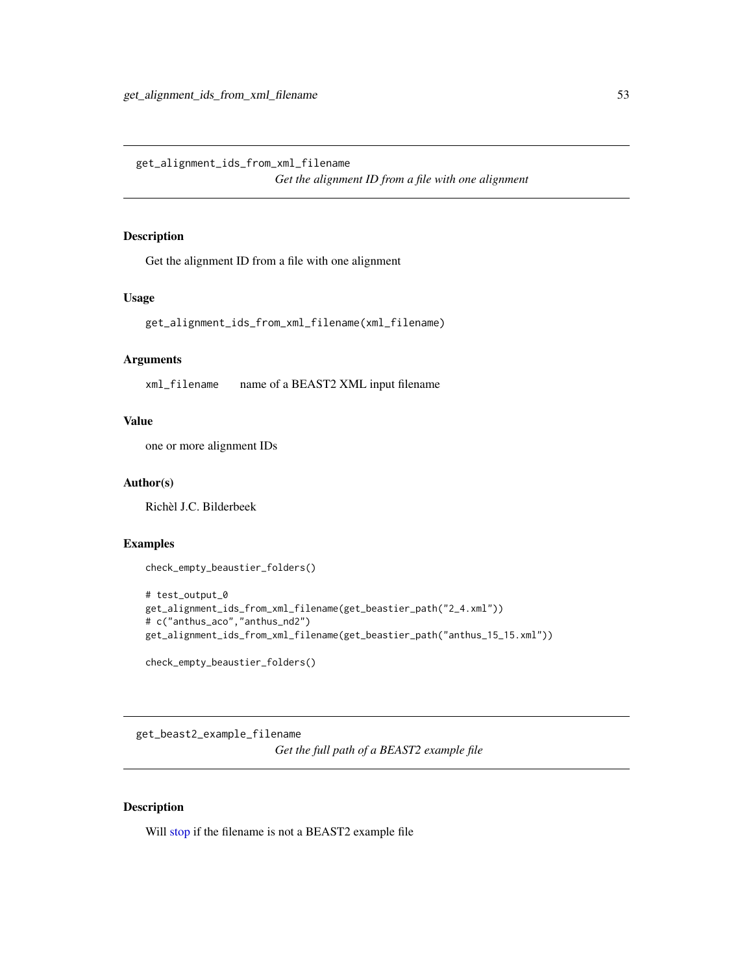get\_alignment\_ids\_from\_xml\_filename

*Get the alignment ID from a file with one alignment*

# Description

Get the alignment ID from a file with one alignment

# Usage

get\_alignment\_ids\_from\_xml\_filename(xml\_filename)

### Arguments

xml\_filename name of a BEAST2 XML input filename

# Value

one or more alignment IDs

#### Author(s)

Richèl J.C. Bilderbeek

## Examples

```
check_empty_beaustier_folders()
```

```
# test_output_0
get_alignment_ids_from_xml_filename(get_beastier_path("2_4.xml"))
# c("anthus_aco","anthus_nd2")
get_alignment_ids_from_xml_filename(get_beastier_path("anthus_15_15.xml"))
check_empty_beaustier_folders()
```
get\_beast2\_example\_filename *Get the full path of a BEAST2 example file*

### Description

Will [stop](#page-0-0) if the filename is not a BEAST2 example file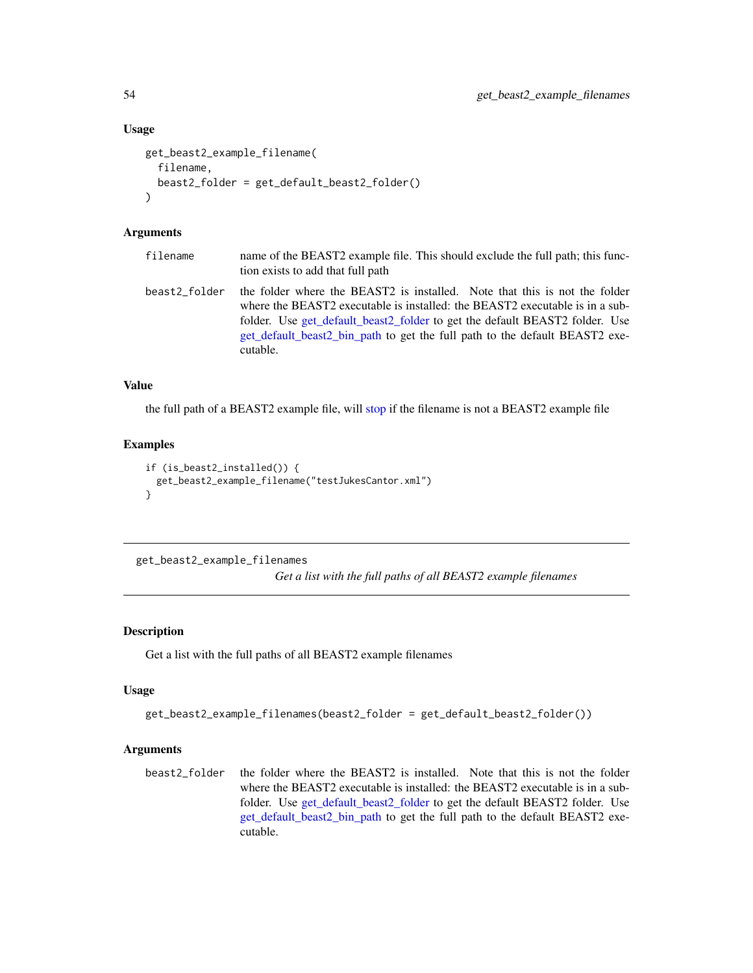#### Usage

```
get_beast2_example_filename(
  filename,
  beast2_folder = get_default_beast2_folder()
)
```
#### Arguments

| filename      | name of the BEAST2 example file. This should exclude the full path; this func-<br>tion exists to add that full path                                                                                                                                                                                                                  |
|---------------|--------------------------------------------------------------------------------------------------------------------------------------------------------------------------------------------------------------------------------------------------------------------------------------------------------------------------------------|
| beast2 folder | the folder where the BEAST2 is installed. Note that this is not the folder<br>where the BEAST2 executable is installed: the BEAST2 executable is in a sub-<br>folder. Use get_default_beast2_folder to get the default BEAST2 folder. Use<br>get_default_beast2_bin_path to get the full path to the default BEAST2 exe-<br>cutable. |

# Value

the full path of a BEAST2 example file, will [stop](#page-0-0) if the filename is not a BEAST2 example file

## Examples

```
if (is_beast2_installed()) {
 get_beast2_example_filename("testJukesCantor.xml")
}
```
get\_beast2\_example\_filenames

*Get a list with the full paths of all BEAST2 example filenames*

# Description

Get a list with the full paths of all BEAST2 example filenames

#### Usage

```
get_beast2_example_filenames(beast2_folder = get_default_beast2_folder())
```
## Arguments

beast2\_folder the folder where the BEAST2 is installed. Note that this is not the folder where the BEAST2 executable is installed: the BEAST2 executable is in a subfolder. Use [get\\_default\\_beast2\\_folder](#page-62-0) to get the default BEAST2 folder. Use [get\\_default\\_beast2\\_bin\\_path](#page-59-0) to get the full path to the default BEAST2 executable.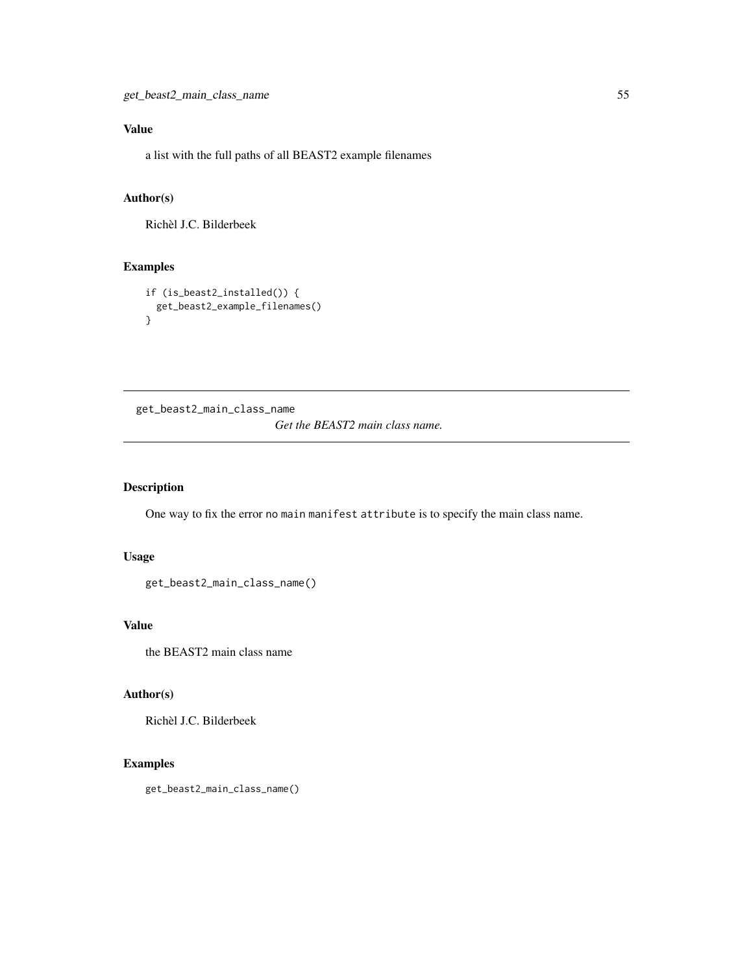# Value

a list with the full paths of all BEAST2 example filenames

# Author(s)

Richèl J.C. Bilderbeek

# Examples

```
if (is_beast2_installed()) {
  get_beast2_example_filenames()
}
```
get\_beast2\_main\_class\_name

*Get the BEAST2 main class name.*

# Description

One way to fix the error no main manifest attribute is to specify the main class name.

## Usage

```
get_beast2_main_class_name()
```
## Value

the BEAST2 main class name

#### Author(s)

Richèl J.C. Bilderbeek

# Examples

get\_beast2\_main\_class\_name()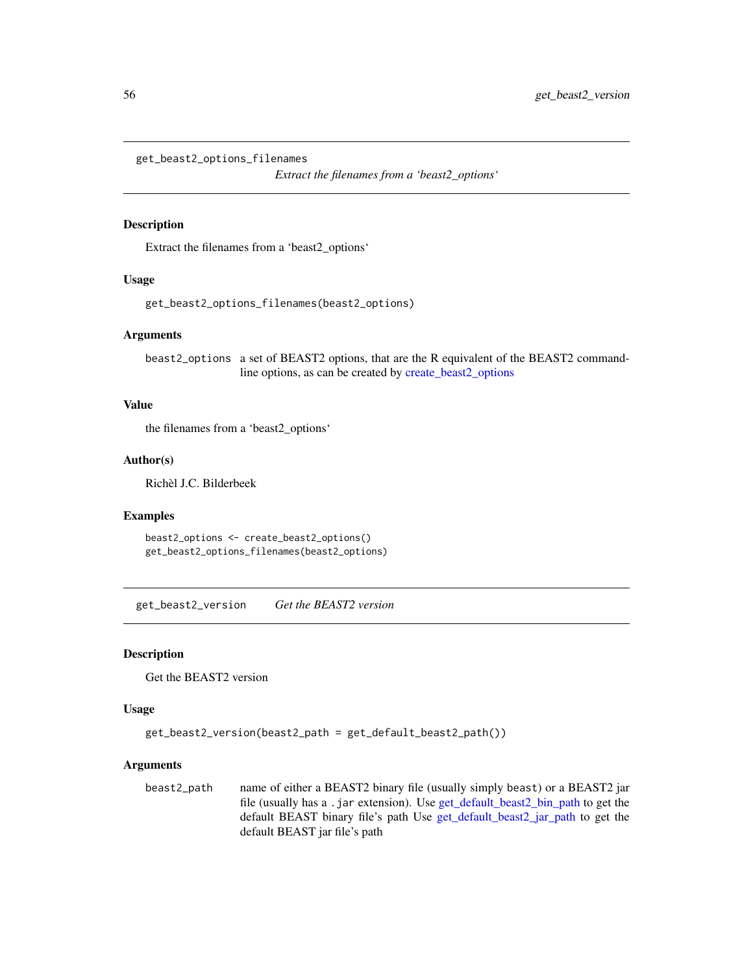get\_beast2\_options\_filenames

*Extract the filenames from a 'beast2\_options'*

## Description

Extract the filenames from a 'beast2\_options'

#### Usage

get\_beast2\_options\_filenames(beast2\_options)

#### Arguments

beast2\_options a set of BEAST2 options, that are the R equivalent of the BEAST2 commandline options, as can be created by [create\\_beast2\\_options](#page-27-0)

#### Value

the filenames from a 'beast2\_options'

#### Author(s)

Richèl J.C. Bilderbeek

#### Examples

```
beast2_options <- create_beast2_options()
get_beast2_options_filenames(beast2_options)
```
get\_beast2\_version *Get the BEAST2 version*

#### Description

Get the BEAST2 version

# Usage

```
get_beast2_version(beast2_path = get_default_beast2_path())
```
### **Arguments**

beast2\_path name of either a BEAST2 binary file (usually simply beast) or a BEAST2 jar file (usually has a .jar extension). Use [get\\_default\\_beast2\\_bin\\_path](#page-59-0) to get the default BEAST binary file's path Use [get\\_default\\_beast2\\_jar\\_path](#page-63-0) to get the default BEAST jar file's path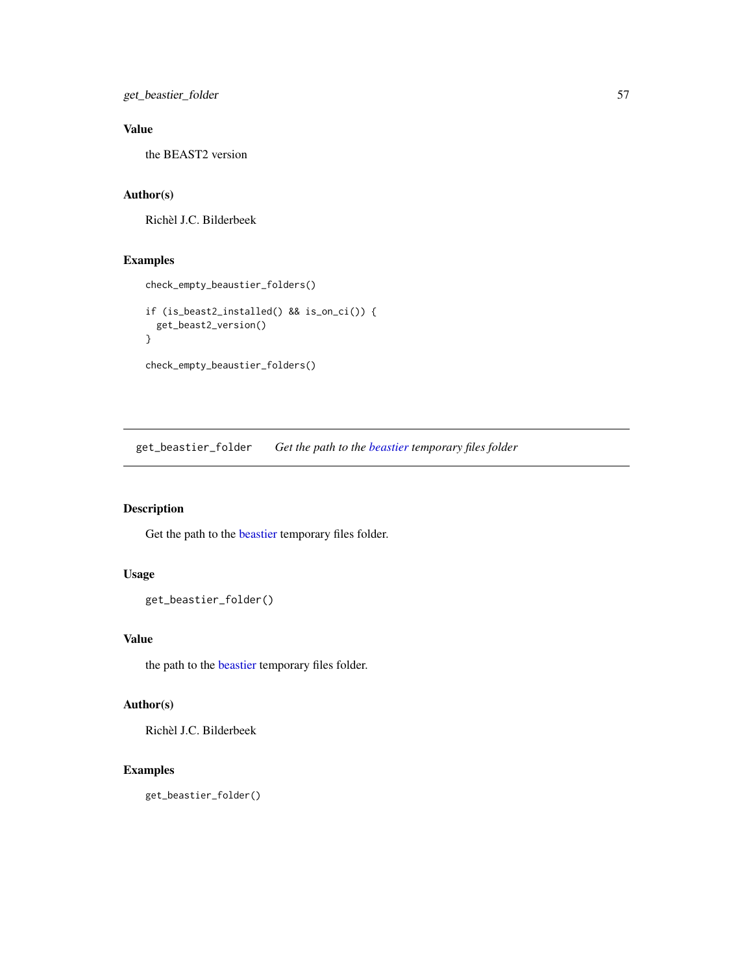get\_beastier\_folder 57

# Value

the BEAST2 version

### Author(s)

Richèl J.C. Bilderbeek

# Examples

```
check_empty_beaustier_folders()
if (is_beast2_installed() && is_on_ci()) {
  get_beast2_version()
}
check_empty_beaustier_folders()
```
get\_beastier\_folder *Get the path to the [beastier](#page-8-0) temporary files folder*

# Description

Get the path to the [beastier](#page-8-0) temporary files folder.

# Usage

```
get_beastier_folder()
```
## Value

the path to the [beastier](#page-8-0) temporary files folder.

# Author(s)

Richèl J.C. Bilderbeek

# Examples

get\_beastier\_folder()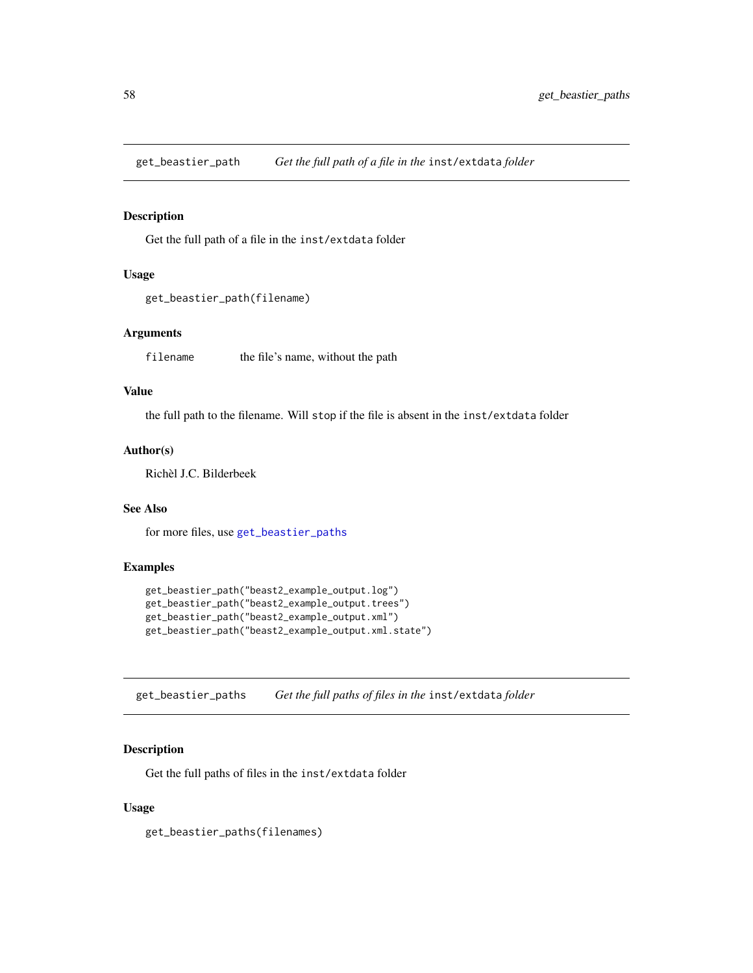<span id="page-57-1"></span>get\_beastier\_path *Get the full path of a file in the* inst/extdata *folder*

# Description

Get the full path of a file in the inst/extdata folder

# Usage

```
get_beastier_path(filename)
```
### Arguments

filename the file's name, without the path

## Value

the full path to the filename. Will stop if the file is absent in the inst/extdata folder

#### Author(s)

Richèl J.C. Bilderbeek

## See Also

for more files, use [get\\_beastier\\_paths](#page-57-0)

# Examples

```
get_beastier_path("beast2_example_output.log")
get_beastier_path("beast2_example_output.trees")
get_beastier_path("beast2_example_output.xml")
get_beastier_path("beast2_example_output.xml.state")
```
<span id="page-57-0"></span>get\_beastier\_paths *Get the full paths of files in the* inst/extdata *folder*

# Description

Get the full paths of files in the inst/extdata folder

### Usage

get\_beastier\_paths(filenames)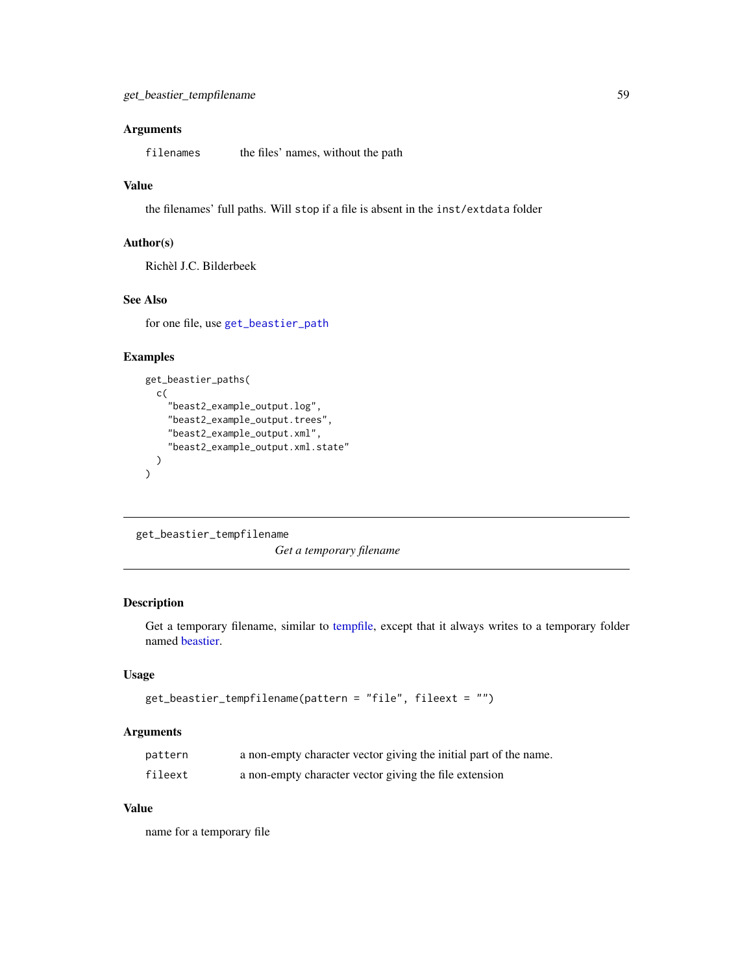# Arguments

filenames the files' names, without the path

# Value

the filenames' full paths. Will stop if a file is absent in the inst/extdata folder

# Author(s)

Richèl J.C. Bilderbeek

# See Also

for one file, use [get\\_beastier\\_path](#page-57-1)

# Examples

```
get_beastier_paths(
  c(
    "beast2_example_output.log",
    "beast2_example_output.trees",
    "beast2_example_output.xml",
    "beast2_example_output.xml.state"
  )
)
```
get\_beastier\_tempfilename

*Get a temporary filename*

## Description

Get a temporary filename, similar to [tempfile,](#page-0-0) except that it always writes to a temporary folder named [beastier.](#page-8-0)

# Usage

```
get_beastier_tempfilename(pattern = "file", fileext = "")
```
### Arguments

| pattern | a non-empty character vector giving the initial part of the name. |
|---------|-------------------------------------------------------------------|
| fileext | a non-empty character vector giving the file extension            |

## Value

name for a temporary file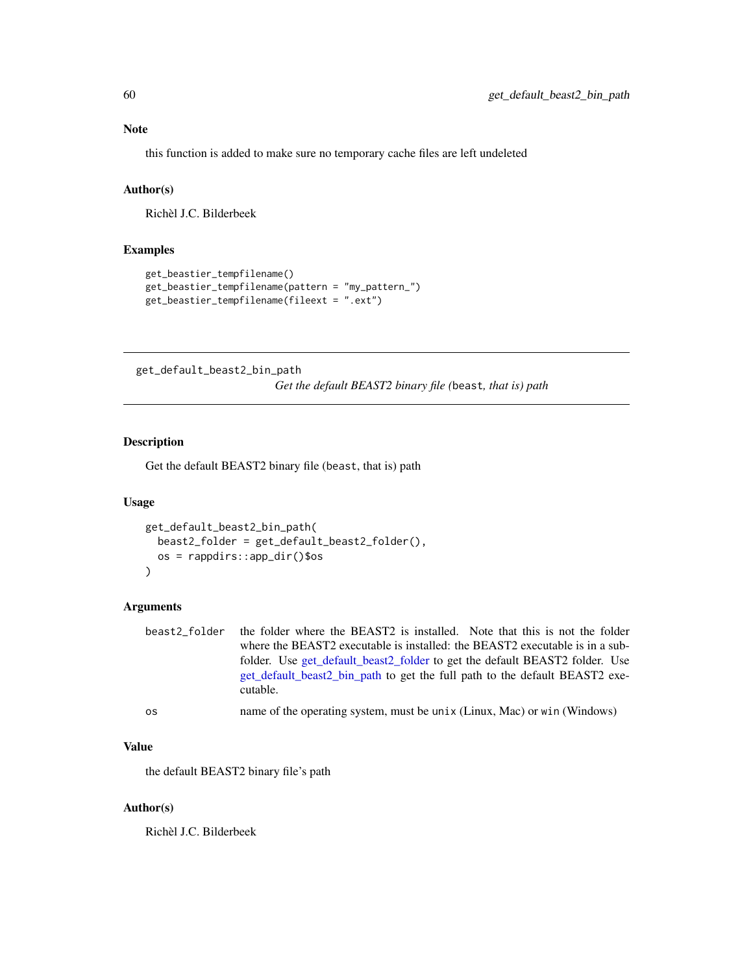# Note

this function is added to make sure no temporary cache files are left undeleted

# Author(s)

Richèl J.C. Bilderbeek

# Examples

```
get_beastier_tempfilename()
get_beastier_tempfilename(pattern = "my_pattern_")
get_beastier_tempfilename(fileext = ".ext")
```
<span id="page-59-0"></span>get\_default\_beast2\_bin\_path

*Get the default BEAST2 binary file (*beast*, that is) path*

#### Description

Get the default BEAST2 binary file (beast, that is) path

# Usage

```
get_default_beast2_bin_path(
 beast2_folder = get_default_beast2_folder(),
 os = rappdirs::app_dir()$os
\lambda
```
# Arguments

| beast2 folder | the folder where the BEAST2 is installed. Note that this is not the folder   |
|---------------|------------------------------------------------------------------------------|
|               | where the BEAST2 executable is installed: the BEAST2 executable is in a sub- |
|               | folder. Use get_default_beast2_folder to get the default BEAST2 folder. Use  |
|               | get default beast2 bin path to get the full path to the default BEAST2 exe-  |
|               | cutable.                                                                     |
|               |                                                                              |

# os name of the operating system, must be unix (Linux, Mac) or win (Windows)

## Value

the default BEAST2 binary file's path

#### Author(s)

Richèl J.C. Bilderbeek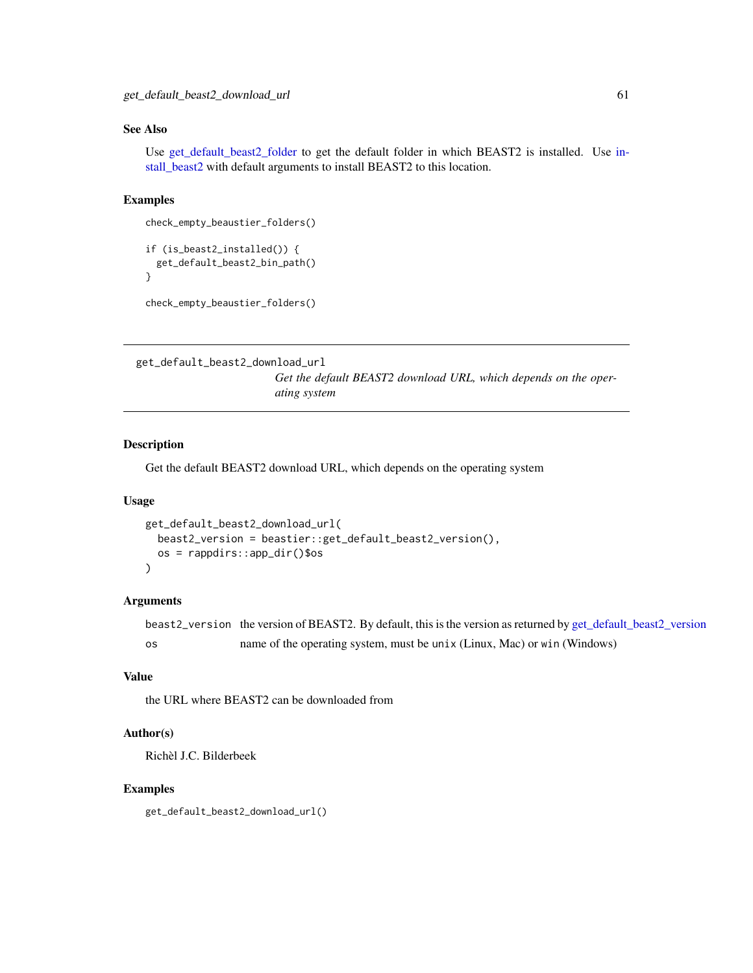# See Also

Use [get\\_default\\_beast2\\_folder](#page-62-0) to get the default folder in which BEAST2 is installed. Use [in](#page-70-0)[stall\\_beast2](#page-70-0) with default arguments to install BEAST2 to this location.

### Examples

```
check_empty_beaustier_folders()
if (is_beast2_installed()) {
 get_default_beast2_bin_path()
}
```

```
check_empty_beaustier_folders()
```

```
get_default_beast2_download_url
```
*Get the default BEAST2 download URL, which depends on the operating system*

# Description

Get the default BEAST2 download URL, which depends on the operating system

## Usage

```
get_default_beast2_download_url(
 beast2_version = beastier::get_default_beast2_version(),
 os = rappdirs::app_dir()$os
)
```
# Arguments

```
beast2_version the version of BEAST2. By default, this is the version as returned by get_default_beast2_version
os name of the operating system, must be unix (Linux, Mac) or win (Windows)
```
# Value

the URL where BEAST2 can be downloaded from

### Author(s)

Richèl J.C. Bilderbeek

# Examples

get\_default\_beast2\_download\_url()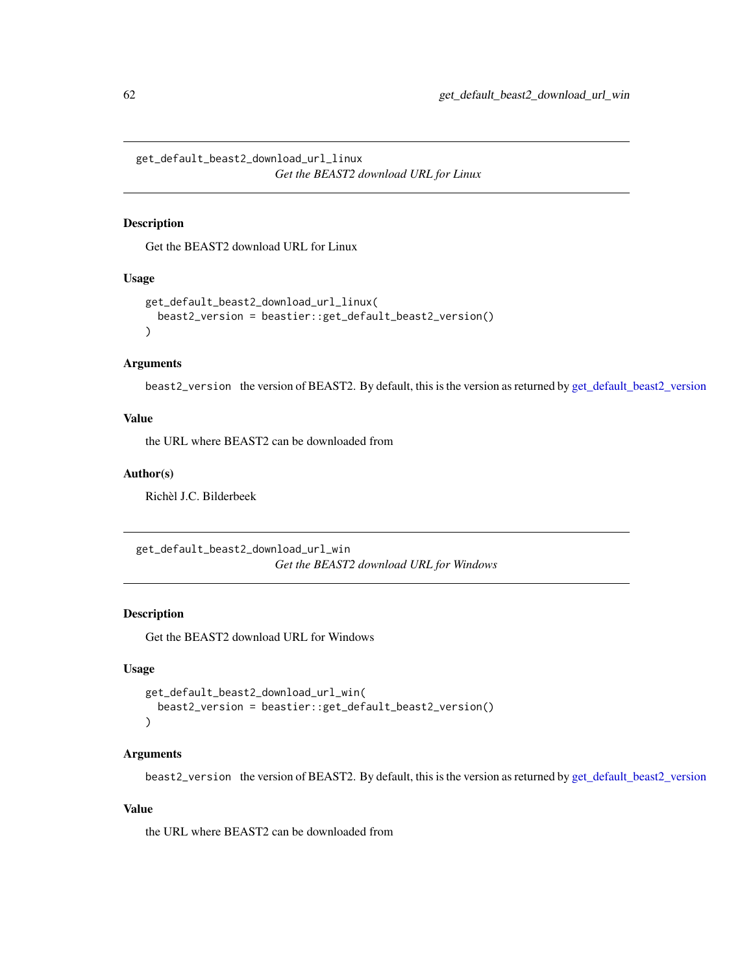get\_default\_beast2\_download\_url\_linux *Get the BEAST2 download URL for Linux*

# Description

Get the BEAST2 download URL for Linux

#### Usage

```
get_default_beast2_download_url_linux(
 beast2_version = beastier::get_default_beast2_version()
)
```
### Arguments

beast2\_version the version of BEAST2. By default, this is the version as returned by [get\\_default\\_beast2\\_version](#page-65-0)

#### Value

the URL where BEAST2 can be downloaded from

#### Author(s)

Richèl J.C. Bilderbeek

get\_default\_beast2\_download\_url\_win *Get the BEAST2 download URL for Windows*

# Description

Get the BEAST2 download URL for Windows

# Usage

```
get_default_beast2_download_url_win(
 beast2_version = beastier::get_default_beast2_version()
)
```
#### Arguments

beast2\_version the version of BEAST2. By default, this is the version as returned by [get\\_default\\_beast2\\_version](#page-65-0)

### Value

the URL where BEAST2 can be downloaded from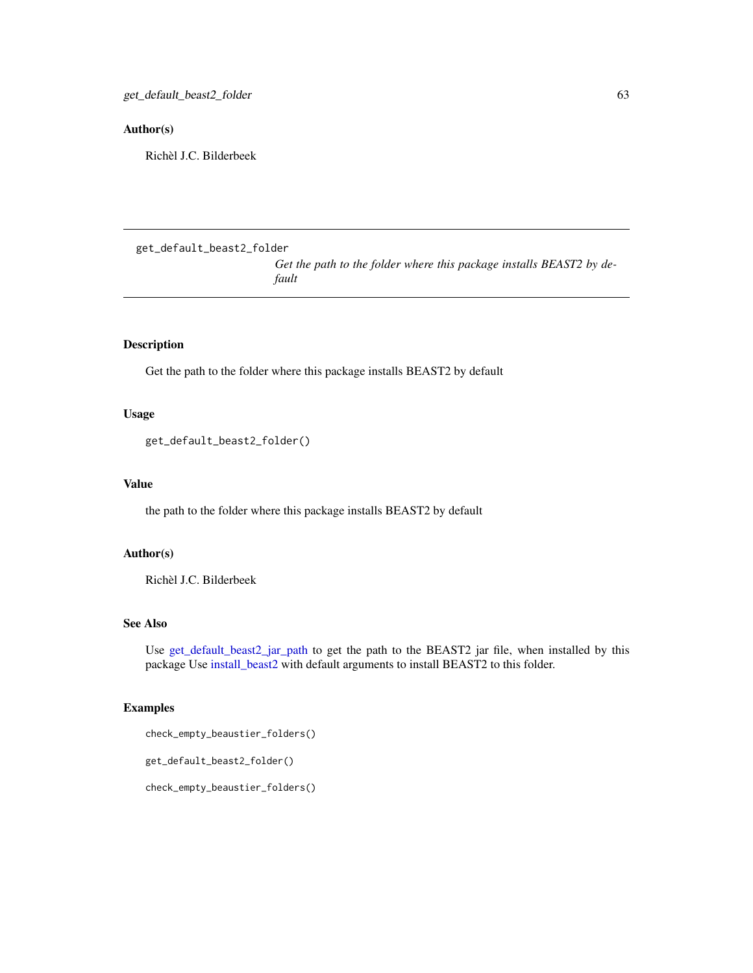# Author(s)

Richèl J.C. Bilderbeek

```
get_default_beast2_folder
```
*Get the path to the folder where this package installs BEAST2 by default*

# Description

Get the path to the folder where this package installs BEAST2 by default

#### Usage

```
get_default_beast2_folder()
```
## Value

the path to the folder where this package installs BEAST2 by default

## Author(s)

Richèl J.C. Bilderbeek

## See Also

Use [get\\_default\\_beast2\\_jar\\_path](#page-63-0) to get the path to the BEAST2 jar file, when installed by this package Use [install\\_beast2](#page-70-0) with default arguments to install BEAST2 to this folder.

# Examples

check\_empty\_beaustier\_folders()

get\_default\_beast2\_folder()

check\_empty\_beaustier\_folders()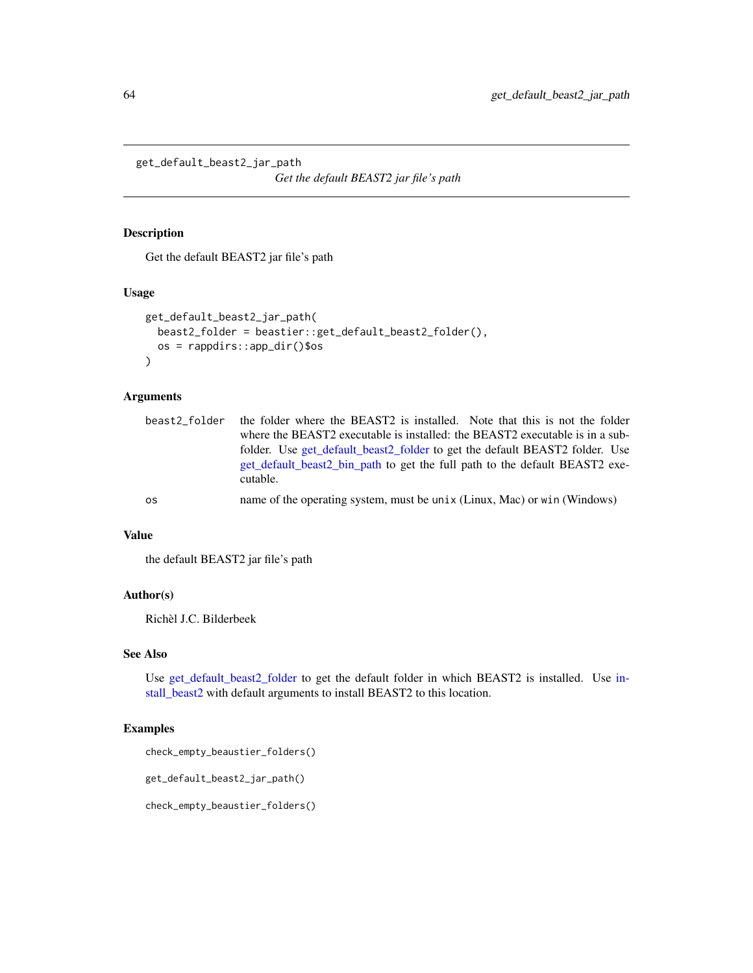<span id="page-63-0"></span>get\_default\_beast2\_jar\_path

*Get the default BEAST2 jar file's path*

## Description

Get the default BEAST2 jar file's path

### Usage

```
get_default_beast2_jar_path(
 beast2_folder = beastier::get_default_beast2_folder(),
 os = rappdirs::app_dir()$os
\mathcal{L}
```
### Arguments

| beast2 folder | the folder where the BEAST2 is installed. Note that this is not the folder   |
|---------------|------------------------------------------------------------------------------|
|               | where the BEAST2 executable is installed: the BEAST2 executable is in a sub- |
|               | folder. Use get_default_beast2_folder to get the default BEAST2 folder. Use  |
|               | get default beast2 bin path to get the full path to the default BEAST2 exe-  |
|               | cutable.                                                                     |
| os            | name of the operating system, must be unix (Linux, Mac) or win (Windows)     |

### Value

the default BEAST2 jar file's path

# Author(s)

Richèl J.C. Bilderbeek

### See Also

Use [get\\_default\\_beast2\\_folder](#page-62-0) to get the default folder in which BEAST2 is installed. Use [in](#page-70-0)[stall\\_beast2](#page-70-0) with default arguments to install BEAST2 to this location.

# Examples

check\_empty\_beaustier\_folders()

get\_default\_beast2\_jar\_path()

check\_empty\_beaustier\_folders()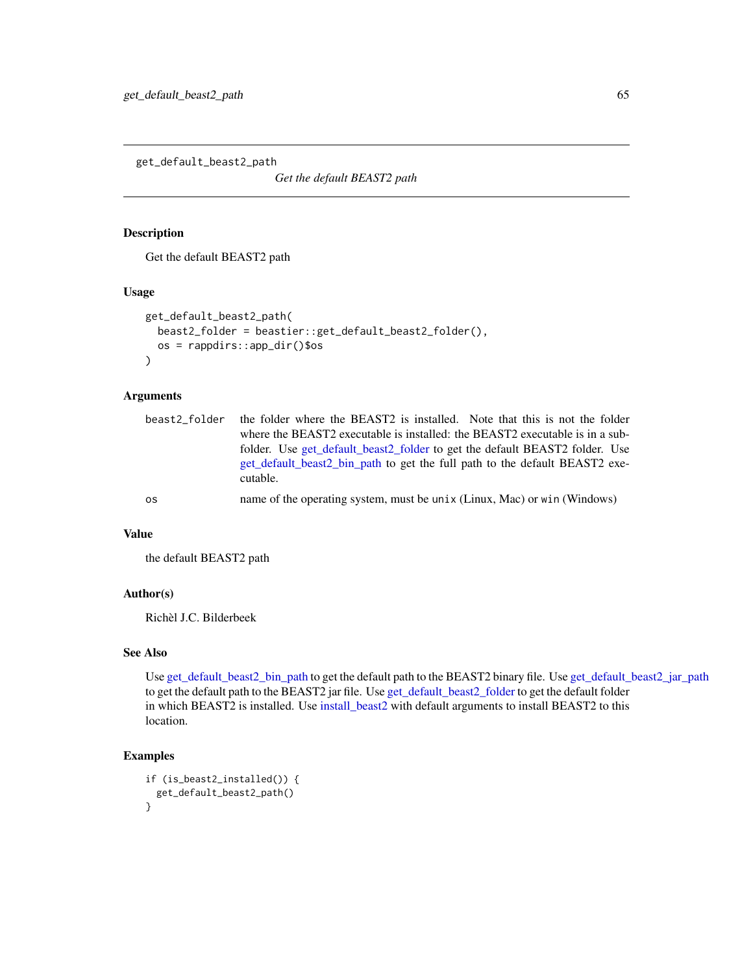get\_default\_beast2\_path

*Get the default BEAST2 path*

#### Description

Get the default BEAST2 path

## Usage

```
get_default_beast2_path(
 beast2_folder = beastier::get_default_beast2_folder(),
 os = rappdirs::app_dir()$os
\lambda
```
## Arguments

| beast2 folder | the folder where the BEAST2 is installed. Note that this is not the folder   |
|---------------|------------------------------------------------------------------------------|
|               | where the BEAST2 executable is installed: the BEAST2 executable is in a sub- |
|               | folder. Use get_default_beast2_folder to get the default BEAST2 folder. Use  |
|               | get default beast2 bin path to get the full path to the default BEAST2 exe-  |
|               | cutable.                                                                     |
| os            | name of the operating system, must be unix (Linux, Mac) or win (Windows)     |

### Value

the default BEAST2 path

### Author(s)

Richèl J.C. Bilderbeek

## See Also

Use [get\\_default\\_beast2\\_bin\\_path](#page-59-0) to get the default path to the BEAST2 binary file. Use [get\\_default\\_beast2\\_jar\\_path](#page-63-0) to get the default path to the BEAST2 jar file. Use [get\\_default\\_beast2\\_folder](#page-62-0) to get the default folder in which BEAST2 is installed. Use [install\\_beast2](#page-70-0) with default arguments to install BEAST2 to this location.

# Examples

```
if (is_beast2_installed()) {
 get_default_beast2_path()
}
```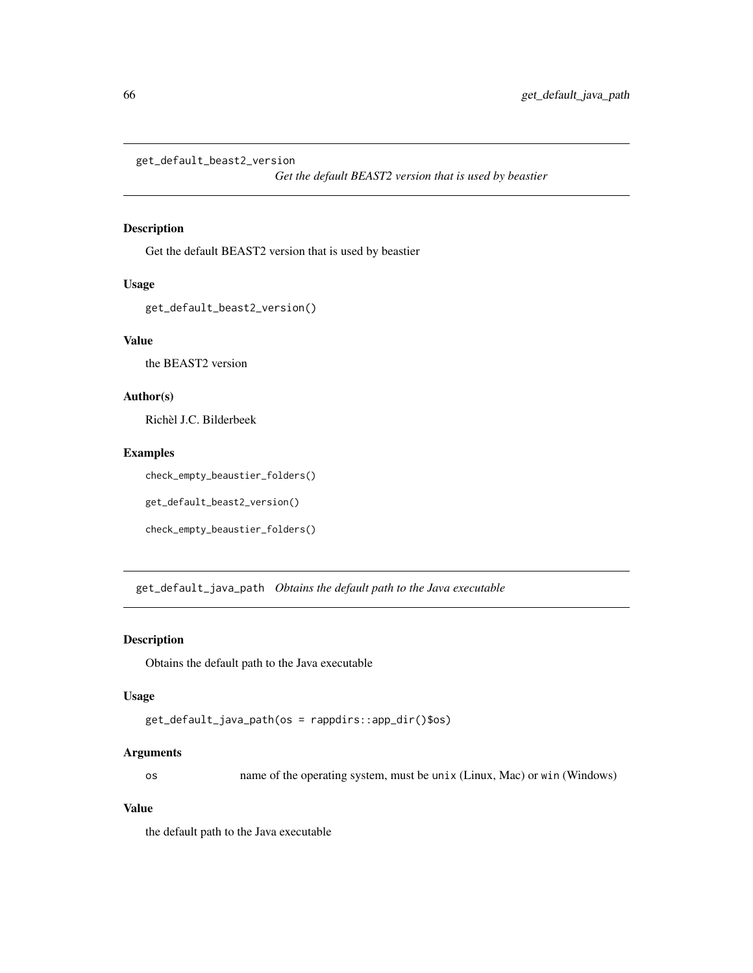<span id="page-65-0"></span>get\_default\_beast2\_version

*Get the default BEAST2 version that is used by beastier*

# Description

Get the default BEAST2 version that is used by beastier

#### Usage

get\_default\_beast2\_version()

#### Value

the BEAST2 version

# Author(s)

Richèl J.C. Bilderbeek

# Examples

check\_empty\_beaustier\_folders()

```
get_default_beast2_version()
```
check\_empty\_beaustier\_folders()

get\_default\_java\_path *Obtains the default path to the Java executable*

#### Description

Obtains the default path to the Java executable

#### Usage

```
get_default_java_path(os = rappdirs::app_dir()$os)
```
#### Arguments

os name of the operating system, must be unix (Linux, Mac) or win (Windows)

## Value

the default path to the Java executable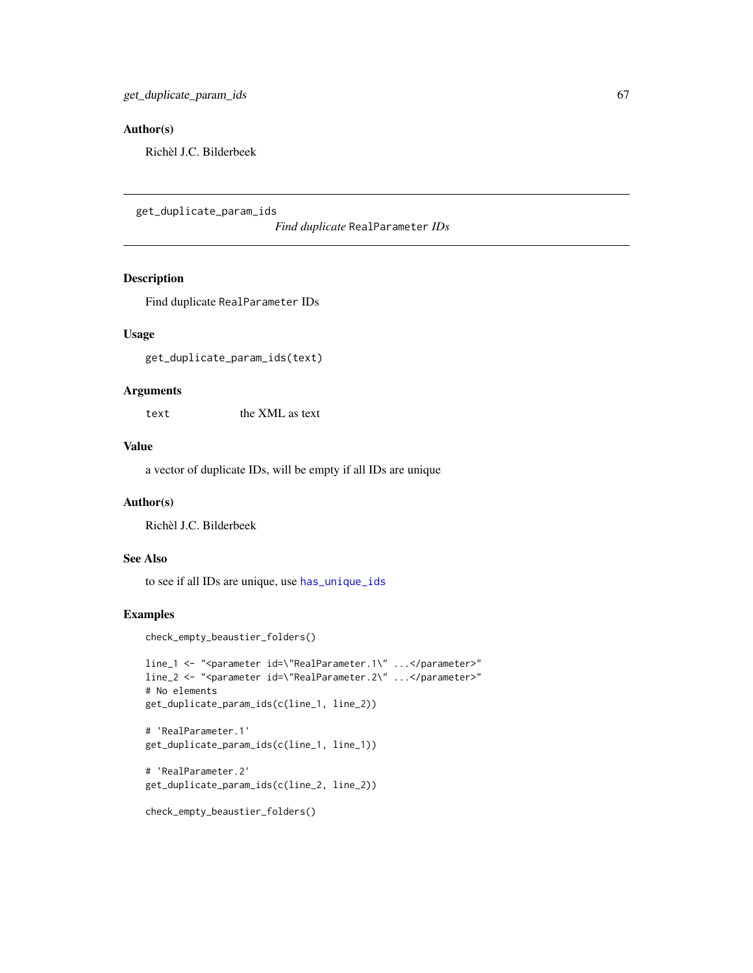# Author(s)

Richèl J.C. Bilderbeek

<span id="page-66-0"></span>get\_duplicate\_param\_ids

*Find duplicate* RealParameter *IDs*

#### Description

Find duplicate RealParameter IDs

#### Usage

get\_duplicate\_param\_ids(text)

#### Arguments

text the XML as text

# Value

a vector of duplicate IDs, will be empty if all IDs are unique

## Author(s)

Richèl J.C. Bilderbeek

#### See Also

to see if all IDs are unique, use [has\\_unique\\_ids](#page-69-0)

# Examples

check\_empty\_beaustier\_folders()

```
line_1 <- "<parameter id=\"RealParameter.1\" ...</parameter>"
line_2 <- "<parameter id=\"RealParameter.2\" ...</parameter>"
# No elements
get_duplicate_param_ids(c(line_1, line_2))
```

```
# 'RealParameter.1'
get_duplicate_param_ids(c(line_1, line_1))
```

```
# 'RealParameter.2'
get_duplicate_param_ids(c(line_2, line_2))
```

```
check_empty_beaustier_folders()
```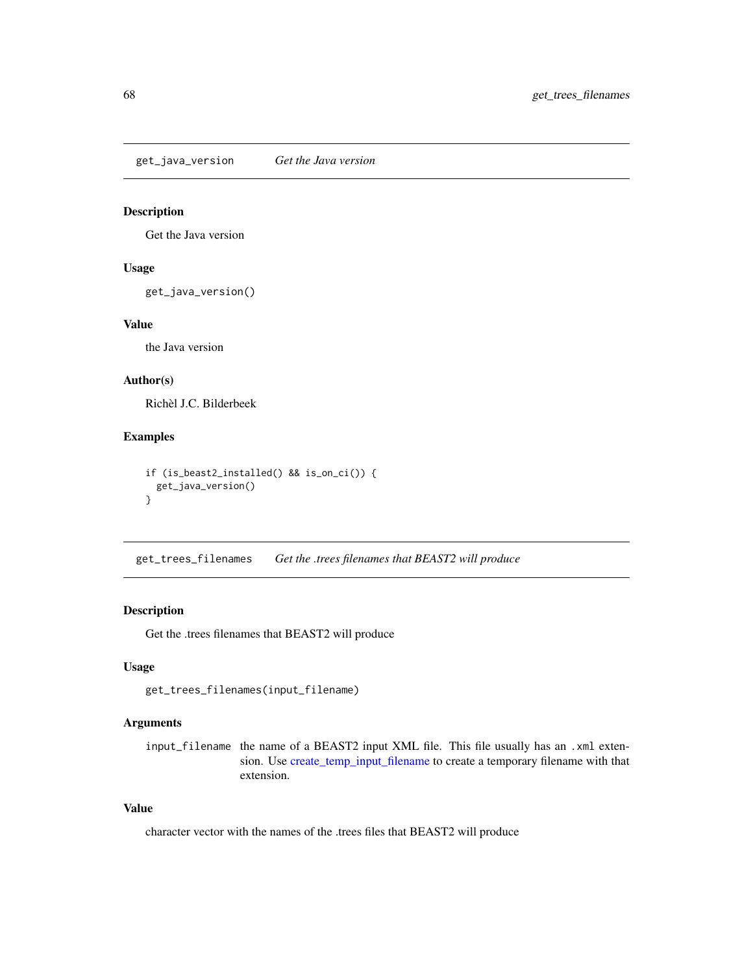get\_java\_version *Get the Java version*

## Description

Get the Java version

#### Usage

get\_java\_version()

#### Value

the Java version

# Author(s)

Richèl J.C. Bilderbeek

#### Examples

```
if (is_beast2_installed() && is_on_ci()) {
 get_java_version()
}
```
get\_trees\_filenames *Get the .trees filenames that BEAST2 will produce*

### Description

Get the .trees filenames that BEAST2 will produce

### Usage

get\_trees\_filenames(input\_filename)

# Arguments

input\_filename the name of a BEAST2 input XML file. This file usually has an .xml extension. Use [create\\_temp\\_input\\_filename](#page-44-0) to create a temporary filename with that extension.

# Value

character vector with the names of the .trees files that BEAST2 will produce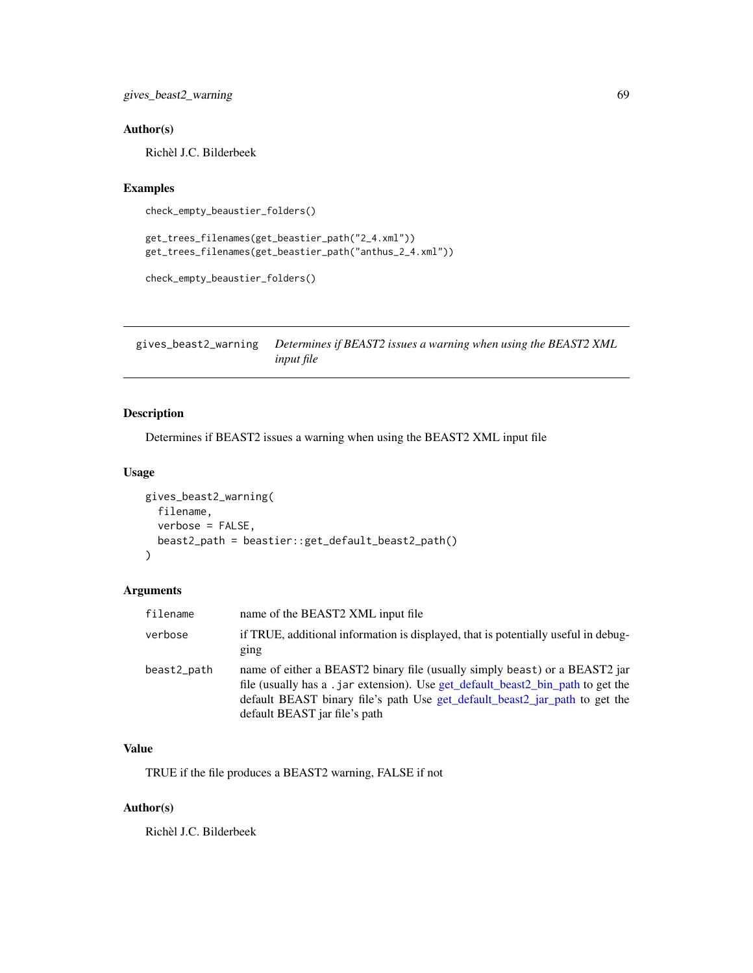gives\_beast2\_warning 69

## Author(s)

Richèl J.C. Bilderbeek

#### Examples

```
check_empty_beaustier_folders()
```

```
get_trees_filenames(get_beastier_path("2_4.xml"))
get_trees_filenames(get_beastier_path("anthus_2_4.xml"))
```

```
check_empty_beaustier_folders()
```
gives\_beast2\_warning *Determines if BEAST2 issues a warning when using the BEAST2 XML input file*

# Description

Determines if BEAST2 issues a warning when using the BEAST2 XML input file

## Usage

```
gives_beast2_warning(
  filename,
  verbose = FALSE,
 beast2_path = beastier::get_default_beast2_path()
)
```
#### Arguments

| filename    | name of the BEAST2 XML input file                                                                                                                                                                                                                                             |
|-------------|-------------------------------------------------------------------------------------------------------------------------------------------------------------------------------------------------------------------------------------------------------------------------------|
| verbose     | if TRUE, additional information is displayed, that is potentially useful in debug-<br>ging                                                                                                                                                                                    |
| beast2_path | name of either a BEAST2 binary file (usually simply beast) or a BEAST2 jar<br>file (usually has a .jar extension). Use get_default_beast2_bin_path to get the<br>default BEAST binary file's path Use get_default_beast2_jar_path to get the<br>default BEAST jar file's path |

## Value

TRUE if the file produces a BEAST2 warning, FALSE if not

# Author(s)

Richèl J.C. Bilderbeek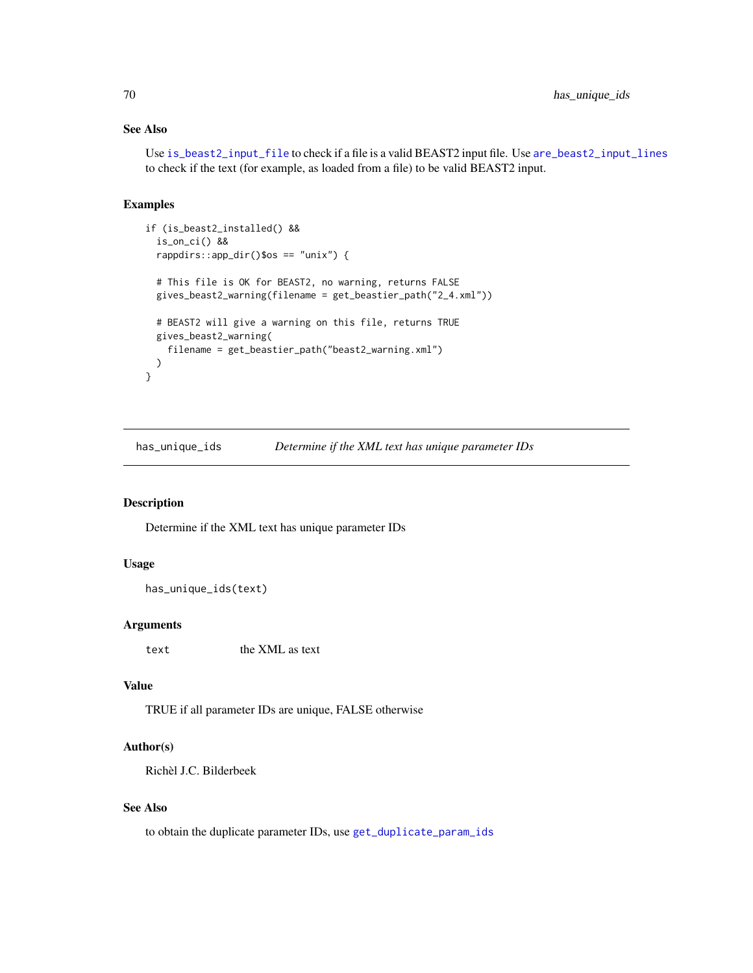# See Also

Use [is\\_beast2\\_input\\_file](#page-71-0) to check if a file is a valid BEAST2 input file. Use [are\\_beast2\\_input\\_lines](#page-4-0) to check if the text (for example, as loaded from a file) to be valid BEAST2 input.

#### Examples

```
if (is_beast2_installed() &&
 is_on_ci() &&
 rappdirs::app_dir()$os == "unix") {
 # This file is OK for BEAST2, no warning, returns FALSE
 gives_beast2_warning(filename = get_beastier_path("2_4.xml"))
 # BEAST2 will give a warning on this file, returns TRUE
 gives_beast2_warning(
   filename = get_beastier_path("beast2_warning.xml")
 )
}
```
<span id="page-69-0"></span>has\_unique\_ids *Determine if the XML text has unique parameter IDs*

## Description

Determine if the XML text has unique parameter IDs

### Usage

```
has_unique_ids(text)
```
#### Arguments

text the XML as text

# Value

TRUE if all parameter IDs are unique, FALSE otherwise

### Author(s)

Richèl J.C. Bilderbeek

### See Also

to obtain the duplicate parameter IDs, use [get\\_duplicate\\_param\\_ids](#page-66-0)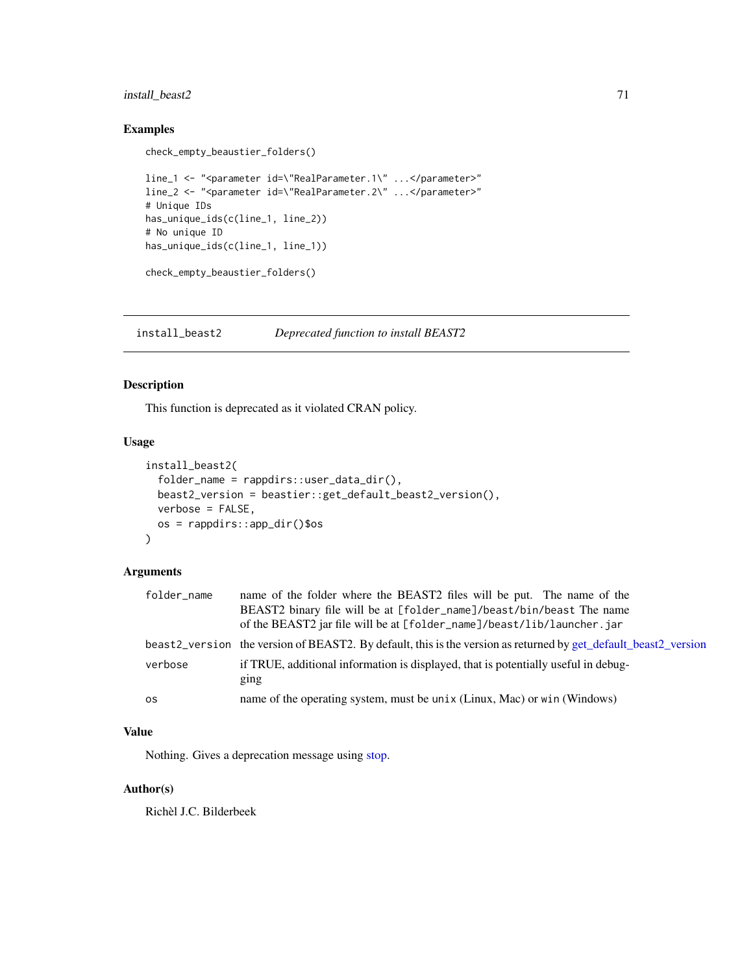# install\_beast2 71

### Examples

```
check_empty_beaustier_folders()
```

```
line_1 <- "<parameter id=\"RealParameter.1\" ...</parameter>"
line_2 <- "<parameter id=\"RealParameter.2\" ...</parameter>"
# Unique IDs
has_unique_ids(c(line_1, line_2))
# No unique ID
has_unique_ids(c(line_1, line_1))
```

```
check_empty_beaustier_folders()
```
<span id="page-70-0"></span>install\_beast2 *Deprecated function to install BEAST2*

# Description

This function is deprecated as it violated CRAN policy.

#### Usage

```
install_beast2(
 folder_name = rappdirs::user_data_dir(),
 beast2_version = beastier::get_default_beast2_version(),
 verbose = FALSE,
 os = rappdirs::app_dir()$os
)
```
## Arguments

| folder_name | name of the folder where the BEAST2 files will be put. The name of the                                          |
|-------------|-----------------------------------------------------------------------------------------------------------------|
|             | BEAST2 binary file will be at [folder_name]/beast/bin/beast The name                                            |
|             | of the BEAST2 jar file will be at [folder_name]/beast/lib/launcher.jar                                          |
|             | beast2_version the version of BEAST2. By default, this is the version as returned by get_default_beast2_version |
| verbose     | if TRUE, additional information is displayed, that is potentially useful in debug-<br>ging                      |
| <b>OS</b>   | name of the operating system, must be unix (Linux, Mac) or win (Windows)                                        |
|             |                                                                                                                 |

### Value

Nothing. Gives a deprecation message using [stop.](#page-0-0)

# Author(s)

Richèl J.C. Bilderbeek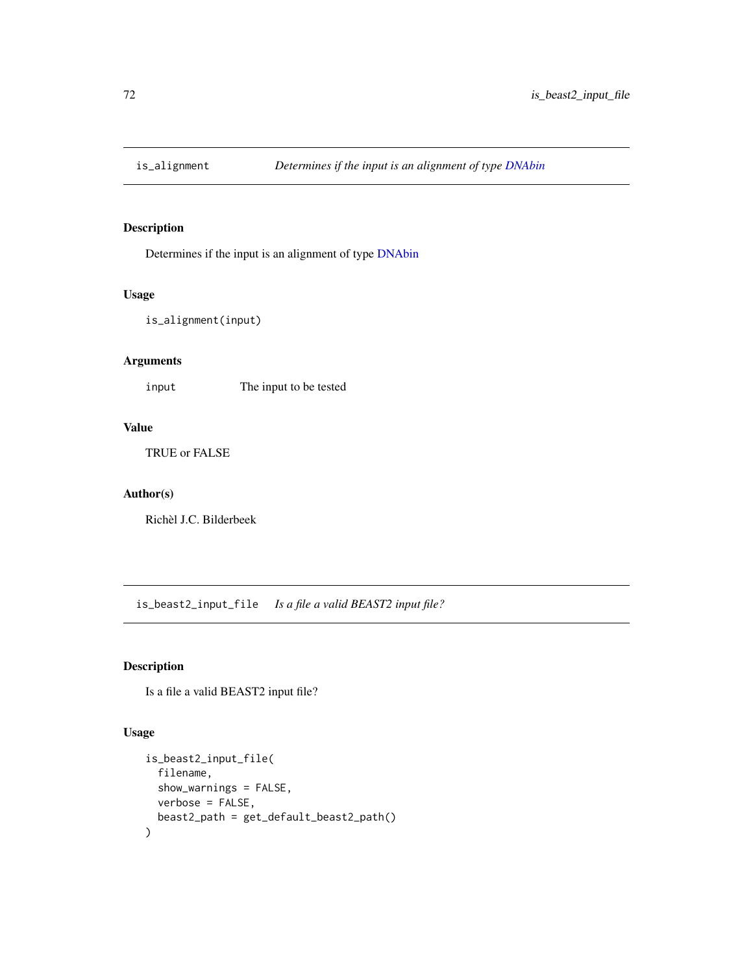# Description

Determines if the input is an alignment of type [DNAbin](#page-0-0)

### Usage

is\_alignment(input)

# Arguments

input The input to be tested

# Value

TRUE or FALSE

## Author(s)

Richèl J.C. Bilderbeek

<span id="page-71-0"></span>is\_beast2\_input\_file *Is a file a valid BEAST2 input file?*

# Description

Is a file a valid BEAST2 input file?

## Usage

```
is_beast2_input_file(
  filename,
  show_warnings = FALSE,
 verbose = FALSE,
  beast2_path = get_default_beast2_path()
\mathcal{E}
```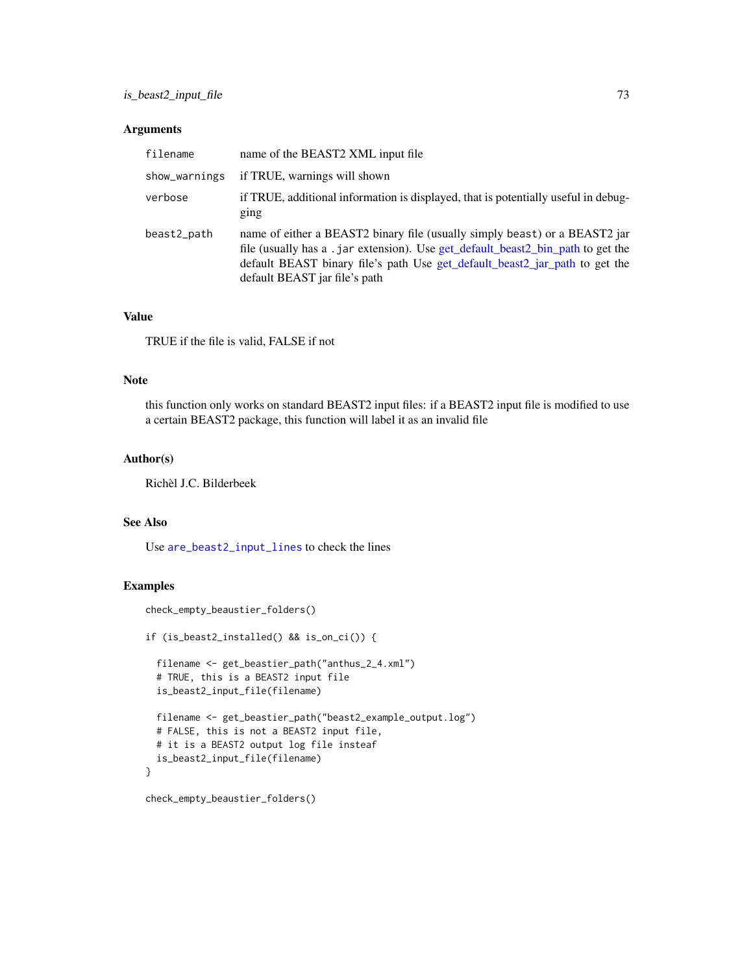# <span id="page-72-0"></span>Arguments

| filename      | name of the BEAST2 XML input file                                                                                                                                                                                                                                              |
|---------------|--------------------------------------------------------------------------------------------------------------------------------------------------------------------------------------------------------------------------------------------------------------------------------|
| show_warnings | if TRUE, warnings will shown                                                                                                                                                                                                                                                   |
| verbose       | if TRUE, additional information is displayed, that is potentially useful in debug-<br>ging                                                                                                                                                                                     |
| beast2_path   | name of either a BEAST2 binary file (usually simply beast) or a BEAST2 jar<br>file (usually has a . jar extension). Use get_default_beast2_bin_path to get the<br>default BEAST binary file's path Use get_default_beast2_jar_path to get the<br>default BEAST jar file's path |

## Value

TRUE if the file is valid, FALSE if not

## Note

this function only works on standard BEAST2 input files: if a BEAST2 input file is modified to use a certain BEAST2 package, this function will label it as an invalid file

# Author(s)

Richèl J.C. Bilderbeek

# See Also

Use [are\\_beast2\\_input\\_lines](#page-4-0) to check the lines

```
check_empty_beaustier_folders()
if (is_beast2_installed() && is_on_ci()) {
 filename <- get_beastier_path("anthus_2_4.xml")
 # TRUE, this is a BEAST2 input file
 is_beast2_input_file(filename)
 filename <- get_beastier_path("beast2_example_output.log")
 # FALSE, this is not a BEAST2 input file,
 # it is a BEAST2 output log file insteaf
 is_beast2_input_file(filename)
}
```

```
check_empty_beaustier_folders()
```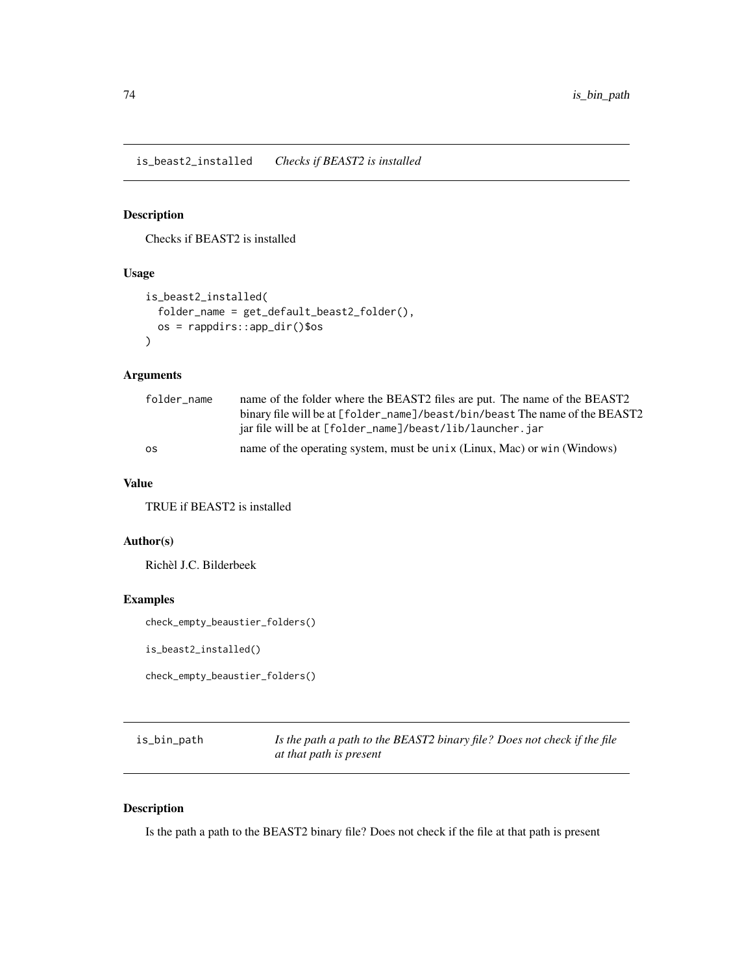<span id="page-73-0"></span>is\_beast2\_installed *Checks if BEAST2 is installed*

# Description

Checks if BEAST2 is installed

## Usage

```
is_beast2_installed(
  folder_name = get_default_beast2_folder(),
 os = rappdirs::app_dir()$os
\lambda
```
# Arguments

| folder name | name of the folder where the BEAST2 files are put. The name of the BEAST2   |
|-------------|-----------------------------------------------------------------------------|
|             | binary file will be at [folder_name]/beast/bin/beast The name of the BEAST2 |
|             | jar file will be at [folder_name]/beast/lib/launcher.jar                    |
| <b>OS</b>   | name of the operating system, must be unix (Linux, Mac) or win (Windows)    |

## Value

TRUE if BEAST2 is installed

# Author(s)

Richèl J.C. Bilderbeek

## Examples

check\_empty\_beaustier\_folders()

is\_beast2\_installed()

check\_empty\_beaustier\_folders()

| is_bin_path | Is the path a path to the BEAST2 binary file? Does not check if the file |
|-------------|--------------------------------------------------------------------------|
|             | at that path is present                                                  |

# Description

Is the path a path to the BEAST2 binary file? Does not check if the file at that path is present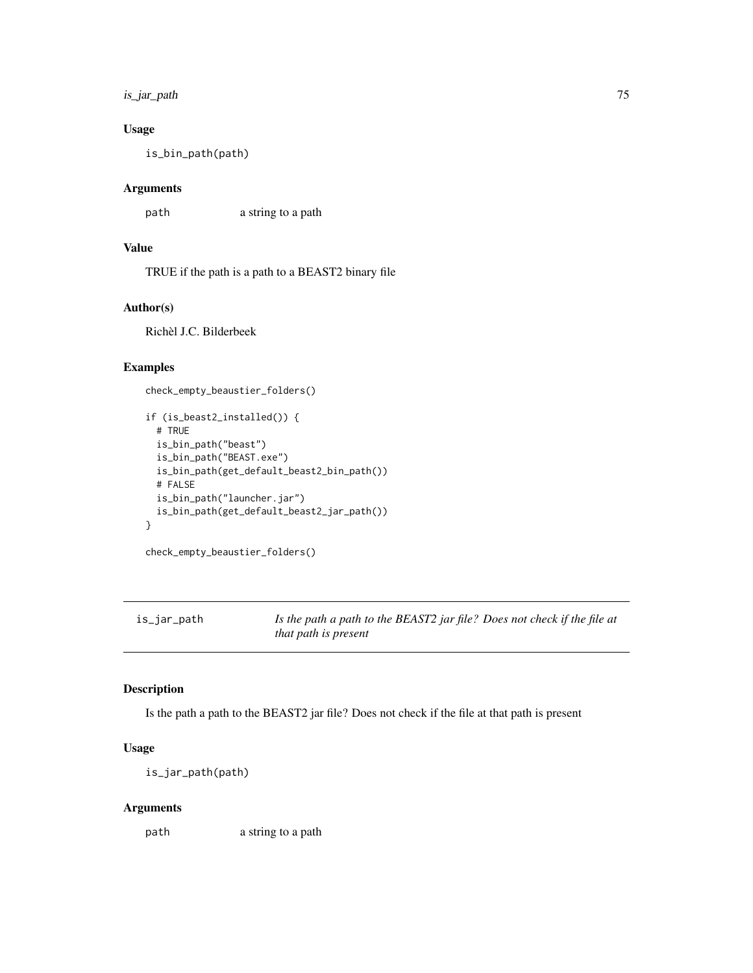# <span id="page-74-0"></span>is\_jar\_path 75

# Usage

is\_bin\_path(path)

# Arguments

path a string to a path

# Value

TRUE if the path is a path to a BEAST2 binary file

#### Author(s)

Richèl J.C. Bilderbeek

## Examples

check\_empty\_beaustier\_folders()

```
if (is_beast2_installed()) {
 # TRUE
 is_bin_path("beast")
 is_bin_path("BEAST.exe")
 is_bin_path(get_default_beast2_bin_path())
 # FALSE
 is_bin_path("launcher.jar")
 is_bin_path(get_default_beast2_jar_path())
}
```

```
check_empty_beaustier_folders()
```
is\_jar\_path *Is the path a path to the BEAST2 jar file? Does not check if the file at that path is present*

# Description

Is the path a path to the BEAST2 jar file? Does not check if the file at that path is present

# Usage

is\_jar\_path(path)

#### Arguments

path a string to a path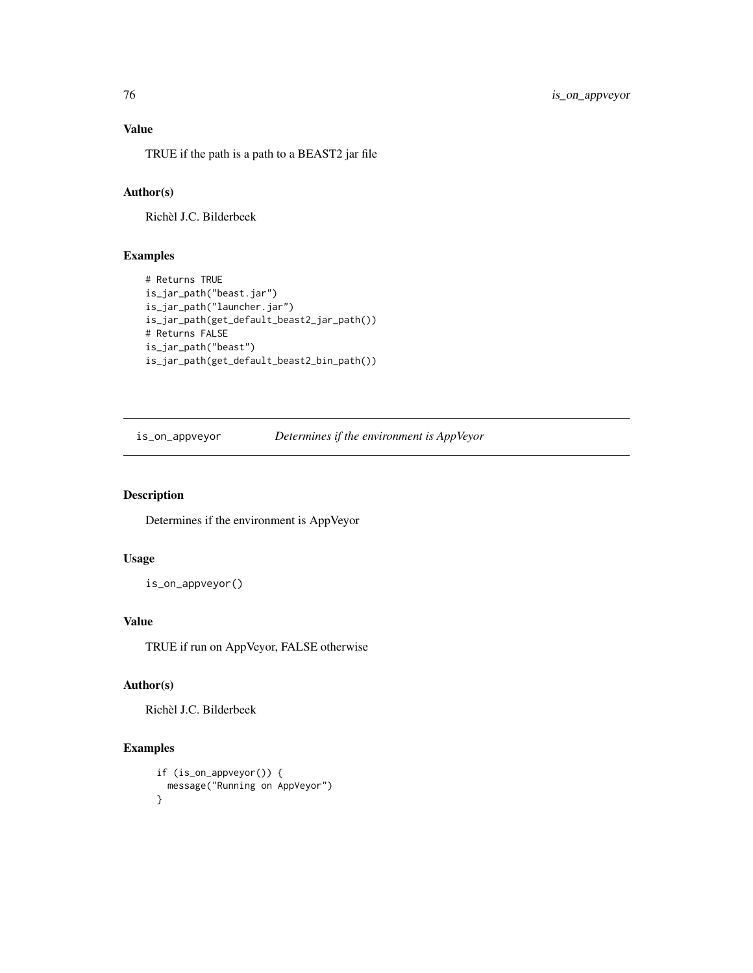# Value

TRUE if the path is a path to a BEAST2 jar file

# Author(s)

Richèl J.C. Bilderbeek

# Examples

```
# Returns TRUE
is_jar_path("beast.jar")
is_jar_path("launcher.jar")
is_jar_path(get_default_beast2_jar_path())
# Returns FALSE
is_jar_path("beast")
is_jar_path(get_default_beast2_bin_path())
```

```
is_on_appveyor Determines if the environment is AppVeyor
```
## Description

Determines if the environment is AppVeyor

# Usage

is\_on\_appveyor()

# Value

TRUE if run on AppVeyor, FALSE otherwise

# Author(s)

Richèl J.C. Bilderbeek

```
if (is_on_appveyor()) {
 message("Running on AppVeyor")
}
```
<span id="page-75-0"></span>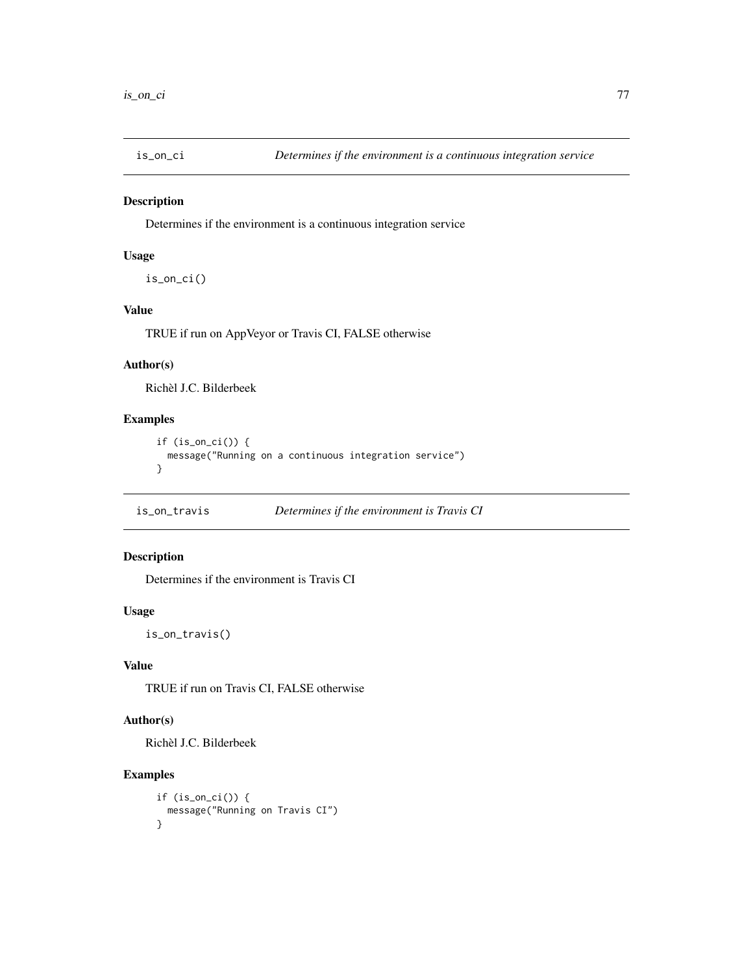<span id="page-76-0"></span>

Determines if the environment is a continuous integration service

# Usage

is\_on\_ci()

# Value

TRUE if run on AppVeyor or Travis CI, FALSE otherwise

# Author(s)

Richèl J.C. Bilderbeek

# Examples

```
if (is_on_ci()) {
 message("Running on a continuous integration service")
}
```

| is_on_travis | Determines if the environment is Travis CI |  |
|--------------|--------------------------------------------|--|
|              |                                            |  |

# Description

Determines if the environment is Travis CI

## Usage

is\_on\_travis()

# Value

TRUE if run on Travis CI, FALSE otherwise

## Author(s)

Richèl J.C. Bilderbeek

```
if (is_on_ci()) {
  message("Running on Travis CI")
}
```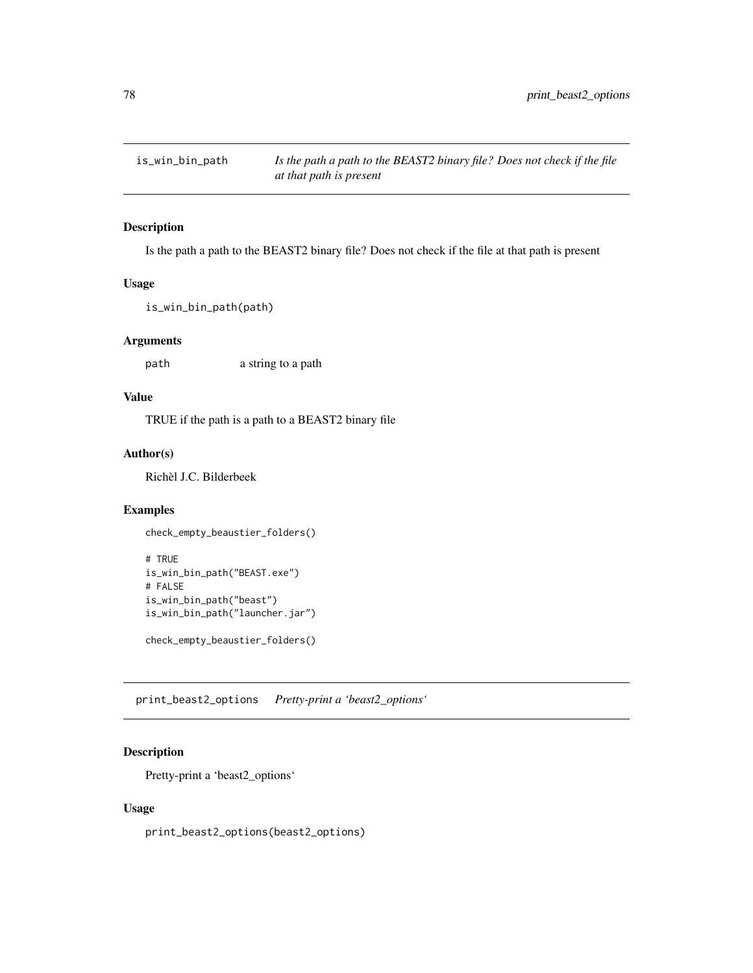<span id="page-77-0"></span>

Is the path a path to the BEAST2 binary file? Does not check if the file at that path is present

# Usage

is\_win\_bin\_path(path)

## Arguments

path a string to a path

# Value

TRUE if the path is a path to a BEAST2 binary file

# Author(s)

Richèl J.C. Bilderbeek

# Examples

```
check_empty_beaustier_folders()
```

```
# TRUE
is_win_bin_path("BEAST.exe")
# FALSE
is_win_bin_path("beast")
is_win_bin_path("launcher.jar")
```
check\_empty\_beaustier\_folders()

print\_beast2\_options *Pretty-print a 'beast2\_options'*

## Description

Pretty-print a 'beast2\_options'

#### Usage

print\_beast2\_options(beast2\_options)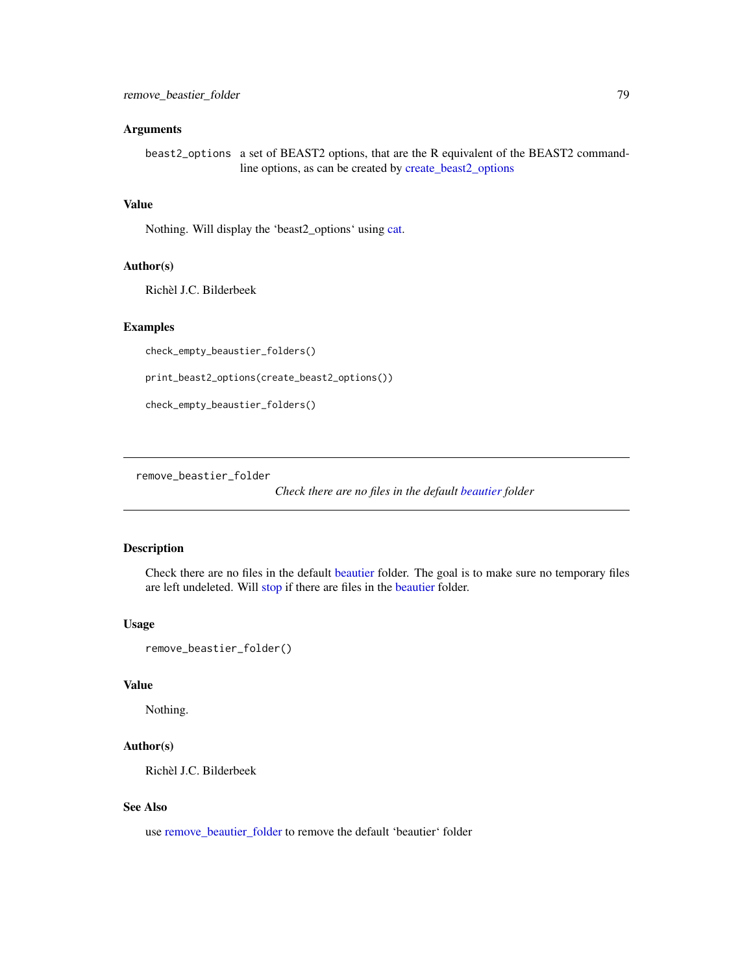#### <span id="page-78-0"></span>**Arguments**

beast2\_options a set of BEAST2 options, that are the R equivalent of the BEAST2 commandline options, as can be created by [create\\_beast2\\_options](#page-27-0)

# Value

Nothing. Will display the 'beast2\_options' using [cat.](#page-0-0)

#### Author(s)

Richèl J.C. Bilderbeek

#### Examples

check\_empty\_beaustier\_folders()

print\_beast2\_options(create\_beast2\_options())

check\_empty\_beaustier\_folders()

remove\_beastier\_folder

*Check there are no files in the default [beautier](#page-0-0) folder*

# Description

Check there are no files in the default [beautier](#page-0-0) folder. The goal is to make sure no temporary files are left undeleted. Will [stop](#page-0-0) if there are files in the [beautier](#page-0-0) folder.

## Usage

```
remove_beastier_folder()
```
## Value

Nothing.

#### Author(s)

Richèl J.C. Bilderbeek

#### See Also

use [remove\\_beautier\\_folder](#page-79-0) to remove the default 'beautier' folder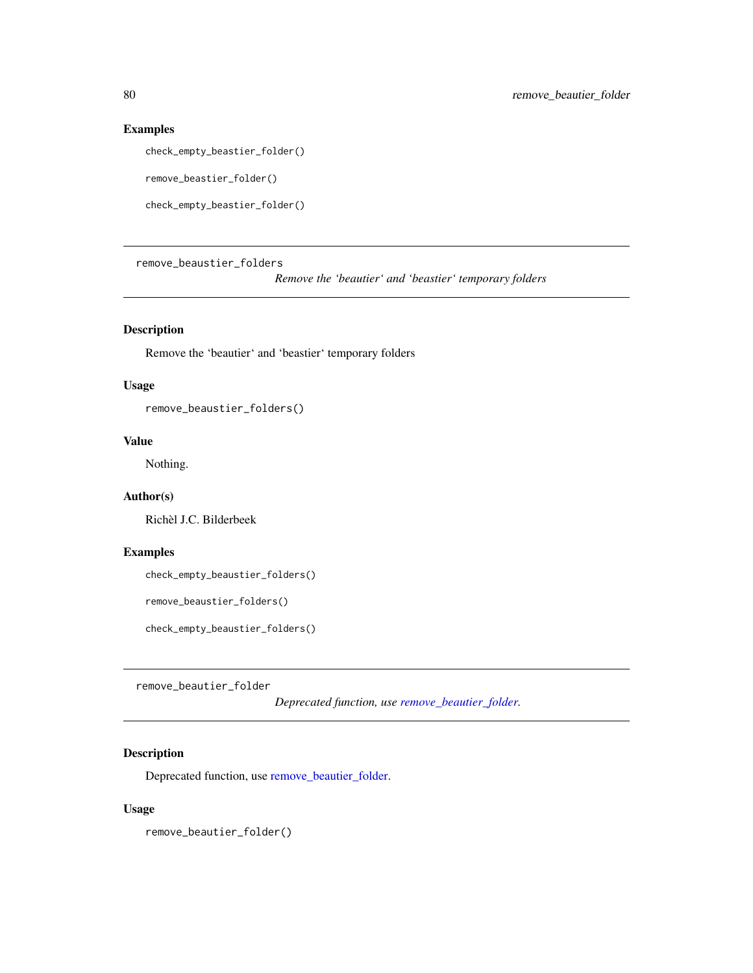# Examples

check\_empty\_beastier\_folder()

```
remove_beastier_folder()
```
check\_empty\_beastier\_folder()

remove\_beaustier\_folders

*Remove the 'beautier' and 'beastier' temporary folders*

# Description

Remove the 'beautier' and 'beastier' temporary folders

# Usage

remove\_beaustier\_folders()

# Value

Nothing.

## Author(s)

Richèl J.C. Bilderbeek

# Examples

check\_empty\_beaustier\_folders()

remove\_beaustier\_folders()

check\_empty\_beaustier\_folders()

<span id="page-79-0"></span>remove\_beautier\_folder

*Deprecated function, use [remove\\_beautier\\_folder.](#page-79-0)*

# Description

Deprecated function, use [remove\\_beautier\\_folder.](#page-79-0)

# Usage

remove\_beautier\_folder()

<span id="page-79-1"></span>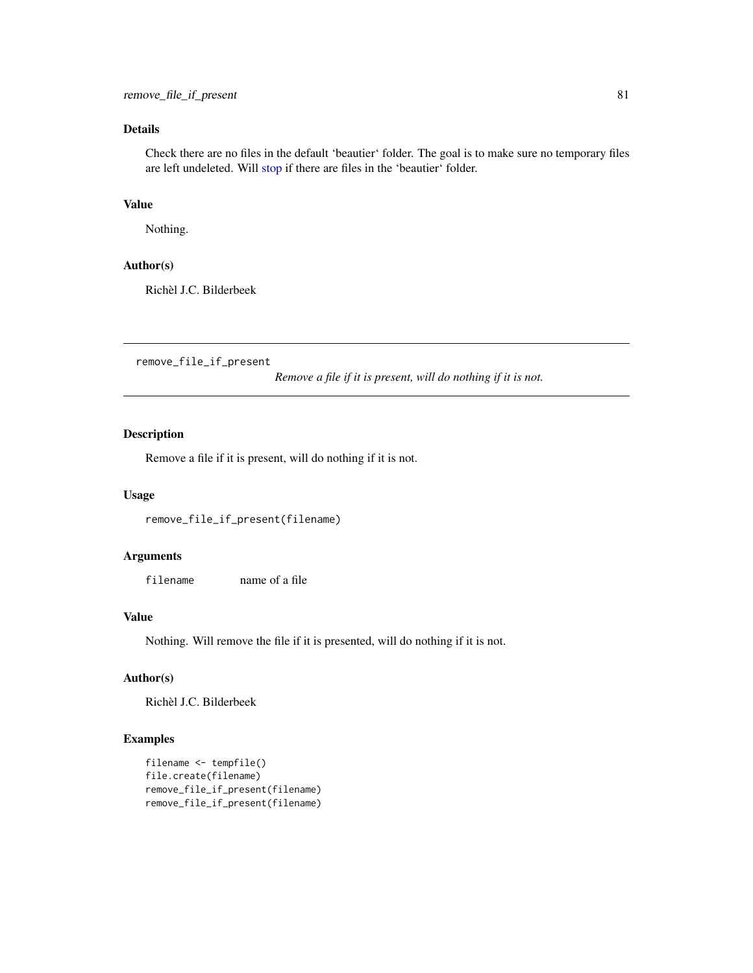# <span id="page-80-0"></span>Details

Check there are no files in the default 'beautier' folder. The goal is to make sure no temporary files are left undeleted. Will [stop](#page-0-0) if there are files in the 'beautier' folder.

## Value

Nothing.

#### Author(s)

Richèl J.C. Bilderbeek

remove\_file\_if\_present

*Remove a file if it is present, will do nothing if it is not.*

# Description

Remove a file if it is present, will do nothing if it is not.

#### Usage

```
remove_file_if_present(filename)
```
## Arguments

filename name of a file

## Value

Nothing. Will remove the file if it is presented, will do nothing if it is not.

## Author(s)

Richèl J.C. Bilderbeek

```
filename <- tempfile()
file.create(filename)
remove_file_if_present(filename)
remove_file_if_present(filename)
```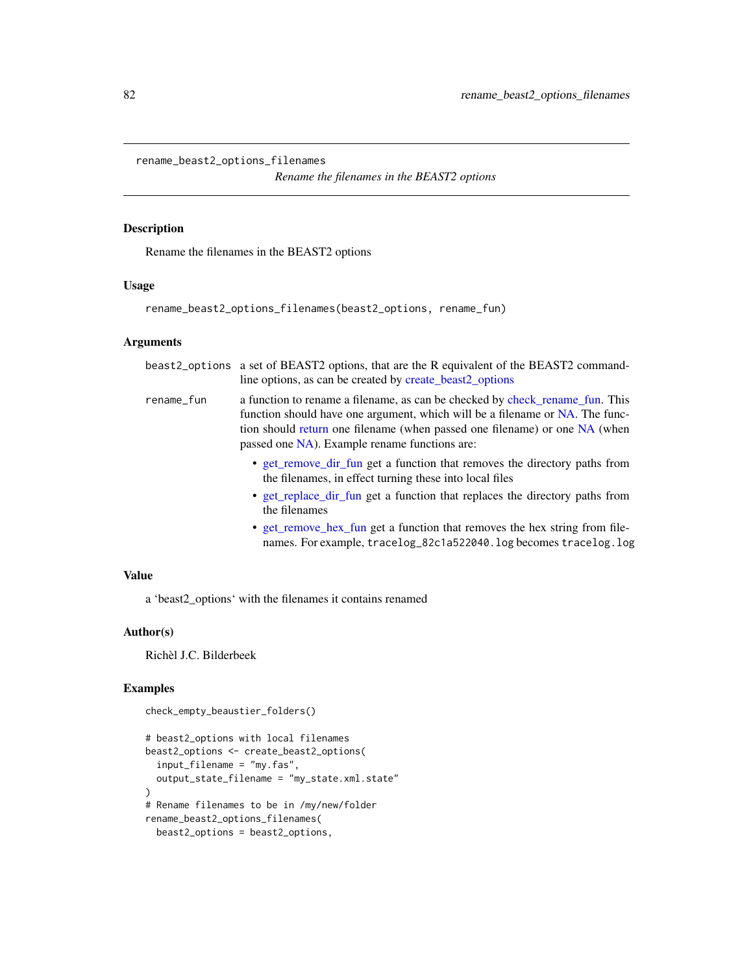<span id="page-81-0"></span>rename\_beast2\_options\_filenames

*Rename the filenames in the BEAST2 options*

# Description

Rename the filenames in the BEAST2 options

#### Usage

rename\_beast2\_options\_filenames(beast2\_options, rename\_fun)

# Arguments

|            | beast2_options a set of BEAST2 options, that are the R equivalent of the BEAST2 command-<br>line options, as can be created by create_beast2_options                                                                                                                                        |
|------------|---------------------------------------------------------------------------------------------------------------------------------------------------------------------------------------------------------------------------------------------------------------------------------------------|
| rename_fun | a function to rename a filename, as can be checked by check rename fun. This<br>function should have one argument, which will be a filename or NA. The func-<br>tion should return one filename (when passed one filename) or one NA (when<br>passed one NA). Example rename functions are: |
|            | • get remove dir fun get a function that removes the directory paths from<br>the filenames, in effect turning these into local files                                                                                                                                                        |
|            | • get_replace_dir_fun get a function that replaces the directory paths from<br>the filenames                                                                                                                                                                                                |
|            | • get_remove_hex_fun_get a function that removes the hex string from file-<br>names. For example, tracelog_82c1a522040.log becomes tracelog.log                                                                                                                                             |

# Value

a 'beast2\_options' with the filenames it contains renamed

## Author(s)

Richèl J.C. Bilderbeek

# Examples

check\_empty\_beaustier\_folders()

```
# beast2_options with local filenames
beast2_options <- create_beast2_options(
  input_filename = "my.fas",
  output_state_filename = "my_state.xml.state"
\mathcal{L}# Rename filenames to be in /my/new/folder
rename_beast2_options_filenames(
  beast2_options = beast2_options,
```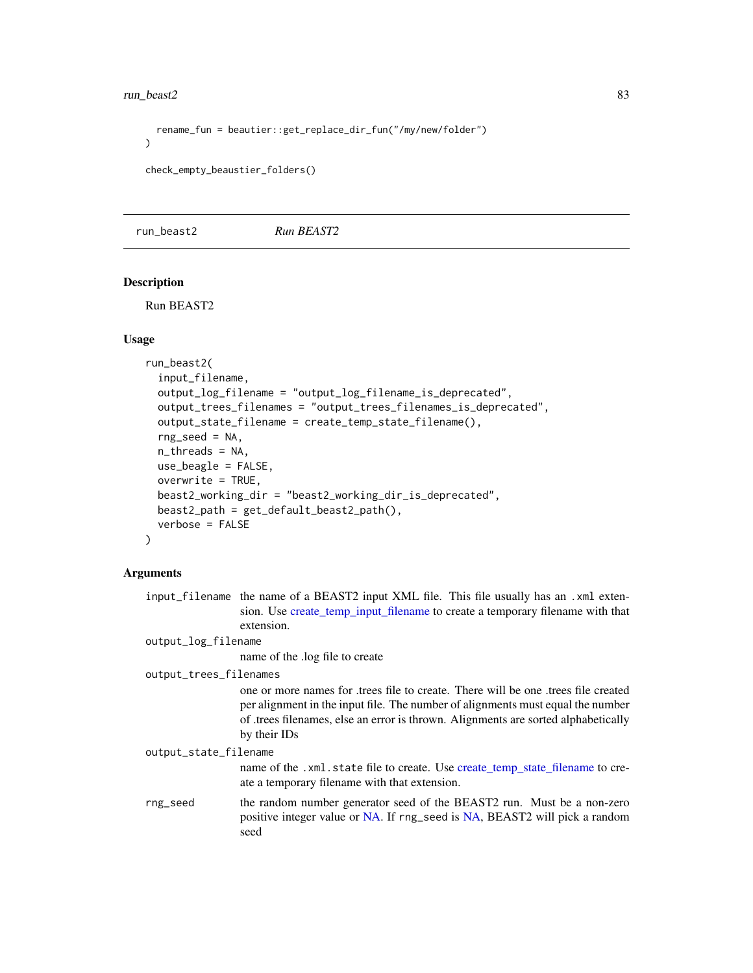<span id="page-82-0"></span>run\_beast2 83

```
rename_fun = beautier::get_replace_dir_fun("/my/new/folder")
)
```

```
check_empty_beaustier_folders()
```
run\_beast2 *Run BEAST2*

# **Description**

Run BEAST2

## Usage

```
run_beast2(
  input_filename,
  output_log_filename = "output_log_filename_is_deprecated",
  output_trees_filenames = "output_trees_filenames_is_deprecated",
  output_state_filename = create_temp_state_filename(),
  rng\_seed = NA,
  n_threads = NA,
  use_beagle = FALSE,
  overwrite = TRUE,
 beast2_working_dir = "beast2_working_dir_is_deprecated",
 beast2_path = get_default_beast2_path(),
  verbose = FALSE
)
```
## Arguments

input\_filename the name of a BEAST2 input XML file. This file usually has an .xml extension. Use [create\\_temp\\_input\\_filename](#page-44-0) to create a temporary filename with that extension.

output\_log\_filename

name of the .log file to create

output\_trees\_filenames

one or more names for .trees file to create. There will be one .trees file created per alignment in the input file. The number of alignments must equal the number of .trees filenames, else an error is thrown. Alignments are sorted alphabetically by their IDs

output\_state\_filename

name of the .xml.state file to create. Use [create\\_temp\\_state\\_filename](#page-44-1) to create a temporary filename with that extension.

rng\_seed the random number generator seed of the BEAST2 run. Must be a non-zero positive integer value or [NA.](#page-0-0) If rng\_seed is [NA,](#page-0-0) BEAST2 will pick a random seed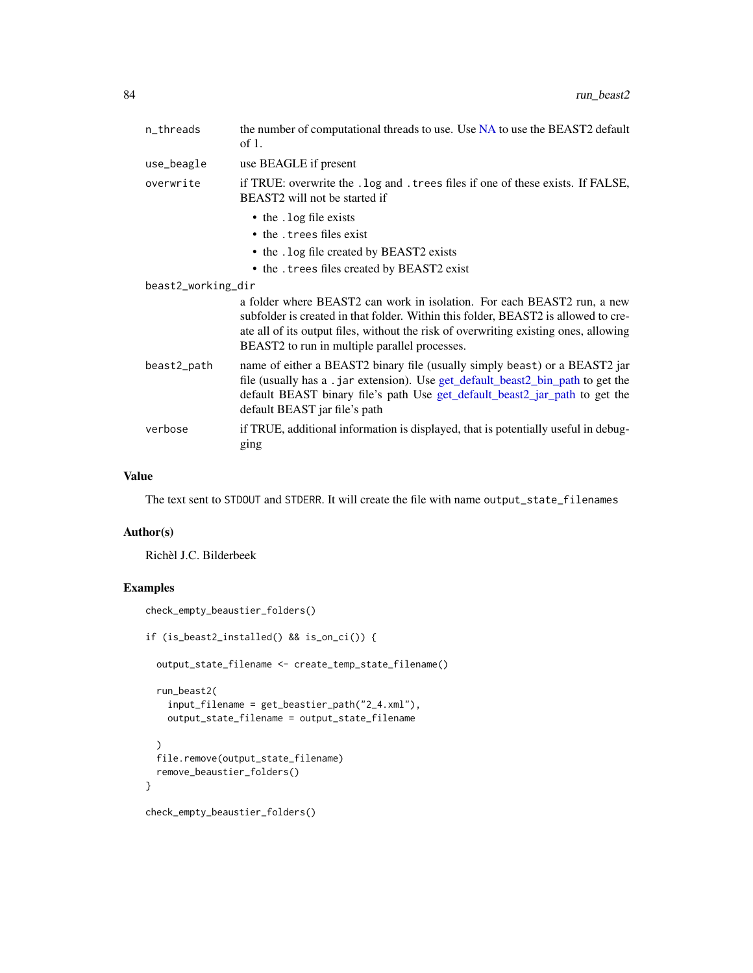<span id="page-83-0"></span>

| n_threads          | the number of computational threads to use. Use NA to use the BEAST2 default<br>of $1$ .                                                                                                                                                                                                               |
|--------------------|--------------------------------------------------------------------------------------------------------------------------------------------------------------------------------------------------------------------------------------------------------------------------------------------------------|
| use_beagle         | use BEAGLE if present                                                                                                                                                                                                                                                                                  |
| overwrite          | if TRUE: overwrite the . log and . trees files if one of these exists. If FALSE,<br>BEAST2 will not be started if                                                                                                                                                                                      |
|                    | • the . log file exists                                                                                                                                                                                                                                                                                |
|                    | • the . trees files exist                                                                                                                                                                                                                                                                              |
|                    | • the . log file created by BEAST2 exists                                                                                                                                                                                                                                                              |
|                    | • the . trees files created by BEAST2 exist                                                                                                                                                                                                                                                            |
| beast2_working_dir |                                                                                                                                                                                                                                                                                                        |
|                    | a folder where BEAST2 can work in isolation. For each BEAST2 run, a new<br>subfolder is created in that folder. Within this folder, BEAST2 is allowed to cre-<br>ate all of its output files, without the risk of overwriting existing ones, allowing<br>BEAST2 to run in multiple parallel processes. |
| beast2_path        | name of either a BEAST2 binary file (usually simply beast) or a BEAST2 jar<br>file (usually has a .jar extension). Use get_default_beast2_bin_path to get the<br>default BEAST binary file's path Use get_default_beast2_jar_path to get the<br>default BEAST jar file's path                          |
| verbose            | if TRUE, additional information is displayed, that is potentially useful in debug-<br>ging                                                                                                                                                                                                             |

## Value

The text sent to STDOUT and STDERR. It will create the file with name output\_state\_filenames

# Author(s)

Richèl J.C. Bilderbeek

```
check_empty_beaustier_folders()
if (is_beast2_installed() && is_on_ci()) {
  output_state_filename <- create_temp_state_filename()
  run_beast2(
   input_filename = get_beastier_path("2_4.xml"),
   output_state_filename = output_state_filename
  \mathcal{L}file.remove(output_state_filename)
  remove_beaustier_folders()
}
check_empty_beaustier_folders()
```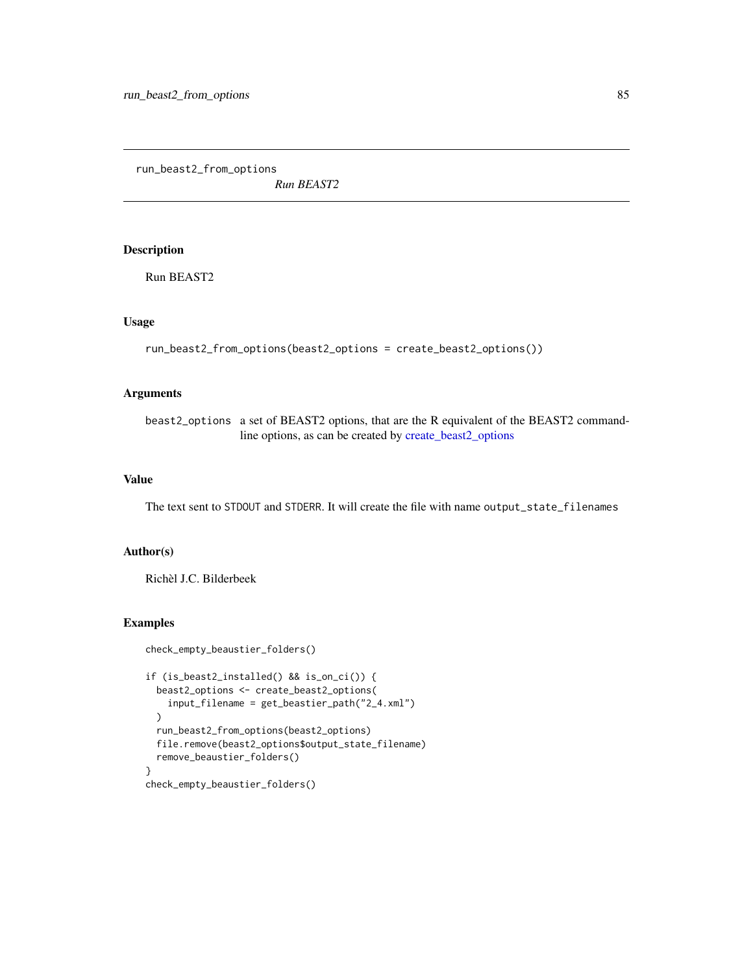<span id="page-84-0"></span>run\_beast2\_from\_options

*Run BEAST2*

# Description

Run BEAST2

# Usage

```
run_beast2_from_options(beast2_options = create_beast2_options())
```
# Arguments

beast2\_options a set of BEAST2 options, that are the R equivalent of the BEAST2 commandline options, as can be created by [create\\_beast2\\_options](#page-27-0)

# Value

The text sent to STDOUT and STDERR. It will create the file with name output\_state\_filenames

## Author(s)

Richèl J.C. Bilderbeek

```
check_empty_beaustier_folders()
if (is_beast2_installed() && is_on_ci()) {
  beast2_options <- create_beast2_options(
   input_filename = get_beastier_path("2_4.xml")
  )
  run_beast2_from_options(beast2_options)
  file.remove(beast2_options$output_state_filename)
  remove_beaustier_folders()
}
check_empty_beaustier_folders()
```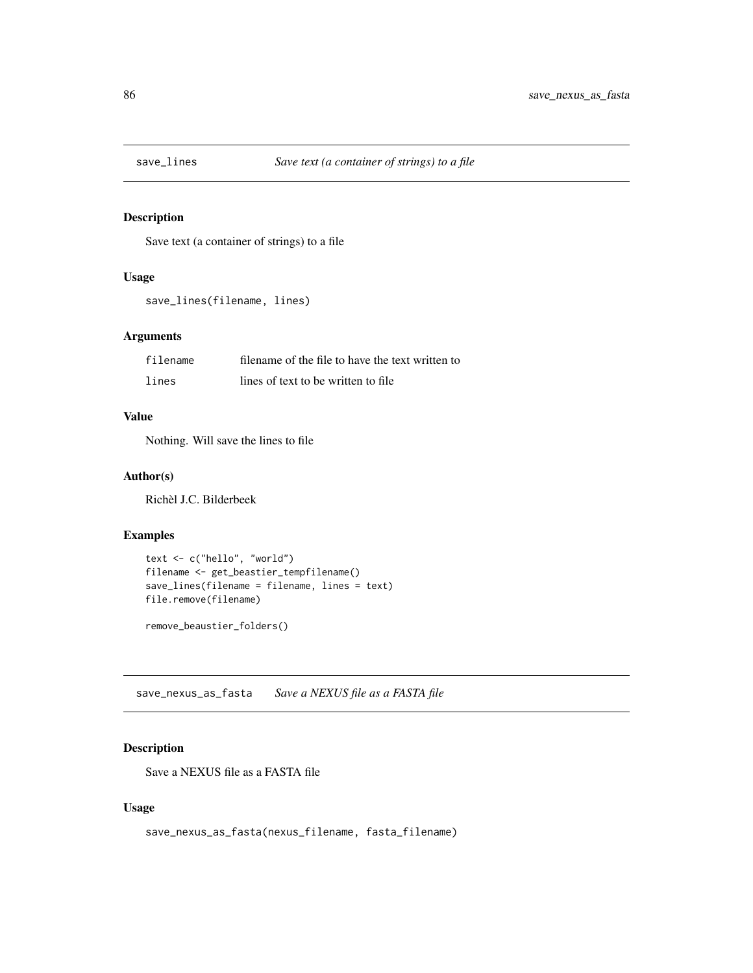<span id="page-85-0"></span>

Save text (a container of strings) to a file

# Usage

```
save_lines(filename, lines)
```
## Arguments

| filename | filename of the file to have the text written to |
|----------|--------------------------------------------------|
| lines    | lines of text to be written to file              |

# Value

Nothing. Will save the lines to file

#### Author(s)

Richèl J.C. Bilderbeek

## Examples

```
text <- c("hello", "world")
filename <- get_beastier_tempfilename()
save_lines(filename = filename, lines = text)
file.remove(filename)
```
remove\_beaustier\_folders()

save\_nexus\_as\_fasta *Save a NEXUS file as a FASTA file*

# Description

Save a NEXUS file as a FASTA file

## Usage

save\_nexus\_as\_fasta(nexus\_filename, fasta\_filename)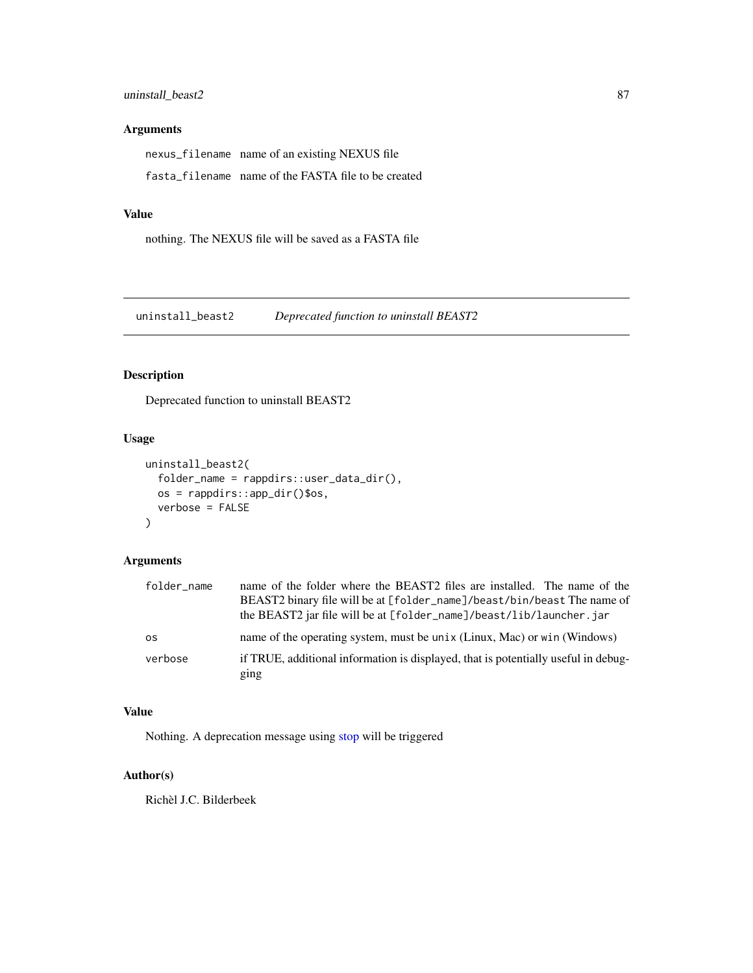# <span id="page-86-0"></span>Arguments

nexus\_filename name of an existing NEXUS file fasta\_filename name of the FASTA file to be created

## Value

nothing. The NEXUS file will be saved as a FASTA file

uninstall\_beast2 *Deprecated function to uninstall BEAST2*

# Description

Deprecated function to uninstall BEAST2

# Usage

```
uninstall_beast2(
  folder_name = rappdirs::user_data_dir(),
 os = rappdirs::app_dir()$os,
 verbose = FALSE
\lambda
```
# Arguments

| folder name | name of the folder where the BEAST2 files are installed. The name of the<br>BEAST2 binary file will be at [folder_name]/beast/bin/beast The name of<br>the BEAST2 jar file will be at [folder_name]/beast/lib/launcher.jar |
|-------------|----------------------------------------------------------------------------------------------------------------------------------------------------------------------------------------------------------------------------|
| <b>OS</b>   | name of the operating system, must be unix (Linux, Mac) or win (Windows)                                                                                                                                                   |
| verbose     | if TRUE, additional information is displayed, that is potentially useful in debug-<br>ging                                                                                                                                 |

# Value

Nothing. A deprecation message using [stop](#page-0-0) will be triggered

# Author(s)

Richèl J.C. Bilderbeek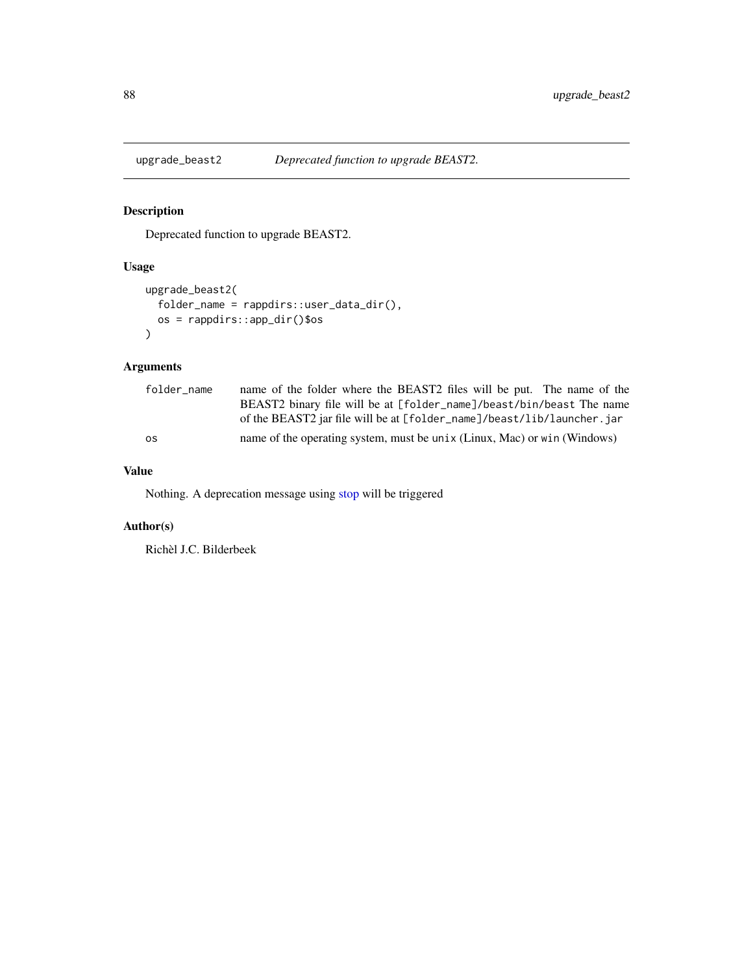<span id="page-87-0"></span>

Deprecated function to upgrade BEAST2.

# Usage

```
upgrade_beast2(
  folder_name = rappdirs::user_data_dir(),
  os = rappdirs::app_dir()$os
\mathcal{L}
```
# Arguments

| folder name | name of the folder where the BEAST2 files will be put. The name of the   |
|-------------|--------------------------------------------------------------------------|
|             | BEAST2 binary file will be at [folder_name]/beast/bin/beast The name     |
|             | of the BEAST2 jar file will be at [folder_name]/beast/lib/launcher.jar   |
| 0S          | name of the operating system, must be unix (Linux, Mac) or win (Windows) |

# Value

Nothing. A deprecation message using [stop](#page-0-0) will be triggered

# Author(s)

Richèl J.C. Bilderbeek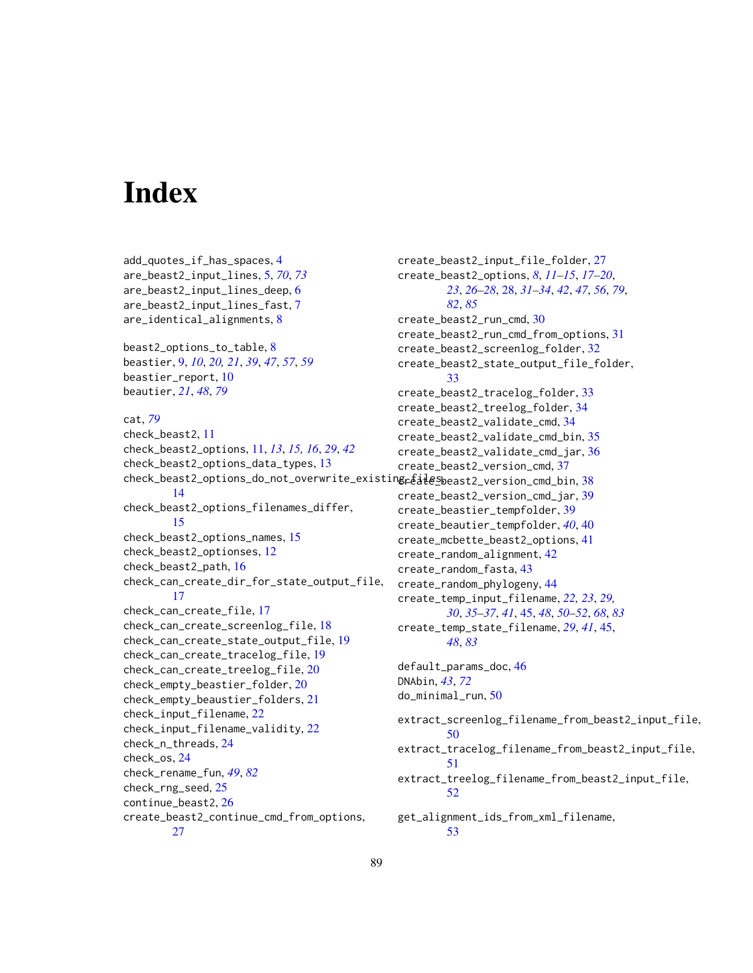# **Index**

add\_quotes\_if\_has\_spaces, [4](#page-3-0) are\_beast2\_input\_lines, [5,](#page-4-1) *[70](#page-69-0)*, *[73](#page-72-0)* are\_beast2\_input\_lines\_deep, [6](#page-5-0) are\_beast2\_input\_lines\_fast, [7](#page-6-0) are\_identical\_alignments, [8](#page-7-0) beast2\_options\_to\_table, [8](#page-7-0) beastier, [9,](#page-8-0) *[10](#page-9-0)*, *[20,](#page-19-0) [21](#page-20-0)*, *[39](#page-38-0)*, *[47](#page-46-0)*, *[57](#page-56-0)*, *[59](#page-58-0)* beastier\_report, [10](#page-9-0) beautier, *[21](#page-20-0)*, *[48](#page-47-0)*, *[79](#page-78-0)* cat, *[79](#page-78-0)* check\_beast2, [11](#page-10-0) check\_beast2\_options, [11,](#page-10-0) *[13](#page-12-0)*, *[15,](#page-14-0) [16](#page-15-0)*, *[29](#page-28-0)*, *[42](#page-41-0)* check\_beast2\_options\_data\_types, [13](#page-12-0) check\_beast2\_options\_do\_not\_overwrite\_existin**g<sub>r</sub>&i<del>l</del>eS**beast2\_version\_cmd\_bin,[38](#page-37-0) [14](#page-13-0) check\_beast2\_options\_filenames\_differ, [15](#page-14-0) check\_beast2\_options\_names, [15](#page-14-0) check\_beast2\_optionses, [12](#page-11-0) check\_beast2\_path, [16](#page-15-0) check\_can\_create\_dir\_for\_state\_output\_file, [17](#page-16-0) check\_can\_create\_file, [17](#page-16-0) check\_can\_create\_screenlog\_file, [18](#page-17-0) check\_can\_create\_state\_output\_file, [19](#page-18-0) check\_can\_create\_tracelog\_file, [19](#page-18-0) check\_can\_create\_treelog\_file, [20](#page-19-0) check\_empty\_beastier\_folder, [20](#page-19-0) check\_empty\_beaustier\_folders, [21](#page-20-0) check\_input\_filename, [22](#page-21-0) check\_input\_filename\_validity, [22](#page-21-0) check\_n\_threads, [24](#page-23-0) check\_os, [24](#page-23-0) check\_rename\_fun, *[49](#page-48-0)*, *[82](#page-81-0)* check\_rng\_seed, [25](#page-24-0) continue\_beast2, [26](#page-25-0) create\_beast2\_continue\_cmd\_from\_options, [27](#page-26-0)

create\_beast2\_input\_file\_folder, [27](#page-26-0) create\_beast2\_options, *[8](#page-7-0)*, *[11](#page-10-0)[–15](#page-14-0)*, *[17](#page-16-0)[–20](#page-19-0)*, *[23](#page-22-0)*, *[26](#page-25-0)[–28](#page-27-1)*, [28,](#page-27-1) *[31](#page-30-0)[–34](#page-33-0)*, *[42](#page-41-0)*, *[47](#page-46-0)*, *[56](#page-55-0)*, *[79](#page-78-0)*, *[82](#page-81-0)*, *[85](#page-84-0)* create\_beast2\_run\_cmd, [30](#page-29-0) create\_beast2\_run\_cmd\_from\_options, [31](#page-30-0) create\_beast2\_screenlog\_folder, [32](#page-31-0) create\_beast2\_state\_output\_file\_folder, [33](#page-32-0) create\_beast2\_tracelog\_folder, [33](#page-32-0) create\_beast2\_treelog\_folder, [34](#page-33-0) create\_beast2\_validate\_cmd, [34](#page-33-0) create\_beast2\_validate\_cmd\_bin, [35](#page-34-0) create\_beast2\_validate\_cmd\_jar, [36](#page-35-0) create\_beast2\_version\_cmd, [37](#page-36-0) create\_beast2\_version\_cmd\_jar, [39](#page-38-0) create\_beastier\_tempfolder, [39](#page-38-0) create\_beautier\_tempfolder, *[40](#page-39-0)*, [40](#page-39-0) create\_mcbette\_beast2\_options, [41](#page-40-0) create\_random\_alignment, [42](#page-41-0) create\_random\_fasta, [43](#page-42-0) create\_random\_phylogeny, [44](#page-43-0) create\_temp\_input\_filename, *[22,](#page-21-0) [23](#page-22-0)*, *[29,](#page-28-0) [30](#page-29-0)*, *[35](#page-34-0)[–37](#page-36-0)*, *[41](#page-40-0)*, [45,](#page-44-2) *[48](#page-47-0)*, *[50](#page-49-0)[–52](#page-51-0)*, *[68](#page-67-0)*, *[83](#page-82-0)* create\_temp\_state\_filename, *[29](#page-28-0)*, *[41](#page-40-0)*, [45,](#page-44-2) *[48](#page-47-0)*, *[83](#page-82-0)* default\_params\_doc, [46](#page-45-0) DNAbin, *[43](#page-42-0)*, *[72](#page-71-0)* do\_minimal\_run, [50](#page-49-0) extract\_screenlog\_filename\_from\_beast2\_input\_file, [50](#page-49-0) extract\_tracelog\_filename\_from\_beast2\_input\_file, [51](#page-50-0) extract\_treelog\_filename\_from\_beast2\_input\_file, [52](#page-51-0) get\_alignment\_ids\_from\_xml\_filename, [53](#page-52-0)